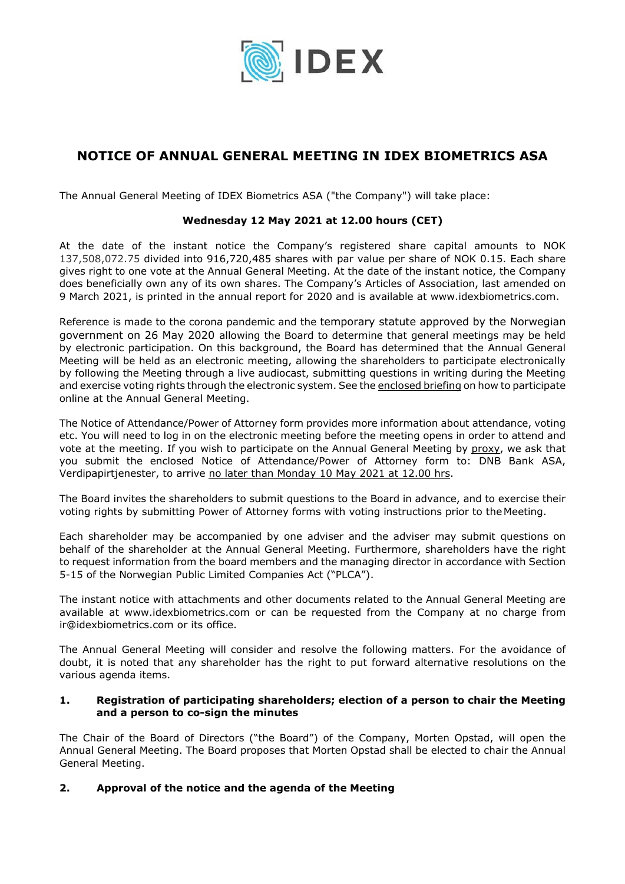

# **NOTICE OF ANNUAL GENERAL MEETING IN IDEX BIOMETRICS ASA**

The Annual General Meeting of IDEX Biometrics ASA ("the Company") will take place:

# **Wednesday 12 May 2021 at 12.00 hours (CET)**

At the date of the instant notice the Company's registered share capital amounts to NOK 137,508,072.75 divided into 916,720,485 shares with par value per share of NOK 0.15. Each share gives right to one vote at the Annual General Meeting. At the date of the instant notice, the Company does beneficially own any of its own shares. The Company's Articles of Association, last amended on 9 March 2021, is printed in the annual report for 2020 and is available at www.idexbiometrics.com.

Reference is made to the corona pandemic and the temporary statute approved by the Norwegian government on 26 May 2020 allowing the Board to determine that general meetings may be held by electronic participation. On this background, the Board has determined that the Annual General Meeting will be held as an electronic meeting, allowing the shareholders to participate electronically by following the Meeting through a live audiocast, submitting questions in writing during the Meeting and exercise voting rights through the electronic system. See the enclosed briefing on how to participate online at the Annual General Meeting.

The Notice of Attendance/Power of Attorney form provides more information about attendance, voting etc. You will need to log in on the electronic meeting before the meeting opens in order to attend and vote at the meeting. If you wish to participate on the Annual General Meeting by proxy, we ask that you submit the enclosed Notice of Attendance/Power of Attorney form to: DNB Bank ASA, Verdipapirtjenester, to arrive no later than Monday 10 May 2021 at 12.00 hrs.

The Board invites the shareholders to submit questions to the Board in advance, and to exercise their voting rights by submitting Power of Attorney forms with voting instructions prior to the Meeting.

Each shareholder may be accompanied by one adviser and the adviser may submit questions on behalf of the shareholder at the Annual General Meeting. Furthermore, shareholders have the right to request information from the board members and the managing director in accordance with Section 5-15 of the Norwegian Public Limited Companies Act ("PLCA").

The instant notice with attachments and other documents related to the Annual General Meeting are available at www.idexbiometrics.com or can be requested from the Company at no charge from ir@idexbiometrics.com or its office.

The Annual General Meeting will consider and resolve the following matters. For the avoidance of doubt, it is noted that any shareholder has the right to put forward alternative resolutions on the various agenda items.

#### **1. Registration of participating shareholders; election of a person to chair the Meeting and a person to co-sign the minutes**

The Chair of the Board of Directors ("the Board") of the Company, Morten Opstad, will open the Annual General Meeting. The Board proposes that Morten Opstad shall be elected to chair the Annual General Meeting.

# **2. Approval of the notice and the agenda of the Meeting**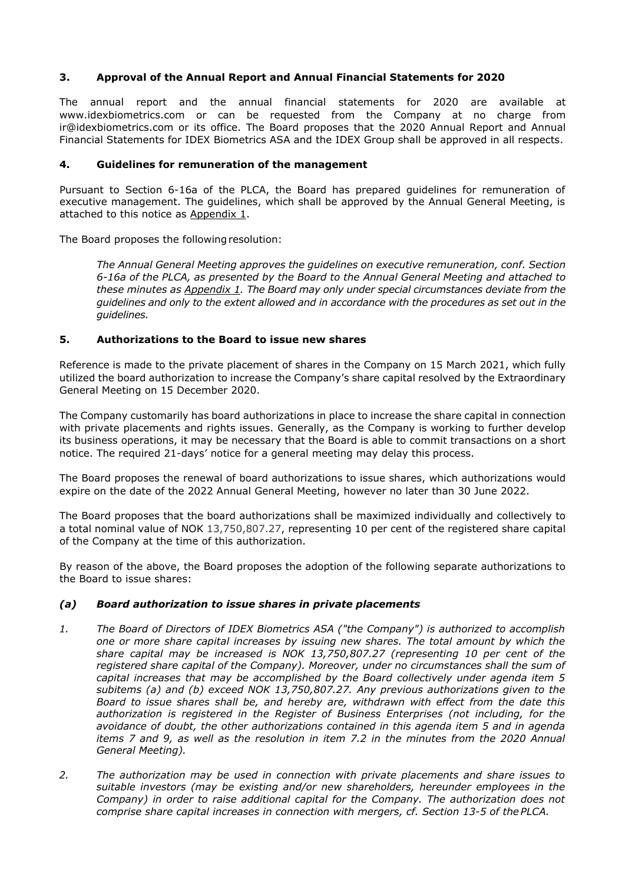# **3. Approval of the Annual Report and Annual Financial Statements for 2020**

The annual report and the annual financial statements for 2020 are available at www.idexbiometrics.com or can be requested from the Company at no charge from ir@idexbiometrics.com or its office. The Board proposes that the 2020 Annual Report and Annual Financial Statements for IDEX Biometrics ASA and the IDEX Group shall be approved in all respects.

#### **4. Guidelines for remuneration of the management**

Pursuant to Section 6-16a of the PLCA, the Board has prepared guidelines for remuneration of executive management. The guidelines, which shall be approved by the Annual General Meeting, is attached to this notice as Appendix 1.

The Board proposes the following resolution:

*The Annual General Meeting approves the guidelines on executive remuneration, conf. Section 6-16a of the PLCA, as presented by the Board to the Annual General Meeting and attached to these minutes as Appendix 1. The Board may only under special circumstances deviate from the guidelines and only to the extent allowed and in accordance with the procedures as set out in the guidelines.* 

#### **5. Authorizations to the Board to issue new shares**

Reference is made to the private placement of shares in the Company on 15 March 2021, which fully utilized the board authorization to increase the Company's share capital resolved by the Extraordinary General Meeting on 15 December 2020.

The Company customarily has board authorizations in place to increase the share capital in connection with private placements and rights issues. Generally, as the Company is working to further develop its business operations, it may be necessary that the Board is able to commit transactions on a short notice. The required 21-days' notice for a general meeting may delay this process.

The Board proposes the renewal of board authorizations to issue shares, which authorizations would expire on the date of the 2022 Annual General Meeting, however no later than 30 June 2022.

The Board proposes that the board authorizations shall be maximized individually and collectively to a total nominal value of NOK 13,750,807.27, representing 10 per cent of the registered share capital of the Company at the time of this authorization.

By reason of the above, the Board proposes the adoption of the following separate authorizations to the Board to issue shares:

#### *(a) Board authorization to issue shares in private placements*

- *1. The Board of Directors of IDEX Biometrics ASA ("the Company") is authorized to accomplish one or more share capital increases by issuing new shares. The total amount by which the share capital may be increased is NOK 13,750,807.27 (representing 10 per cent of the registered share capital of the Company). Moreover, under no circumstances shall the sum of capital increases that may be accomplished by the Board collectively under agenda item 5 subitems (a) and (b) exceed NOK 13,750,807.27. Any previous authorizations given to the Board to issue shares shall be, and hereby are, withdrawn with effect from the date this authorization is registered in the Register of Business Enterprises (not including, for the avoidance of doubt, the other authorizations contained in this agenda item 5 and in agenda items 7 and 9, as well as the resolution in item 7.2 in the minutes from the 2020 Annual General Meeting).*
- *2. The authorization may be used in connection with private placements and share issues to suitable investors (may be existing and/or new shareholders, hereunder employees in the Company) in order to raise additional capital for the Company. The authorization does not comprise share capital increases in connection with mergers, cf. Section 13-5 of the PLCA.*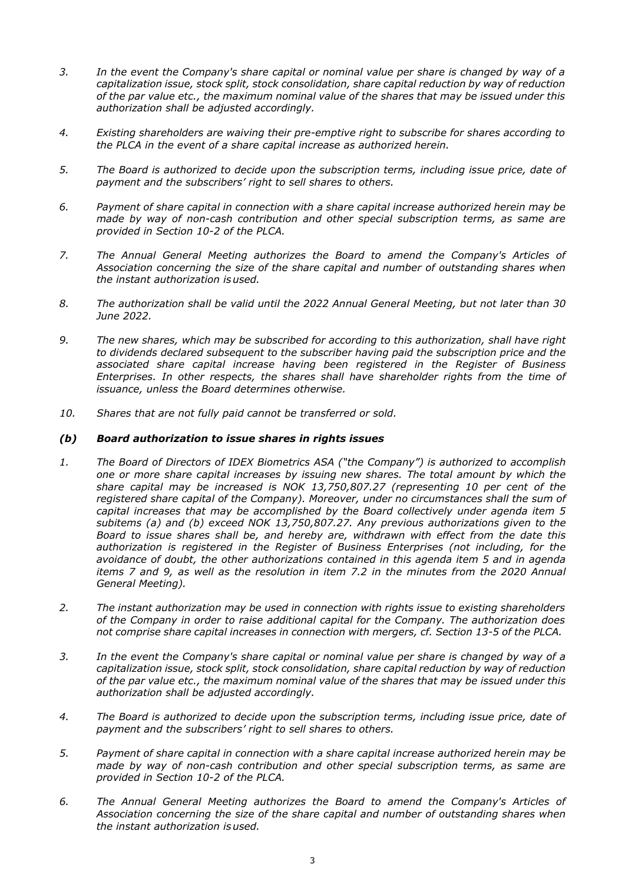- *3. In the event the Company's share capital or nominal value per share is changed by way of a capitalization issue, stock split, stock consolidation, share capital reduction by way of reduction of the par value etc., the maximum nominal value of the shares that may be issued under this authorization shall be adjusted accordingly.*
- *4. Existing shareholders are waiving their pre-emptive right to subscribe for shares according to the PLCA in the event of a share capital increase as authorized herein.*
- *5. The Board is authorized to decide upon the subscription terms, including issue price, date of payment and the subscribers' right to sell shares to others.*
- *6. Payment of share capital in connection with a share capital increase authorized herein may be made by way of non-cash contribution and other special subscription terms, as same are provided in Section 10-2 of the PLCA.*
- *7. The Annual General Meeting authorizes the Board to amend the Company's Articles of Association concerning the size of the share capital and number of outstanding shares when the instant authorization is used.*
- *8. The authorization shall be valid until the 2022 Annual General Meeting, but not later than 30 June 2022.*
- *9. The new shares, which may be subscribed for according to this authorization, shall have right to dividends declared subsequent to the subscriber having paid the subscription price and the associated share capital increase having been registered in the Register of Business Enterprises. In other respects, the shares shall have shareholder rights from the time of issuance, unless the Board determines otherwise.*
- *10. Shares that are not fully paid cannot be transferred or sold.*

#### *(b) Board authorization to issue shares in rights issues*

- *1. The Board of Directors of IDEX Biometrics ASA ("the Company") is authorized to accomplish one or more share capital increases by issuing new shares. The total amount by which the share capital may be increased is NOK 13,750,807.27 (representing 10 per cent of the registered share capital of the Company). Moreover, under no circumstances shall the sum of capital increases that may be accomplished by the Board collectively under agenda item 5 subitems (a) and (b) exceed NOK 13,750,807.27. Any previous authorizations given to the Board to issue shares shall be, and hereby are, withdrawn with effect from the date this authorization is registered in the Register of Business Enterprises (not including, for the avoidance of doubt, the other authorizations contained in this agenda item 5 and in agenda items 7 and 9, as well as the resolution in item 7.2 in the minutes from the 2020 Annual General Meeting).*
- *2. The instant authorization may be used in connection with rights issue to existing shareholders of the Company in order to raise additional capital for the Company. The authorization does not comprise share capital increases in connection with mergers, cf. Section 13-5 of the PLCA.*
- *3. In the event the Company's share capital or nominal value per share is changed by way of a capitalization issue, stock split, stock consolidation, share capital reduction by way of reduction of the par value etc., the maximum nominal value of the shares that may be issued under this authorization shall be adjusted accordingly.*
- *4. The Board is authorized to decide upon the subscription terms, including issue price, date of payment and the subscribers' right to sell shares to others.*
- *5. Payment of share capital in connection with a share capital increase authorized herein may be made by way of non-cash contribution and other special subscription terms, as same are provided in Section 10-2 of the PLCA.*
- *6. The Annual General Meeting authorizes the Board to amend the Company's Articles of Association concerning the size of the share capital and number of outstanding shares when the instant authorization is used.*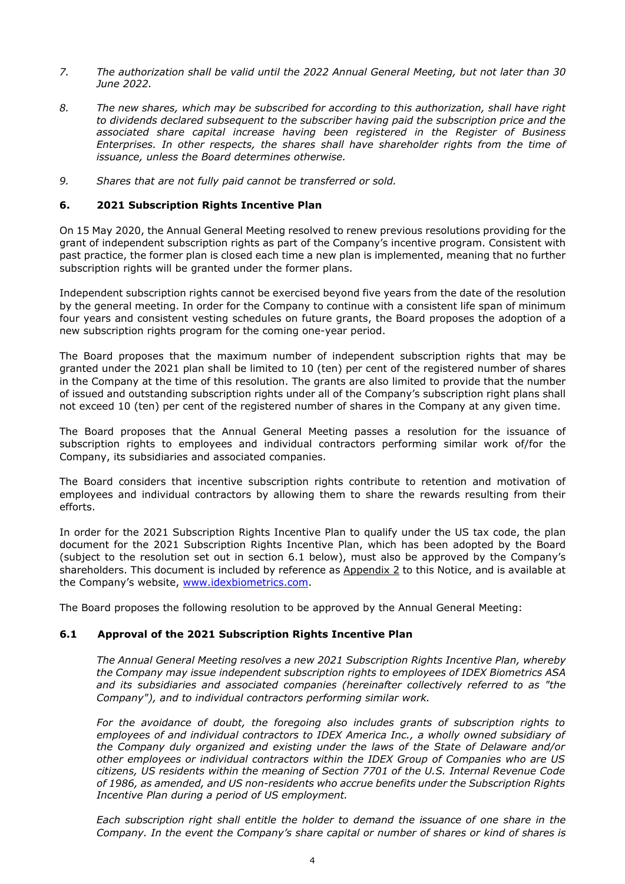- *7. The authorization shall be valid until the 2022 Annual General Meeting, but not later than 30 June 2022.*
- *8. The new shares, which may be subscribed for according to this authorization, shall have right to dividends declared subsequent to the subscriber having paid the subscription price and the associated share capital increase having been registered in the Register of Business Enterprises. In other respects, the shares shall have shareholder rights from the time of issuance, unless the Board determines otherwise.*
- *9. Shares that are not fully paid cannot be transferred or sold.*

#### **6. 2021 Subscription Rights Incentive Plan**

On 15 May 2020, the Annual General Meeting resolved to renew previous resolutions providing for the grant of independent subscription rights as part of the Company's incentive program. Consistent with past practice, the former plan is closed each time a new plan is implemented, meaning that no further subscription rights will be granted under the former plans.

Independent subscription rights cannot be exercised beyond five years from the date of the resolution by the general meeting. In order for the Company to continue with a consistent life span of minimum four years and consistent vesting schedules on future grants, the Board proposes the adoption of a new subscription rights program for the coming one-year period.

The Board proposes that the maximum number of independent subscription rights that may be granted under the 2021 plan shall be limited to 10 (ten) per cent of the registered number of shares in the Company at the time of this resolution. The grants are also limited to provide that the number of issued and outstanding subscription rights under all of the Company's subscription right plans shall not exceed 10 (ten) per cent of the registered number of shares in the Company at any given time.

The Board proposes that the Annual General Meeting passes a resolution for the issuance of subscription rights to employees and individual contractors performing similar work of/for the Company, its subsidiaries and associated companies.

The Board considers that incentive subscription rights contribute to retention and motivation of employees and individual contractors by allowing them to share the rewards resulting from their efforts.

In order for the 2021 Subscription Rights Incentive Plan to qualify under the US tax code, the plan document for the 2021 Subscription Rights Incentive Plan, which has been adopted by the Board (subject to the resolution set out in section 6.1 below), must also be approved by the Company's shareholders. This document is included by reference as Appendix 2 to this Notice, and is available at the Company's website, www.idexbiometrics.com.

The Board proposes the following resolution to be approved by the Annual General Meeting:

#### **6.1 Approval of the 2021 Subscription Rights Incentive Plan**

*The Annual General Meeting resolves a new 2021 Subscription Rights Incentive Plan, whereby the Company may issue independent subscription rights to employees of IDEX Biometrics ASA and its subsidiaries and associated companies (hereinafter collectively referred to as "the Company"), and to individual contractors performing similar work.* 

*For the avoidance of doubt, the foregoing also includes grants of subscription rights to employees of and individual contractors to IDEX America Inc., a wholly owned subsidiary of the Company duly organized and existing under the laws of the State of Delaware and/or other employees or individual contractors within the IDEX Group of Companies who are US citizens, US residents within the meaning of Section 7701 of the U.S. Internal Revenue Code of 1986, as amended, and US non-residents who accrue benefits under the Subscription Rights Incentive Plan during a period of US employment.* 

*Each subscription right shall entitle the holder to demand the issuance of one share in the Company. In the event the Company's share capital or number of shares or kind of shares is*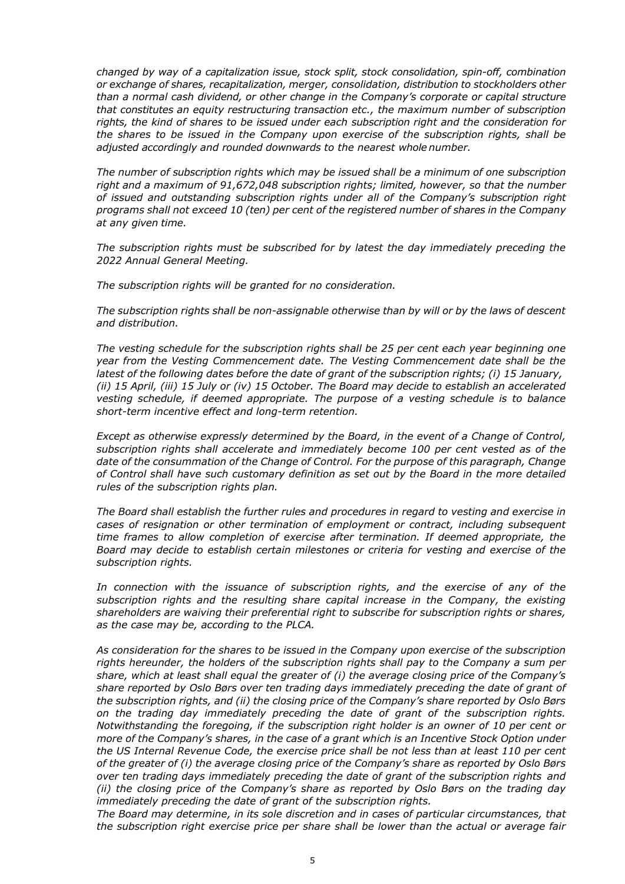*changed by way of a capitalization issue, stock split, stock consolidation, spin-off, combination or exchange of shares, recapitalization, merger, consolidation, distribution to stockholders other than a normal cash dividend, or other change in the Company's corporate or capital structure that constitutes an equity restructuring transaction etc., the maximum number of subscription rights, the kind of shares to be issued under each subscription right and the consideration for the shares to be issued in the Company upon exercise of the subscription rights, shall be adjusted accordingly and rounded downwards to the nearest whole number.* 

*The number of subscription rights which may be issued shall be a minimum of one subscription right and a maximum of 91,672,048 subscription rights; limited, however, so that the number of issued and outstanding subscription rights under all of the Company's subscription right programs shall not exceed 10 (ten) per cent of the registered number of shares in the Company at any given time.* 

*The subscription rights must be subscribed for by latest the day immediately preceding the 2022 Annual General Meeting.* 

*The subscription rights will be granted for no consideration.* 

*The subscription rights shall be non-assignable otherwise than by will or by the laws of descent and distribution.* 

*The vesting schedule for the subscription rights shall be 25 per cent each year beginning one year from the Vesting Commencement date. The Vesting Commencement date shall be the latest of the following dates before the date of grant of the subscription rights; (i) 15 January, (ii) 15 April, (iii) 15 July or (iv) 15 October. The Board may decide to establish an accelerated vesting schedule, if deemed appropriate. The purpose of a vesting schedule is to balance short-term incentive effect and long-term retention.* 

*Except as otherwise expressly determined by the Board, in the event of a Change of Control, subscription rights shall accelerate and immediately become 100 per cent vested as of the date of the consummation of the Change of Control. For the purpose of this paragraph, Change of Control shall have such customary definition as set out by the Board in the more detailed rules of the subscription rights plan.* 

*The Board shall establish the further rules and procedures in regard to vesting and exercise in cases of resignation or other termination of employment or contract, including subsequent time frames to allow completion of exercise after termination. If deemed appropriate, the Board may decide to establish certain milestones or criteria for vesting and exercise of the subscription rights.* 

*In connection with the issuance of subscription rights, and the exercise of any of the subscription rights and the resulting share capital increase in the Company, the existing shareholders are waiving their preferential right to subscribe for subscription rights or shares, as the case may be, according to the PLCA.*

*As consideration for the shares to be issued in the Company upon exercise of the subscription rights hereunder, the holders of the subscription rights shall pay to the Company a sum per share, which at least shall equal the greater of (i) the average closing price of the Company's share reported by Oslo Børs over ten trading days immediately preceding the date of grant of the subscription rights, and (ii) the closing price of the Company's share reported by Oslo Børs on the trading day immediately preceding the date of grant of the subscription rights. Notwithstanding the foregoing, if the subscription right holder is an owner of 10 per cent or more of the Company's shares, in the case of a grant which is an Incentive Stock Option under the US Internal Revenue Code, the exercise price shall be not less than at least 110 per cent of the greater of (i) the average closing price of the Company's share as reported by Oslo Børs over ten trading days immediately preceding the date of grant of the subscription rights and (ii) the closing price of the Company's share as reported by Oslo Børs on the trading day immediately preceding the date of grant of the subscription rights.* 

*The Board may determine, in its sole discretion and in cases of particular circumstances, that the subscription right exercise price per share shall be lower than the actual or average fair*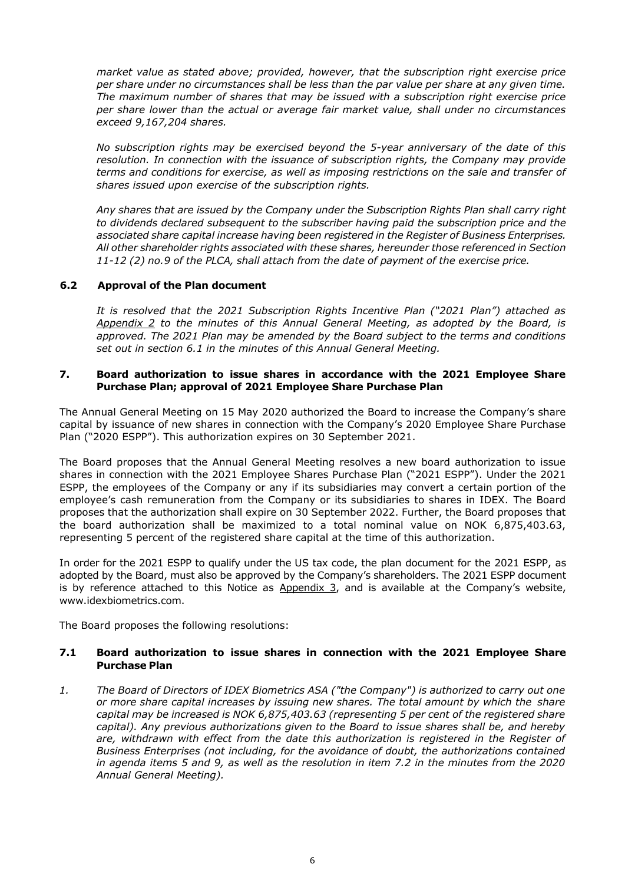*market value as stated above; provided, however, that the subscription right exercise price per share under no circumstances shall be less than the par value per share at any given time. The maximum number of shares that may be issued with a subscription right exercise price per share lower than the actual or average fair market value, shall under no circumstances exceed 9,167,204 shares.* 

*No subscription rights may be exercised beyond the 5-year anniversary of the date of this resolution. In connection with the issuance of subscription rights, the Company may provide terms and conditions for exercise, as well as imposing restrictions on the sale and transfer of shares issued upon exercise of the subscription rights.* 

*Any shares that are issued by the Company under the Subscription Rights Plan shall carry right to dividends declared subsequent to the subscriber having paid the subscription price and the associated share capital increase having been registered in the Register of Business Enterprises. All other shareholder rights associated with these shares, hereunder those referenced in Section 11-12 (2) no.9 of the PLCA, shall attach from the date of payment of the exercise price.* 

#### **6.2 Approval of the Plan document**

*It is resolved that the 2021 Subscription Rights Incentive Plan ("2021 Plan") attached as Appendix 2 to the minutes of this Annual General Meeting, as adopted by the Board, is approved. The 2021 Plan may be amended by the Board subject to the terms and conditions set out in section 6.1 in the minutes of this Annual General Meeting.* 

#### **7. Board authorization to issue shares in accordance with the 2021 Employee Share Purchase Plan; approval of 2021 Employee Share Purchase Plan**

The Annual General Meeting on 15 May 2020 authorized the Board to increase the Company's share capital by issuance of new shares in connection with the Company's 2020 Employee Share Purchase Plan ("2020 ESPP"). This authorization expires on 30 September 2021.

The Board proposes that the Annual General Meeting resolves a new board authorization to issue shares in connection with the 2021 Employee Shares Purchase Plan ("2021 ESPP"). Under the 2021 ESPP, the employees of the Company or any if its subsidiaries may convert a certain portion of the employee's cash remuneration from the Company or its subsidiaries to shares in IDEX. The Board proposes that the authorization shall expire on 30 September 2022. Further, the Board proposes that the board authorization shall be maximized to a total nominal value on NOK 6,875,403.63, representing 5 percent of the registered share capital at the time of this authorization.

In order for the 2021 ESPP to qualify under the US tax code, the plan document for the 2021 ESPP, as adopted by the Board, must also be approved by the Company's shareholders. The 2021 ESPP document is by reference attached to this Notice as  $Appendix 3$ , and is available at the Company's website, www.idexbiometrics.com.

The Board proposes the following resolutions:

#### **7.1 Board authorization to issue shares in connection with the 2021 Employee Share Purchase Plan**

*1. The Board of Directors of IDEX Biometrics ASA ("the Company") is authorized to carry out one or more share capital increases by issuing new shares. The total amount by which the share capital may be increased is NOK 6,875,403.63 (representing 5 per cent of the registered share capital). Any previous authorizations given to the Board to issue shares shall be, and hereby are, withdrawn with effect from the date this authorization is registered in the Register of Business Enterprises (not including, for the avoidance of doubt, the authorizations contained in agenda items 5 and 9, as well as the resolution in item 7.2 in the minutes from the 2020 Annual General Meeting).*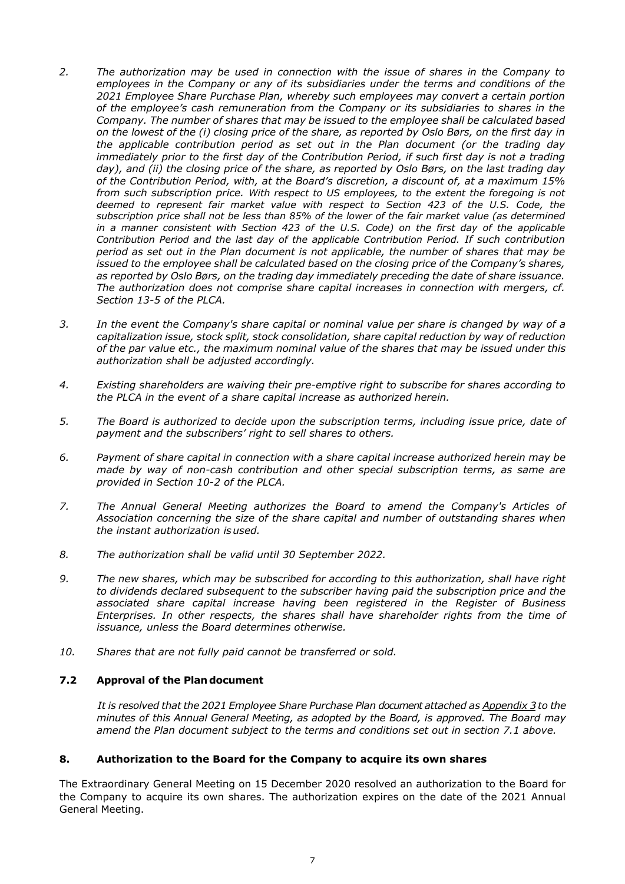- *2. The authorization may be used in connection with the issue of shares in the Company to employees in the Company or any of its subsidiaries under the terms and conditions of the 2021 Employee Share Purchase Plan, whereby such employees may convert a certain portion of the employee's cash remuneration from the Company or its subsidiaries to shares in the Company. The number of shares that may be issued to the employee shall be calculated based on the lowest of the (i) closing price of the share, as reported by Oslo Børs, on the first day in the applicable contribution period as set out in the Plan document (or the trading day immediately prior to the first day of the Contribution Period, if such first day is not a trading day), and (ii) the closing price of the share, as reported by Oslo Børs, on the last trading day of the Contribution Period, with, at the Board's discretion, a discount of, at a maximum 15% from such subscription price. With respect to US employees, to the extent the foregoing is not deemed to represent fair market value with respect to Section 423 of the U.S. Code, the subscription price shall not be less than 85% of the lower of the fair market value (as determined in a manner consistent with Section 423 of the U.S. Code) on the first day of the applicable Contribution Period and the last day of the applicable Contribution Period. If such contribution period as set out in the Plan document is not applicable, the number of shares that may be issued to the employee shall be calculated based on the closing price of the Company's shares, as reported by Oslo Børs, on the trading day immediately preceding the date of share issuance. The authorization does not comprise share capital increases in connection with mergers, cf. Section 13-5 of the PLCA.*
- *3. In the event the Company's share capital or nominal value per share is changed by way of a capitalization issue, stock split, stock consolidation, share capital reduction by way of reduction of the par value etc., the maximum nominal value of the shares that may be issued under this authorization shall be adjusted accordingly.*
- *4. Existing shareholders are waiving their pre-emptive right to subscribe for shares according to the PLCA in the event of a share capital increase as authorized herein.*
- *5. The Board is authorized to decide upon the subscription terms, including issue price, date of payment and the subscribers' right to sell shares to others.*
- *6. Payment of share capital in connection with a share capital increase authorized herein may be made by way of non-cash contribution and other special subscription terms, as same are provided in Section 10-2 of the PLCA.*
- *7. The Annual General Meeting authorizes the Board to amend the Company's Articles of Association concerning the size of the share capital and number of outstanding shares when the instant authorization is used.*
- *8. The authorization shall be valid until 30 September 2022.*
- *9. The new shares, which may be subscribed for according to this authorization, shall have right to dividends declared subsequent to the subscriber having paid the subscription price and the associated share capital increase having been registered in the Register of Business Enterprises. In other respects, the shares shall have shareholder rights from the time of issuance, unless the Board determines otherwise.*
- *10. Shares that are not fully paid cannot be transferred or sold.*

#### **7.2 Approval of the Plan document**

*It is resolved that the 2021 Employee Share Purchase Plan document attached as Appendix 3 to the minutes of this Annual General Meeting, as adopted by the Board, is approved. The Board may amend the Plan document subject to the terms and conditions set out in section 7.1 above.* 

# **8. Authorization to the Board for the Company to acquire its own shares**

The Extraordinary General Meeting on 15 December 2020 resolved an authorization to the Board for the Company to acquire its own shares. The authorization expires on the date of the 2021 Annual General Meeting.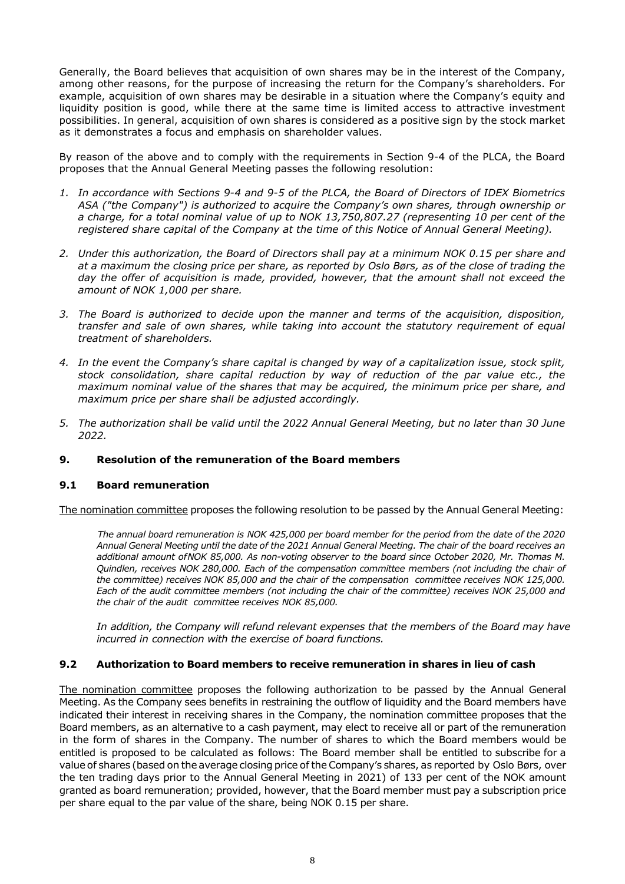Generally, the Board believes that acquisition of own shares may be in the interest of the Company, among other reasons, for the purpose of increasing the return for the Company's shareholders. For example, acquisition of own shares may be desirable in a situation where the Company's equity and liquidity position is good, while there at the same time is limited access to attractive investment possibilities. In general, acquisition of own shares is considered as a positive sign by the stock market as it demonstrates a focus and emphasis on shareholder values.

By reason of the above and to comply with the requirements in Section 9-4 of the PLCA, the Board proposes that the Annual General Meeting passes the following resolution:

- *1. In accordance with Sections 9-4 and 9-5 of the PLCA, the Board of Directors of IDEX Biometrics ASA ("the Company") is authorized to acquire the Company's own shares, through ownership or a charge, for a total nominal value of up to NOK 13,750,807.27 (representing 10 per cent of the registered share capital of the Company at the time of this Notice of Annual General Meeting).*
- *2. Under this authorization, the Board of Directors shall pay at a minimum NOK 0.15 per share and at a maximum the closing price per share, as reported by Oslo Børs, as of the close of trading the day the offer of acquisition is made, provided, however, that the amount shall not exceed the amount of NOK 1,000 per share.*
- *3. The Board is authorized to decide upon the manner and terms of the acquisition, disposition, transfer and sale of own shares, while taking into account the statutory requirement of equal treatment of shareholders.*
- *4. In the event the Company's share capital is changed by way of a capitalization issue, stock split, stock consolidation, share capital reduction by way of reduction of the par value etc., the maximum nominal value of the shares that may be acquired, the minimum price per share, and maximum price per share shall be adjusted accordingly.*
- *5. The authorization shall be valid until the 2022 Annual General Meeting, but no later than 30 June 2022.*

#### **9. Resolution of the remuneration of the Board members**

#### **9.1 Board remuneration**

The nomination committee proposes the following resolution to be passed by the Annual General Meeting:

*The annual board remuneration is NOK 425,000 per board member for the period from the date of the 2020 Annual General Meeting until the date of the 2021 Annual General Meeting. The chair of the board receives an additional amount of NOK 85,000. As non-voting observer to the board since October 2020, Mr. Thomas M. Quindlen, receives NOK 280,000. Each of the compensation committee members (not including the chair of the committee) receives NOK 85,000 and the chair of the compensation committee receives NOK 125,000. Each of the audit committee members (not including the chair of the committee) receives NOK 25,000 and the chair of the audit committee receives NOK 85,000.* 

*In addition, the Company will refund relevant expenses that the members of the Board may have incurred in connection with the exercise of board functions.* 

#### **9.2 Authorization to Board members to receive remuneration in shares in lieu of cash**

The nomination committee proposes the following authorization to be passed by the Annual General Meeting. As the Company sees benefits in restraining the outflow of liquidity and the Board members have indicated their interest in receiving shares in the Company, the nomination committee proposes that the Board members, as an alternative to a cash payment, may elect to receive all or part of the remuneration in the form of shares in the Company. The number of shares to which the Board members would be entitled is proposed to be calculated as follows: The Board member shall be entitled to subscribe for a value of shares (based on the average closing price of the Company's shares, as reported by Oslo Børs, over the ten trading days prior to the Annual General Meeting in 2021) of 133 per cent of the NOK amount granted as board remuneration; provided, however, that the Board member must pay a subscription price per share equal to the par value of the share, being NOK 0.15 per share.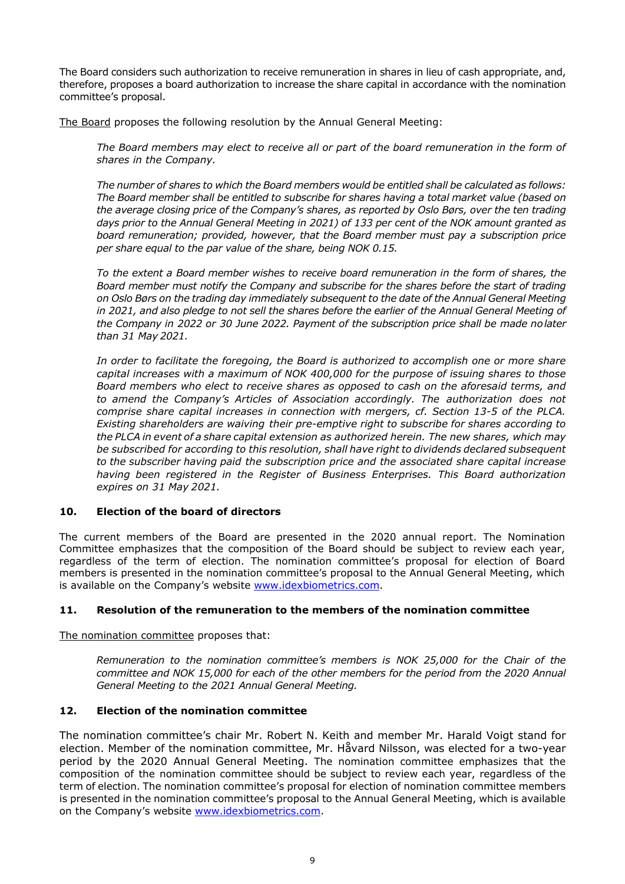The Board considers such authorization to receive remuneration in shares in lieu of cash appropriate, and, therefore, proposes a board authorization to increase the share capital in accordance with the nomination committee's proposal.

The Board proposes the following resolution by the Annual General Meeting:

The Board members may elect to receive all or part of the board remuneration in the form of *shares in the Company.* 

*The number of shares to which the Board members would be entitled shall be calculated as follows: The Board member shall be entitled to subscribe for shares having a total market value (based on the average closing price of the Company's shares, as reported by Oslo Børs, over the ten trading days prior to the Annual General Meeting in 2021) of 133 per cent of the NOK amount granted as board remuneration; provided, however, that the Board member must pay a subscription price per share equal to the par value of the share, being NOK 0.15.* 

*To the extent a Board member wishes to receive board remuneration in the form of shares, the Board member must notify the Company and subscribe for the shares before the start of trading on Oslo Børs on the trading day immediately subsequent to the date of the Annual General Meeting*  in 2021, and also pledge to not sell the shares before the earlier of the Annual General Meeting of *the Company in 2022 or 30 June 2022. Payment of the subscription price shall be made no later than 31 May 2021.* 

*In order to facilitate the foregoing, the Board is authorized to accomplish one or more share capital increases with a maximum of NOK 400,000 for the purpose of issuing shares to those Board members who elect to receive shares as opposed to cash on the aforesaid terms, and to amend the Company's Articles of Association accordingly. The authorization does not comprise share capital increases in connection with mergers, cf. Section 13-5 of the PLCA. Existing shareholders are waiving their pre-emptive right to subscribe for shares according to the PLCA in event of a share capital extension as authorized herein. The new shares, which may be subscribed for according to this resolution, shall have right to dividends declared subsequent to the subscriber having paid the subscription price and the associated share capital increase having been registered in the Register of Business Enterprises. This Board authorization expires on 31 May 2021.* 

#### **10. Election of the board of directors**

The current members of the Board are presented in the 2020 annual report. The Nomination Committee emphasizes that the composition of the Board should be subject to review each year, regardless of the term of election. The nomination committee's proposal for election of Board members is presented in the nomination committee's proposal to the Annual General Meeting, which is available on the Company's website www.idexbiometrics.com.

#### **11. Resolution of the remuneration to the members of the nomination committee**

The nomination committee proposes that:

*Remuneration to the nomination committee's members is NOK 25,000 for the Chair of the committee and NOK 15,000 for each of the other members for the period from the 2020 Annual General Meeting to the 2021 Annual General Meeting.* 

#### **12. Election of the nomination committee**

The nomination committee's chair Mr. Robert N. Keith and member Mr. Harald Voigt stand for election. Member of the nomination committee, Mr. Håvard Nilsson, was elected for a two-year period by the 2020 Annual General Meeting. The nomination committee emphasizes that the composition of the nomination committee should be subject to review each year, regardless of the term of election. The nomination committee's proposal for election of nomination committee members is presented in the nomination committee's proposal to the Annual General Meeting, which is available on the Company's website www.idexbiometrics.com.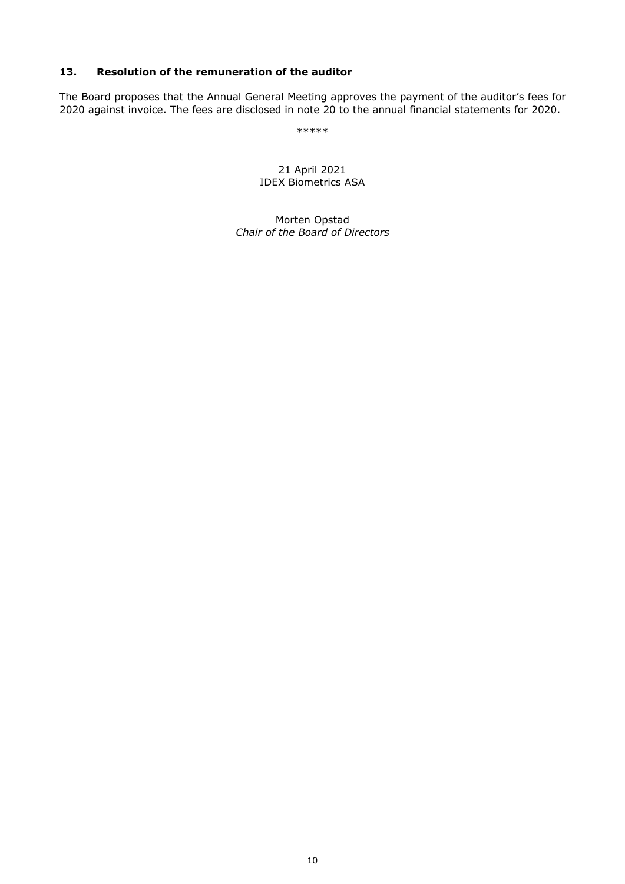#### **13. Resolution of the remuneration of the auditor**

The Board proposes that the Annual General Meeting approves the payment of the auditor's fees for 2020 against invoice. The fees are disclosed in note 20 to the annual financial statements for 2020.

\*\*\*\*\*

21 April 2021 IDEX Biometrics ASA

Morten Opstad *Chair of the Board of Directors*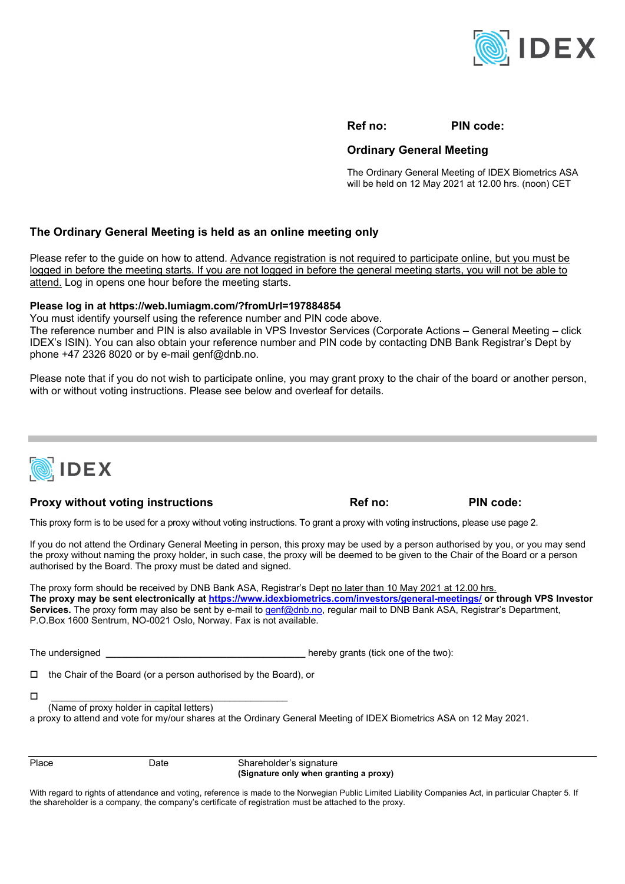

**Ref no: PIN code:** 

#### **Ordinary General Meeting**

The Ordinary General Meeting of IDEX Biometrics ASA will be held on 12 May 2021 at 12.00 hrs. (noon) CET

#### **The Ordinary General Meeting is held as an online meeting only**

Please refer to the guide on how to attend. Advance registration is not required to participate online, but you must be logged in before the meeting starts. If you are not logged in before the general meeting starts, you will not be able to attend. Log in opens one hour before the meeting starts.

#### **Please log in at https://web.lumiagm.com/?fromUrl=197884854**

You must identify yourself using the reference number and PIN code above.

The reference number and PIN is also available in VPS Investor Services (Corporate Actions – General Meeting – click IDEX's ISIN). You can also obtain your reference number and PIN code by contacting DNB Bank Registrar's Dept by phone  $+47$  2326 8020 or by e-mail genf@dnb.no.

Please note that if you do not wish to participate online, you may grant proxy to the chair of the board or another person, with or without voting instructions. Please see below and overleaf for details.



# **Proxy without voting instructions example 3 and 2 and 2 and 2 and 2 and 2 and 2 and 2 and 2 and 2 and 2 and 2 and 2 and 2 and 2 and 2 and 2 and 2 and 2 and 2 and 2 and 2 and 2 and 2 and 2 and 2 and 2 and 2 and 2 and 2 and**

This proxy form is to be used for a proxy without voting instructions. To grant a proxy with voting instructions, please use page 2.

If you do not attend the Ordinary General Meeting in person, this proxy may be used by a person authorised by you, or you may send the proxy without naming the proxy holder, in such case, the proxy will be deemed to be given to the Chair of the Board or a person authorised by the Board. The proxy must be dated and signed.

The proxy form should be received by DNB Bank ASA, Registrar's Dept no later than 10 May 2021 at 12.00 hrs. **The proxy may be sent electronically at https://www.idexbiometrics.com/investors/general-meetings/ or through VPS Investor**  Services. The proxy form may also be sent by e-mail to genf@dnb.no, regular mail to DNB Bank ASA, Registrar's Department, P.O.Box 1600 Sentrum, NO-0021 Oslo, Norway. Fax is not available.

The undersigned **The undersigned and the unit of the two**): **The undersigned number**  $\frac{1}{2}$  **hereby grants (tick one of the two):** 

 $\Box$  the Chair of the Board (or a person authorised by the Board), or

 $\Box$  . The contract of the contract of the contract of the contract of the contract of the contract of the contract of the contract of the contract of the contract of the contract of the contract of the contract of the co (Name of proxy holder in capital letters)

a proxy to attend and vote for my/our shares at the Ordinary General Meeting of IDEX Biometrics ASA on 12 May 2021.

Place Date Date Shareholder's signature  **(Signature only when granting a proxy)** 

With regard to rights of attendance and voting, reference is made to the Norwegian Public Limited Liability Companies Act, in particular Chapter 5. If the shareholder is a company, the company's certificate of registration must be attached to the proxy.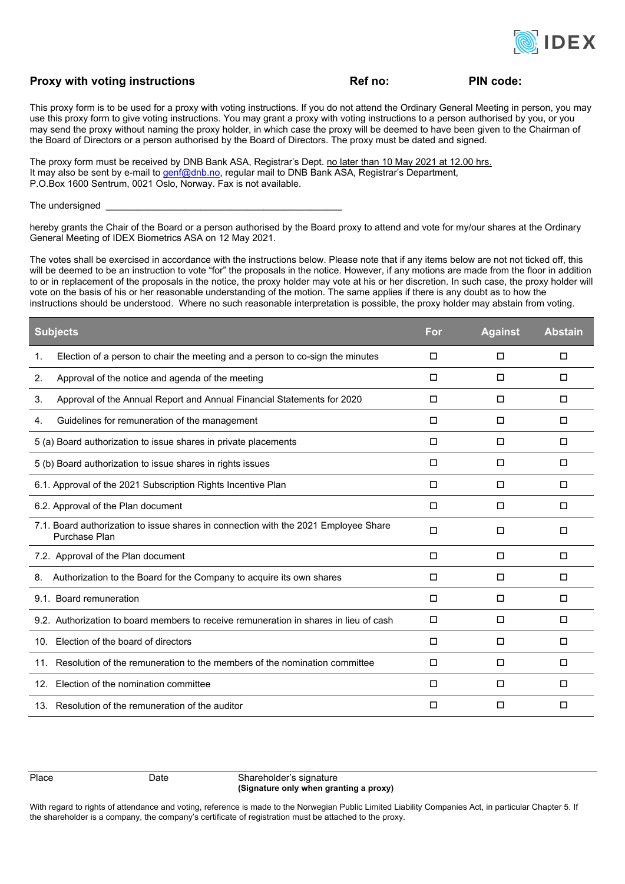

#### **Proxy with voting instructions COV Ref no:** PIN code:

This proxy form is to be used for a proxy with voting instructions. If you do not attend the Ordinary General Meeting in person, you may use this proxy form to give voting instructions. You may grant a proxy with voting instructions to a person authorised by you, or you may send the proxy without naming the proxy holder, in which case the proxy will be deemed to have been given to the Chairman of the Board of Directors or a person authorised by the Board of Directors. The proxy must be dated and signed.

The proxy form must be received by DNB Bank ASA, Registrar's Dept. no later than 10 May 2021 at 12.00 hrs. It may also be sent by e-mail to genf@dnb.no, regular mail to DNB Bank ASA, Registrar's Department, P.O.Box 1600 Sentrum, 0021 Oslo, Norway. Fax is not available.

The undersigned **\_\_\_\_\_\_\_\_\_\_\_\_\_\_\_\_\_\_\_\_\_\_\_\_\_\_\_\_\_\_\_\_\_\_\_\_\_\_\_\_\_\_\_\_\_**

hereby grants the Chair of the Board or a person authorised by the Board proxy to attend and vote for my/our shares at the Ordinary General Meeting of IDEX Biometrics ASA on 12 May 2021.

The votes shall be exercised in accordance with the instructions below. Please note that if any items below are not not ticked off, this will be deemed to be an instruction to vote "for" the proposals in the notice. However, if any motions are made from the floor in addition to or in replacement of the proposals in the notice, the proxy holder may vote at his or her discretion. In such case, the proxy holder will vote on the basis of his or her reasonable understanding of the motion. The same applies if there is any doubt as to how the instructions should be understood. Where no such reasonable interpretation is possible, the proxy holder may abstain from voting.

| <b>Subjects</b>                                                                                      | For    | <b>Against</b> | <b>Abstain</b> |
|------------------------------------------------------------------------------------------------------|--------|----------------|----------------|
| Election of a person to chair the meeting and a person to co-sign the minutes<br>1.                  | $\Box$ | $\Box$         | $\Box$         |
| Approval of the notice and agenda of the meeting<br>2.                                               | $\Box$ | □              | □              |
| Approval of the Annual Report and Annual Financial Statements for 2020<br>3.                         | □      | □              | □              |
| Guidelines for remuneration of the management<br>4.                                                  | $\Box$ | П              | $\Box$         |
| 5 (a) Board authorization to issue shares in private placements                                      | $\Box$ | П              | $\Box$         |
| 5 (b) Board authorization to issue shares in rights issues                                           | □      | □              | $\Box$         |
| 6.1. Approval of the 2021 Subscription Rights Incentive Plan                                         | П      | П              | П              |
| 6.2. Approval of the Plan document                                                                   | П      | □              | $\Box$         |
| 7.1. Board authorization to issue shares in connection with the 2021 Employee Share<br>Purchase Plan | $\Box$ | $\Box$         | $\Box$         |
| 7.2. Approval of the Plan document                                                                   | $\Box$ | □              | $\Box$         |
| 8. Authorization to the Board for the Company to acquire its own shares                              | □      | □              | □              |
| 9.1. Board remuneration                                                                              | □      | □              | □              |
| 9.2. Authorization to board members to receive remuneration in shares in lieu of cash                | $\Box$ | П              | $\Box$         |
| 10. Election of the board of directors                                                               | $\Box$ | □              | □              |
| 11. Resolution of the remuneration to the members of the nomination committee                        | □      | □              | □              |
| 12. Election of the nomination committee                                                             | П      | □              | □              |
| 13. Resolution of the remuneration of the auditor                                                    | п      | □              | П              |

Place Date Shareholder's signature  **(Signature only when granting a proxy)** 

With regard to rights of attendance and voting, reference is made to the Norwegian Public Limited Liability Companies Act, in particular Chapter 5. If the shareholder is a company, the company's certificate of registration must be attached to the proxy.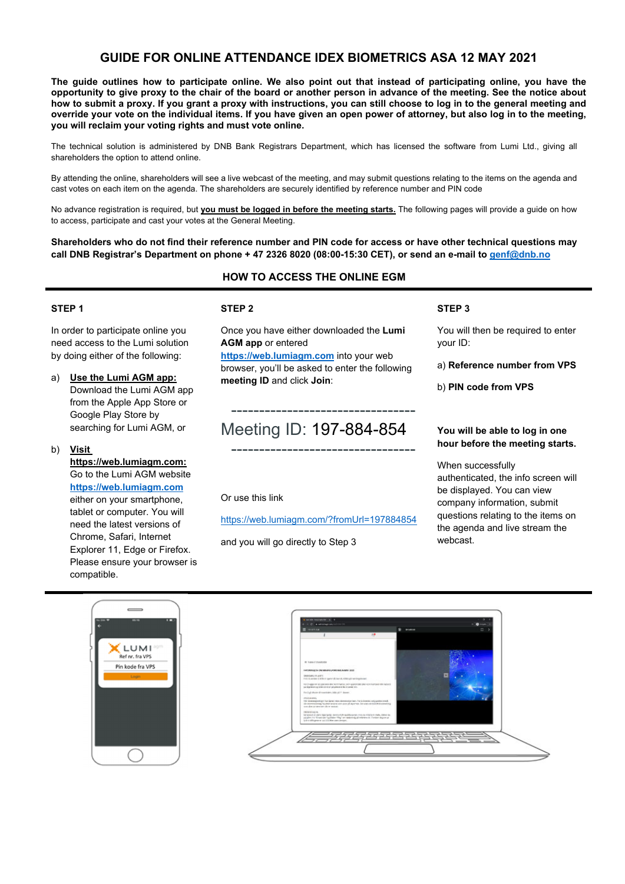# **GUIDE FOR ONLINE ATTENDANCE IDEX BIOMETRICS ASA 12 MAY 2021**

**The guide outlines how to participate online. We also point out that instead of participating online, you have the opportunity to give proxy to the chair of the board or another person in advance of the meeting. See the notice about how to submit a proxy. If you grant a proxy with instructions, you can still choose to log in to the general meeting and override your vote on the individual items. If you have given an open power of attorney, but also log in to the meeting, you will reclaim your voting rights and must vote online.** 

The technical solution is administered by DNB Bank Registrars Department, which has licensed the software from Lumi Ltd., giving all shareholders the option to attend online.

By attending the online, shareholders will see a live webcast of the meeting, and may submit questions relating to the items on the agenda and cast votes on each item on the agenda. The shareholders are securely identified by reference number and PIN code

No advance registration is required, but **you must be logged in before the meeting starts.** The following pages will provide a guide on how to access, participate and cast your votes at the General Meeting.

**Shareholders who do not find their reference number and PIN code for access or have other technical questions may call DNB Registrar's Department on phone + 47 2326 8020 (08:00-15:30 CET), or send an e-mail to genf@dnb.no**

# **HOW TO ACCESS THE ONLINE EGM**

#### **STEP 1**

In order to participate online you need access to the Lumi solution by doing either of the following:

- a) **Use the Lumi AGM app:** Download the Lumi AGM app from the Apple App Store or Google Play Store by searching for Lumi AGM, or
- b) **Visit**

**https://web.lumiagm.com:** Go to the Lumi AGM website **https://web.lumiagm.com** either on your smartphone, tablet or computer. You will need the latest versions of Chrome, Safari, Internet Explorer 11, Edge or Firefox. Please ensure your browser is compatible.

#### **STEP 2**

Once you have either downloaded the **Lumi AGM app** or entered

**https://web.lumiagm.com** into your web browser, you'll be asked to enter the following **meeting ID** and click **Join**:

# Meeting ID: 197-884-854

---------------------------------

---------------------------------

Or use this link

https://web.lumiagm.com/?fromUrl=197884854

and you will go directly to Step 3

**STEP 3** 

You will then be required to enter your ID:

a) **Reference number from VPS** 

b) **PIN code from VPS**

#### **You will be able to log in one hour before the meeting starts.**

When successfully authenticated, the info screen will be displayed. You can view company information, submit questions relating to the items on the agenda and live stream the webcast.



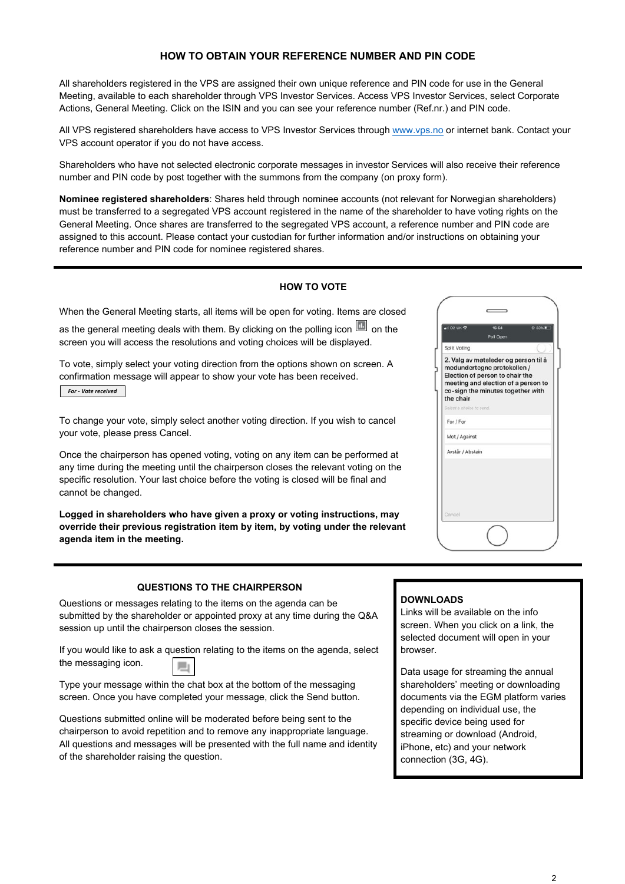#### **HOW TO OBTAIN YOUR REFERENCE NUMBER AND PIN CODE**

All shareholders registered in the VPS are assigned their own unique reference and PIN code for use in the General Meeting, available to each shareholder through VPS Investor Services. Access VPS Investor Services, select Corporate Actions, General Meeting. Click on the ISIN and you can see your reference number (Ref.nr.) and PIN code.

All VPS registered shareholders have access to VPS Investor Services through www.vps.no or internet bank. Contact your VPS account operator if you do not have access.

Shareholders who have not selected electronic corporate messages in investor Services will also receive their reference number and PIN code by post together with the summons from the company (on proxy form).

**Nominee registered shareholders**: Shares held through nominee accounts (not relevant for Norwegian shareholders) must be transferred to a segregated VPS account registered in the name of the shareholder to have voting rights on the General Meeting. Once shares are transferred to the segregated VPS account, a reference number and PIN code are assigned to this account. Please contact your custodian for further information and/or instructions on obtaining your reference number and PIN code for nominee registered shares.

#### **HOW TO VOTE**

When the General Meeting starts, all items will be open for voting. Items are closed

as the general meeting deals with them. By clicking on the polling icon  $\Box$  on the screen you will access the resolutions and voting choices will be displayed.

To vote, simply select your voting direction from the options shown on screen. A confirmation message will appear to show your vote has been received. *For ‐ Vote received*

To change your vote, simply select another voting direction. If you wish to cancel your vote, please press Cancel.

Once the chairperson has opened voting, voting on any item can be performed at any time during the meeting until the chairperson closes the relevant voting on the specific resolution. Your last choice before the voting is closed will be final and cannot be changed.

**Logged in shareholders who have given a proxy or voting instructions, may override their previous registration item by item, by voting under the relevant agenda item in the meeting.** 

|                          | 15:54<br>Poll Open                                                                                                                                                                 | ⊕ 33% |
|--------------------------|------------------------------------------------------------------------------------------------------------------------------------------------------------------------------------|-------|
| Split Voting             |                                                                                                                                                                                    |       |
| the chair                | 2. Valg av møteleder og person til å<br>medundertegne protokollen /<br>Election of person to chair the<br>meeting and election of a person to<br>co-sign the minutes together with |       |
| Select a choice to send. |                                                                                                                                                                                    |       |
| For / For                |                                                                                                                                                                                    |       |
| Mot / Against            |                                                                                                                                                                                    |       |
| Avstår / Abstain         |                                                                                                                                                                                    |       |
|                          |                                                                                                                                                                                    |       |

#### **QUESTIONS TO THE CHAIRPERSON**

Questions or messages relating to the items on the agenda can be submitted by the shareholder or appointed proxy at any time during the Q&A session up until the chairperson closes the session.

If you would like to ask a question relating to the items on the agenda, select the messaging icon.

Type your message within the chat box at the bottom of the messaging screen. Once you have completed your message, click the Send button.

Questions submitted online will be moderated before being sent to the chairperson to avoid repetition and to remove any inappropriate language. All questions and messages will be presented with the full name and identity of the shareholder raising the question.

#### **DOWNLOADS**

Links will be available on the info screen. When you click on a link, the selected document will open in your browser.

Data usage for streaming the annual shareholders' meeting or downloading documents via the EGM platform varies depending on individual use, the specific device being used for streaming or download (Android, iPhone, etc) and your network connection (3G, 4G).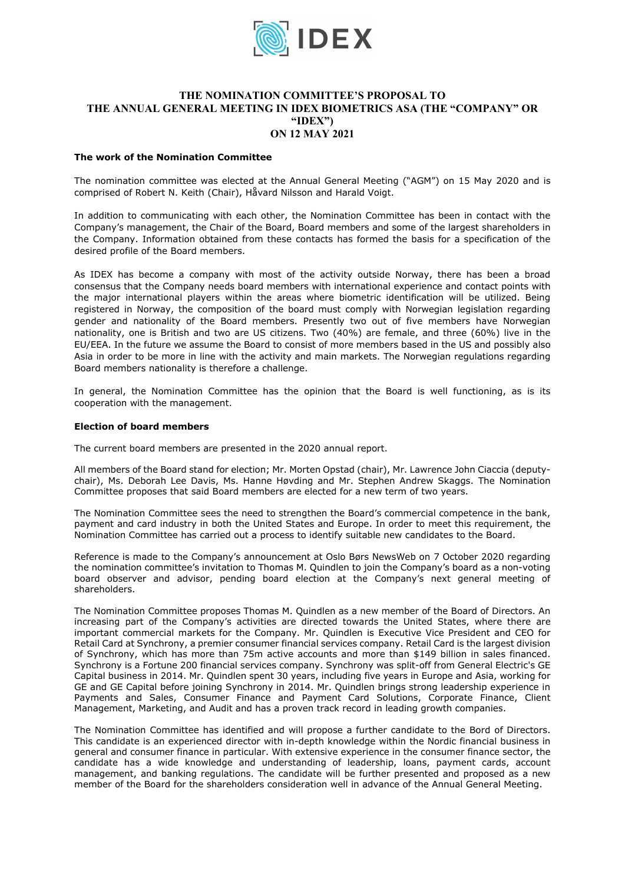

#### **THE NOMINATION COMMITTEE'S PROPOSAL TO THE ANNUAL GENERAL MEETING IN IDEX BIOMETRICS ASA (THE "COMPANY" OR "IDEX") ON 12 MAY 2021**

#### **The work of the Nomination Committee**

The nomination committee was elected at the Annual General Meeting ("AGM") on 15 May 2020 and is comprised of Robert N. Keith (Chair), Håvard Nilsson and Harald Voigt.

In addition to communicating with each other, the Nomination Committee has been in contact with the Company's management, the Chair of the Board, Board members and some of the largest shareholders in the Company. Information obtained from these contacts has formed the basis for a specification of the desired profile of the Board members.

As IDEX has become a company with most of the activity outside Norway, there has been a broad consensus that the Company needs board members with international experience and contact points with the major international players within the areas where biometric identification will be utilized. Being registered in Norway, the composition of the board must comply with Norwegian legislation regarding gender and nationality of the Board members. Presently two out of five members have Norwegian nationality, one is British and two are US citizens. Two (40%) are female, and three (60%) live in the EU/EEA. In the future we assume the Board to consist of more members based in the US and possibly also Asia in order to be more in line with the activity and main markets. The Norwegian regulations regarding Board members nationality is therefore a challenge.

In general, the Nomination Committee has the opinion that the Board is well functioning, as is its cooperation with the management.

#### **Election of board members**

The current board members are presented in the 2020 annual report.

All members of the Board stand for election; Mr. Morten Opstad (chair), Mr. Lawrence John Ciaccia (deputychair), Ms. Deborah Lee Davis, Ms. Hanne Høvding and Mr. Stephen Andrew Skaggs. The Nomination Committee proposes that said Board members are elected for a new term of two years.

The Nomination Committee sees the need to strengthen the Board's commercial competence in the bank, payment and card industry in both the United States and Europe. In order to meet this requirement, the Nomination Committee has carried out a process to identify suitable new candidates to the Board.

Reference is made to the Company's announcement at Oslo Børs NewsWeb on 7 October 2020 regarding the nomination committee's invitation to Thomas M. Quindlen to join the Company's board as a non-voting board observer and advisor, pending board election at the Company's next general meeting of shareholders.

The Nomination Committee proposes Thomas M. Quindlen as a new member of the Board of Directors. An increasing part of the Company's activities are directed towards the United States, where there are important commercial markets for the Company. Mr. Quindlen is Executive Vice President and CEO for Retail Card at Synchrony, a premier consumer financial services company. Retail Card is the largest division of Synchrony, which has more than 75m active accounts and more than \$149 billion in sales financed. Synchrony is a Fortune 200 financial services company. Synchrony was split-off from General Electric's GE Capital business in 2014. Mr. Quindlen spent 30 years, including five years in Europe and Asia, working for GE and GE Capital before joining Synchrony in 2014. Mr. Quindlen brings strong leadership experience in Payments and Sales, Consumer Finance and Payment Card Solutions, Corporate Finance, Client Management, Marketing, and Audit and has a proven track record in leading growth companies.

The Nomination Committee has identified and will propose a further candidate to the Bord of Directors. This candidate is an experienced director with in-depth knowledge within the Nordic financial business in general and consumer finance in particular. With extensive experience in the consumer finance sector, the candidate has a wide knowledge and understanding of leadership, loans, payment cards, account management, and banking regulations. The candidate will be further presented and proposed as a new member of the Board for the shareholders consideration well in advance of the Annual General Meeting.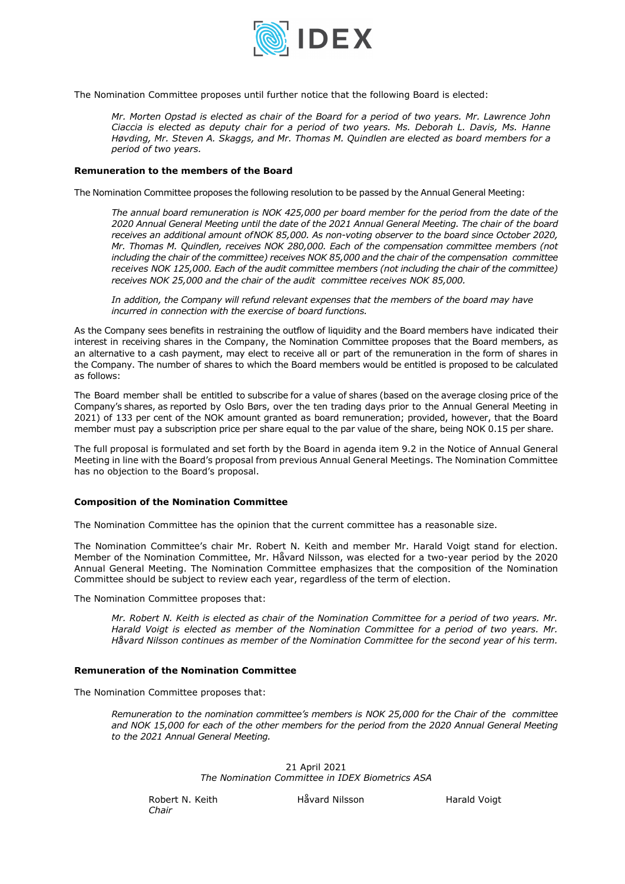

The Nomination Committee proposes until further notice that the following Board is elected:

*Mr. Morten Opstad is elected as chair of the Board for a period of two years. Mr. Lawrence John Ciaccia is elected as deputy chair for a period of two years. Ms. Deborah L. Davis, Ms. Hanne Høvding, Mr. Steven A. Skaggs, and Mr. Thomas M. Quindlen are elected as board members for a period of two years.* 

#### **Remuneration to the members of the Board**

The Nomination Committee proposes the following resolution to be passed by the Annual General Meeting:

*The annual board remuneration is NOK 425,000 per board member for the period from the date of the 2020 Annual General Meeting until the date of the 2021 Annual General Meeting. The chair of the board receives an additional amount of NOK 85,000. As non-voting observer to the board since October 2020, Mr. Thomas M. Quindlen, receives NOK 280,000. Each of the compensation committee members (not including the chair of the committee) receives NOK 85,000 and the chair of the compensation committee receives NOK 125,000. Each of the audit committee members (not including the chair of the committee) receives NOK 25,000 and the chair of the audit committee receives NOK 85,000.* 

*In addition, the Company will refund relevant expenses that the members of the board may have incurred in connection with the exercise of board functions.* 

As the Company sees benefits in restraining the outflow of liquidity and the Board members have indicated their interest in receiving shares in the Company, the Nomination Committee proposes that the Board members, as an alternative to a cash payment, may elect to receive all or part of the remuneration in the form of shares in the Company. The number of shares to which the Board members would be entitled is proposed to be calculated as follows:

The Board member shall be entitled to subscribe for a value of shares (based on the average closing price of the Company's shares, as reported by Oslo Børs, over the ten trading days prior to the Annual General Meeting in 2021) of 133 per cent of the NOK amount granted as board remuneration; provided, however, that the Board member must pay a subscription price per share equal to the par value of the share, being NOK 0.15 per share.

The full proposal is formulated and set forth by the Board in agenda item 9.2 in the Notice of Annual General Meeting in line with the Board's proposal from previous Annual General Meetings. The Nomination Committee has no objection to the Board's proposal.

#### **Composition of the Nomination Committee**

The Nomination Committee has the opinion that the current committee has a reasonable size.

The Nomination Committee's chair Mr. Robert N. Keith and member Mr. Harald Voigt stand for election. Member of the Nomination Committee, Mr. Håvard Nilsson, was elected for a two-year period by the 2020 Annual General Meeting. The Nomination Committee emphasizes that the composition of the Nomination Committee should be subject to review each year, regardless of the term of election.

The Nomination Committee proposes that:

*Mr. Robert N. Keith is elected as chair of the Nomination Committee for a period of two years. Mr. Harald Voigt is elected as member of the Nomination Committee for a period of two years. Mr. Håvard Nilsson continues as member of the Nomination Committee for the second year of his term.* 

#### **Remuneration of the Nomination Committee**

The Nomination Committee proposes that:

*Remuneration to the nomination committee's members is NOK 25,000 for the Chair of the committee and NOK 15,000 for each of the other members for the period from the 2020 Annual General Meeting to the 2021 Annual General Meeting.*

> 21 April 2021 *The Nomination Committee in IDEX Biometrics ASA*

*Chair* 

Robert N. Keith **Håvard Nilsson** Harald Voigt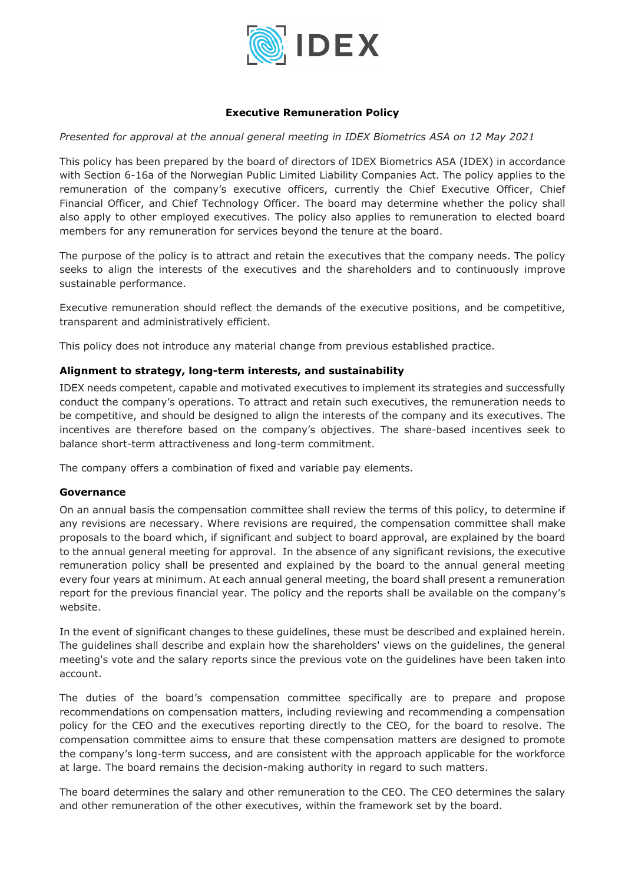

#### **Executive Remuneration Policy**

*Presented for approval at the annual general meeting in IDEX Biometrics ASA on 12 May 2021* 

This policy has been prepared by the board of directors of IDEX Biometrics ASA (IDEX) in accordance with Section 6-16a of the Norwegian Public Limited Liability Companies Act. The policy applies to the remuneration of the company's executive officers, currently the Chief Executive Officer, Chief Financial Officer, and Chief Technology Officer. The board may determine whether the policy shall also apply to other employed executives. The policy also applies to remuneration to elected board members for any remuneration for services beyond the tenure at the board.

The purpose of the policy is to attract and retain the executives that the company needs. The policy seeks to align the interests of the executives and the shareholders and to continuously improve sustainable performance.

Executive remuneration should reflect the demands of the executive positions, and be competitive, transparent and administratively efficient.

This policy does not introduce any material change from previous established practice.

# **Alignment to strategy, long-term interests, and sustainability**

IDEX needs competent, capable and motivated executives to implement its strategies and successfully conduct the company's operations. To attract and retain such executives, the remuneration needs to be competitive, and should be designed to align the interests of the company and its executives. The incentives are therefore based on the company's objectives. The share-based incentives seek to balance short-term attractiveness and long-term commitment.

The company offers a combination of fixed and variable pay elements.

#### **Governance**

On an annual basis the compensation committee shall review the terms of this policy, to determine if any revisions are necessary. Where revisions are required, the compensation committee shall make proposals to the board which, if significant and subject to board approval, are explained by the board to the annual general meeting for approval. In the absence of any significant revisions, the executive remuneration policy shall be presented and explained by the board to the annual general meeting every four years at minimum. At each annual general meeting, the board shall present a remuneration report for the previous financial year. The policy and the reports shall be available on the company's website.

In the event of significant changes to these guidelines, these must be described and explained herein. The guidelines shall describe and explain how the shareholders' views on the guidelines, the general meeting's vote and the salary reports since the previous vote on the guidelines have been taken into account.

The duties of the board's compensation committee specifically are to prepare and propose recommendations on compensation matters, including reviewing and recommending a compensation policy for the CEO and the executives reporting directly to the CEO, for the board to resolve. The compensation committee aims to ensure that these compensation matters are designed to promote the company's long-term success, and are consistent with the approach applicable for the workforce at large. The board remains the decision-making authority in regard to such matters.

The board determines the salary and other remuneration to the CEO. The CEO determines the salary and other remuneration of the other executives, within the framework set by the board.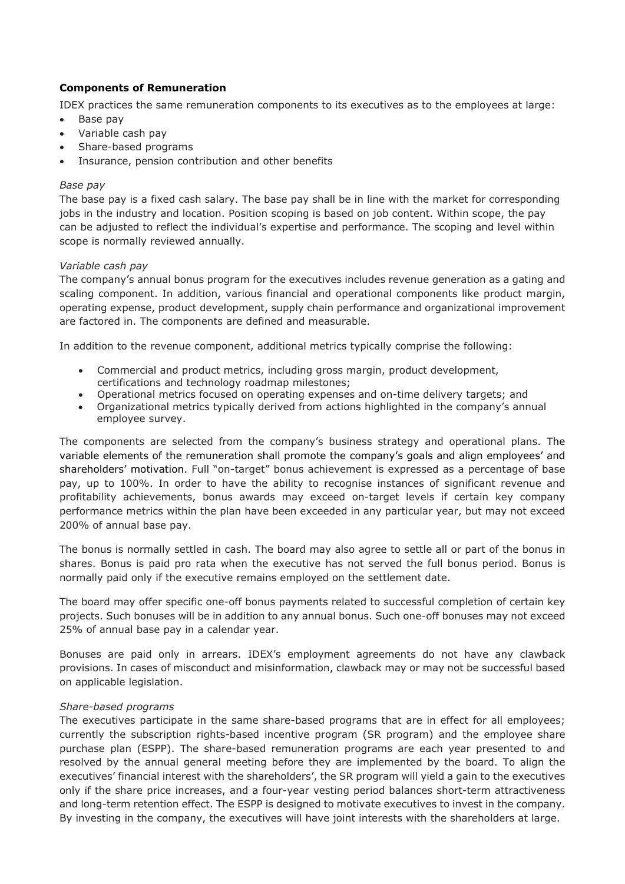#### **Components of Remuneration**

IDEX practices the same remuneration components to its executives as to the employees at large:

- Base pay
- Variable cash pay
- Share-based programs
- Insurance, pension contribution and other benefits

#### *Base pay*

The base pay is a fixed cash salary. The base pay shall be in line with the market for corresponding jobs in the industry and location. Position scoping is based on job content. Within scope, the pay can be adjusted to reflect the individual's expertise and performance. The scoping and level within scope is normally reviewed annually.

#### *Variable cash pay*

The company's annual bonus program for the executives includes revenue generation as a gating and scaling component. In addition, various financial and operational components like product margin, operating expense, product development, supply chain performance and organizational improvement are factored in. The components are defined and measurable.

In addition to the revenue component, additional metrics typically comprise the following:

- Commercial and product metrics, including gross margin, product development, certifications and technology roadmap milestones;
- Operational metrics focused on operating expenses and on-time delivery targets; and
- Organizational metrics typically derived from actions highlighted in the company's annual employee survey.

The components are selected from the company's business strategy and operational plans. The variable elements of the remuneration shall promote the company's goals and align employees' and shareholders' motivation. Full "on-target" bonus achievement is expressed as a percentage of base pay, up to 100%. In order to have the ability to recognise instances of significant revenue and profitability achievements, bonus awards may exceed on-target levels if certain key company performance metrics within the plan have been exceeded in any particular year, but may not exceed 200% of annual base pay.

The bonus is normally settled in cash. The board may also agree to settle all or part of the bonus in shares. Bonus is paid pro rata when the executive has not served the full bonus period. Bonus is normally paid only if the executive remains employed on the settlement date.

The board may offer specific one-off bonus payments related to successful completion of certain key projects. Such bonuses will be in addition to any annual bonus. Such one-off bonuses may not exceed 25% of annual base pay in a calendar year.

Bonuses are paid only in arrears. IDEX's employment agreements do not have any clawback provisions. In cases of misconduct and misinformation, clawback may or may not be successful based on applicable legislation.

#### *Share-based programs*

The executives participate in the same share-based programs that are in effect for all employees; currently the subscription rights-based incentive program (SR program) and the employee share purchase plan (ESPP). The share-based remuneration programs are each year presented to and resolved by the annual general meeting before they are implemented by the board. To align the executives' financial interest with the shareholders', the SR program will yield a gain to the executives only if the share price increases, and a four-year vesting period balances short-term attractiveness and long-term retention effect. The ESPP is designed to motivate executives to invest in the company. By investing in the company, the executives will have joint interests with the shareholders at large.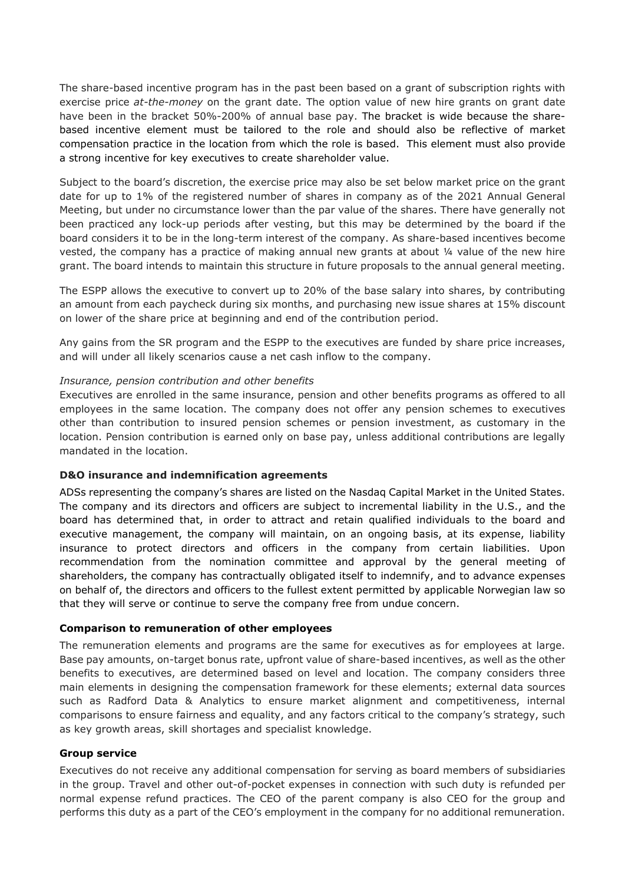The share-based incentive program has in the past been based on a grant of subscription rights with exercise price *at-the-money* on the grant date. The option value of new hire grants on grant date have been in the bracket 50%-200% of annual base pay. The bracket is wide because the sharebased incentive element must be tailored to the role and should also be reflective of market compensation practice in the location from which the role is based. This element must also provide a strong incentive for key executives to create shareholder value.

Subject to the board's discretion, the exercise price may also be set below market price on the grant date for up to 1% of the registered number of shares in company as of the 2021 Annual General Meeting, but under no circumstance lower than the par value of the shares. There have generally not been practiced any lock-up periods after vesting, but this may be determined by the board if the board considers it to be in the long-term interest of the company. As share-based incentives become vested, the company has a practice of making annual new grants at about ¼ value of the new hire grant. The board intends to maintain this structure in future proposals to the annual general meeting.

The ESPP allows the executive to convert up to 20% of the base salary into shares, by contributing an amount from each paycheck during six months, and purchasing new issue shares at 15% discount on lower of the share price at beginning and end of the contribution period.

Any gains from the SR program and the ESPP to the executives are funded by share price increases, and will under all likely scenarios cause a net cash inflow to the company.

#### *Insurance, pension contribution and other benefits*

Executives are enrolled in the same insurance, pension and other benefits programs as offered to all employees in the same location. The company does not offer any pension schemes to executives other than contribution to insured pension schemes or pension investment, as customary in the location. Pension contribution is earned only on base pay, unless additional contributions are legally mandated in the location.

#### **D&O insurance and indemnification agreements**

ADSs representing the company's shares are listed on the Nasdaq Capital Market in the United States. The company and its directors and officers are subject to incremental liability in the U.S., and the board has determined that, in order to attract and retain qualified individuals to the board and executive management, the company will maintain, on an ongoing basis, at its expense, liability insurance to protect directors and officers in the company from certain liabilities. Upon recommendation from the nomination committee and approval by the general meeting of shareholders, the company has contractually obligated itself to indemnify, and to advance expenses on behalf of, the directors and officers to the fullest extent permitted by applicable Norwegian law so that they will serve or continue to serve the company free from undue concern.

#### **Comparison to remuneration of other employees**

The remuneration elements and programs are the same for executives as for employees at large. Base pay amounts, on-target bonus rate, upfront value of share-based incentives, as well as the other benefits to executives, are determined based on level and location. The company considers three main elements in designing the compensation framework for these elements; external data sources such as Radford Data & Analytics to ensure market alignment and competitiveness, internal comparisons to ensure fairness and equality, and any factors critical to the company's strategy, such as key growth areas, skill shortages and specialist knowledge.

#### **Group service**

Executives do not receive any additional compensation for serving as board members of subsidiaries in the group. Travel and other out-of-pocket expenses in connection with such duty is refunded per normal expense refund practices. The CEO of the parent company is also CEO for the group and performs this duty as a part of the CEO's employment in the company for no additional remuneration.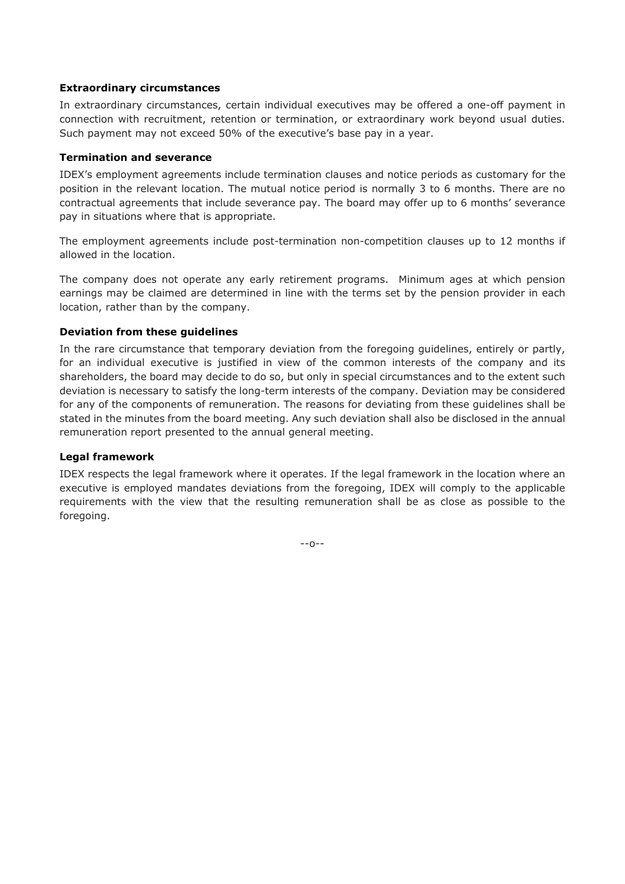#### **Extraordinary circumstances**

In extraordinary circumstances, certain individual executives may be offered a one-off payment in connection with recruitment, retention or termination, or extraordinary work beyond usual duties. Such payment may not exceed 50% of the executive's base pay in a year.

#### **Termination and severance**

IDEX's employment agreements include termination clauses and notice periods as customary for the position in the relevant location. The mutual notice period is normally 3 to 6 months. There are no contractual agreements that include severance pay. The board may offer up to 6 months' severance pay in situations where that is appropriate.

The employment agreements include post-termination non-competition clauses up to 12 months if allowed in the location.

The company does not operate any early retirement programs. Minimum ages at which pension earnings may be claimed are determined in line with the terms set by the pension provider in each location, rather than by the company.

#### **Deviation from these guidelines**

In the rare circumstance that temporary deviation from the foregoing guidelines, entirely or partly, for an individual executive is justified in view of the common interests of the company and its shareholders, the board may decide to do so, but only in special circumstances and to the extent such deviation is necessary to satisfy the long-term interests of the company. Deviation may be considered for any of the components of remuneration. The reasons for deviating from these guidelines shall be stated in the minutes from the board meeting. Any such deviation shall also be disclosed in the annual remuneration report presented to the annual general meeting.

#### **Legal framework**

IDEX respects the legal framework where it operates. If the legal framework in the location where an executive is employed mandates deviations from the foregoing, IDEX will comply to the applicable requirements with the view that the resulting remuneration shall be as close as possible to the foregoing.

--o--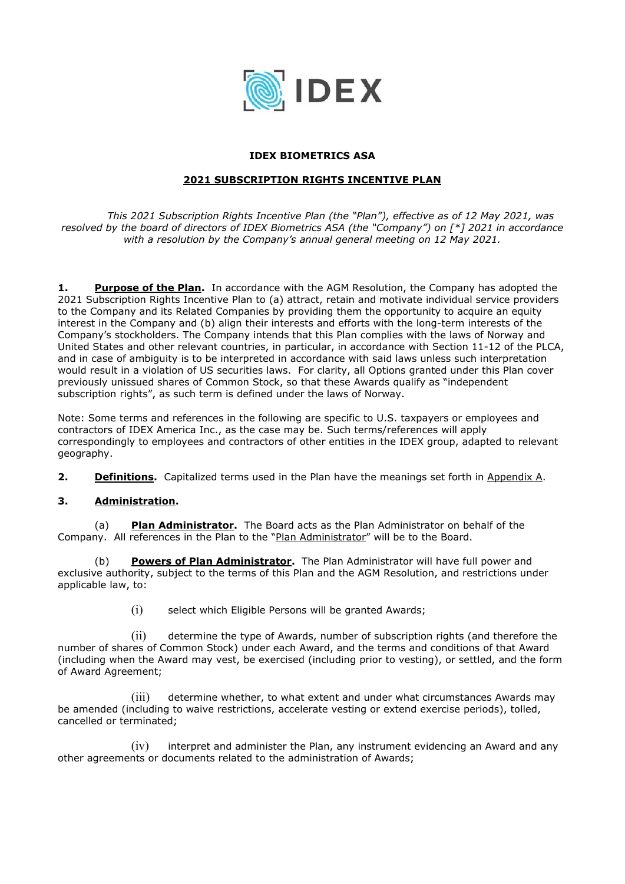

#### **IDEX BIOMETRICS ASA**

#### **2021 SUBSCRIPTION RIGHTS INCENTIVE PLAN**

*This 2021 Subscription Rights Incentive Plan (the "Plan"), effective as of 12 May 2021, was resolved by the board of directors of IDEX Biometrics ASA (the "Company") on [\*] 2021 in accordance with a resolution by the Company's annual general meeting on 12 May 2021.* 

1. **Purpose of the Plan.** In accordance with the AGM Resolution, the Company has adopted the 2021 Subscription Rights Incentive Plan to (a) attract, retain and motivate individual service providers to the Company and its Related Companies by providing them the opportunity to acquire an equity interest in the Company and (b) align their interests and efforts with the long-term interests of the Company's stockholders. The Company intends that this Plan complies with the laws of Norway and United States and other relevant countries, in particular, in accordance with Section 11-12 of the PLCA, and in case of ambiguity is to be interpreted in accordance with said laws unless such interpretation would result in a violation of US securities laws. For clarity, all Options granted under this Plan cover previously unissued shares of Common Stock, so that these Awards qualify as "independent subscription rights", as such term is defined under the laws of Norway.

Note: Some terms and references in the following are specific to U.S. taxpayers or employees and contractors of IDEX America Inc., as the case may be. Such terms/references will apply correspondingly to employees and contractors of other entities in the IDEX group, adapted to relevant geography.

**2. Definitions.** Capitalized terms used in the Plan have the meanings set forth in Appendix A.

#### **3. Administration.**

(a) **Plan Administrator.** The Board acts as the Plan Administrator on behalf of the Company. All references in the Plan to the "Plan Administrator" will be to the Board.

(b) **Powers of Plan Administrator.** The Plan Administrator will have full power and exclusive authority, subject to the terms of this Plan and the AGM Resolution, and restrictions under applicable law, to:

(i) select which Eligible Persons will be granted Awards;

(ii) determine the type of Awards, number of subscription rights (and therefore the number of shares of Common Stock) under each Award, and the terms and conditions of that Award (including when the Award may vest, be exercised (including prior to vesting), or settled, and the form of Award Agreement;

(iii) determine whether, to what extent and under what circumstances Awards may be amended (including to waive restrictions, accelerate vesting or extend exercise periods), tolled, cancelled or terminated;

(iv) interpret and administer the Plan, any instrument evidencing an Award and any other agreements or documents related to the administration of Awards;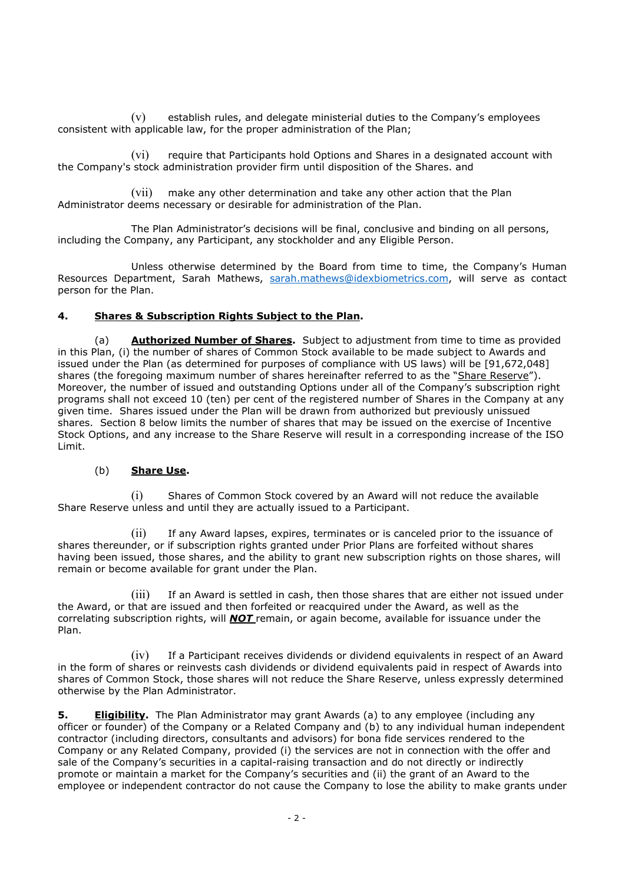(v) establish rules, and delegate ministerial duties to the Company's employees consistent with applicable law, for the proper administration of the Plan;

(vi) require that Participants hold Options and Shares in a designated account with the Company's stock administration provider firm until disposition of the Shares. and

(vii) make any other determination and take any other action that the Plan Administrator deems necessary or desirable for administration of the Plan.

The Plan Administrator's decisions will be final, conclusive and binding on all persons, including the Company, any Participant, any stockholder and any Eligible Person.

Unless otherwise determined by the Board from time to time, the Company's Human Resources Department, Sarah Mathews, sarah.mathews@idexbiometrics.com, will serve as contact person for the Plan.

#### **4. Shares & Subscription Rights Subject to the Plan.**

(a) **Authorized Number of Shares.** Subject to adjustment from time to time as provided in this Plan, (i) the number of shares of Common Stock available to be made subject to Awards and issued under the Plan (as determined for purposes of compliance with US laws) will be [91,672,048] shares (the foregoing maximum number of shares hereinafter referred to as the "Share Reserve"). Moreover, the number of issued and outstanding Options under all of the Company's subscription right programs shall not exceed 10 (ten) per cent of the registered number of Shares in the Company at any given time. Shares issued under the Plan will be drawn from authorized but previously unissued shares. Section 8 below limits the number of shares that may be issued on the exercise of Incentive Stock Options, and any increase to the Share Reserve will result in a corresponding increase of the ISO Limit.

#### (b) **Share Use.**

(i) Shares of Common Stock covered by an Award will not reduce the available Share Reserve unless and until they are actually issued to a Participant.

(ii) If any Award lapses, expires, terminates or is canceled prior to the issuance of shares thereunder, or if subscription rights granted under Prior Plans are forfeited without shares having been issued, those shares, and the ability to grant new subscription rights on those shares, will remain or become available for grant under the Plan.

(iii) If an Award is settled in cash, then those shares that are either not issued under the Award, or that are issued and then forfeited or reacquired under the Award, as well as the correlating subscription rights, will *NOT* remain, or again become, available for issuance under the Plan.

(iv) If a Participant receives dividends or dividend equivalents in respect of an Award in the form of shares or reinvests cash dividends or dividend equivalents paid in respect of Awards into shares of Common Stock, those shares will not reduce the Share Reserve, unless expressly determined otherwise by the Plan Administrator.

**5. Eligibility.** The Plan Administrator may grant Awards (a) to any employee (including any officer or founder) of the Company or a Related Company and (b) to any individual human independent contractor (including directors, consultants and advisors) for bona fide services rendered to the Company or any Related Company, provided (i) the services are not in connection with the offer and sale of the Company's securities in a capital-raising transaction and do not directly or indirectly promote or maintain a market for the Company's securities and (ii) the grant of an Award to the employee or independent contractor do not cause the Company to lose the ability to make grants under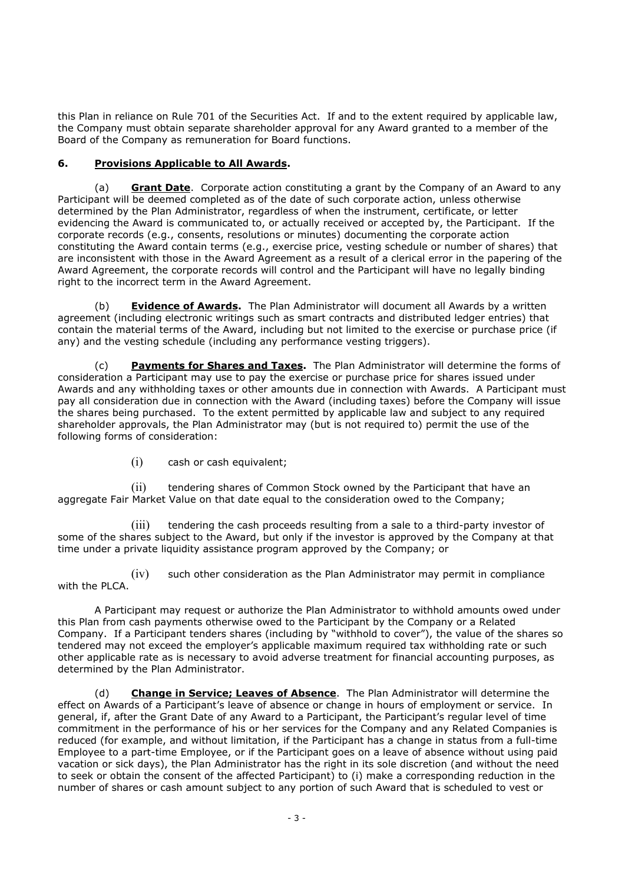this Plan in reliance on Rule 701 of the Securities Act. If and to the extent required by applicable law, the Company must obtain separate shareholder approval for any Award granted to a member of the Board of the Company as remuneration for Board functions.

# **6. Provisions Applicable to All Awards.**

(a) **Grant Date**. Corporate action constituting a grant by the Company of an Award to any Participant will be deemed completed as of the date of such corporate action, unless otherwise determined by the Plan Administrator, regardless of when the instrument, certificate, or letter evidencing the Award is communicated to, or actually received or accepted by, the Participant. If the corporate records (e.g., consents, resolutions or minutes) documenting the corporate action constituting the Award contain terms (e.g., exercise price, vesting schedule or number of shares) that are inconsistent with those in the Award Agreement as a result of a clerical error in the papering of the Award Agreement, the corporate records will control and the Participant will have no legally binding right to the incorrect term in the Award Agreement.

(b) **Evidence of Awards.** The Plan Administrator will document all Awards by a written agreement (including electronic writings such as smart contracts and distributed ledger entries) that contain the material terms of the Award, including but not limited to the exercise or purchase price (if any) and the vesting schedule (including any performance vesting triggers).

(c) **Payments for Shares and Taxes.** The Plan Administrator will determine the forms of consideration a Participant may use to pay the exercise or purchase price for shares issued under Awards and any withholding taxes or other amounts due in connection with Awards. A Participant must pay all consideration due in connection with the Award (including taxes) before the Company will issue the shares being purchased. To the extent permitted by applicable law and subject to any required shareholder approvals, the Plan Administrator may (but is not required to) permit the use of the following forms of consideration:

(i) cash or cash equivalent;

(ii) tendering shares of Common Stock owned by the Participant that have an aggregate Fair Market Value on that date equal to the consideration owed to the Company;

(iii) tendering the cash proceeds resulting from a sale to a third-party investor of some of the shares subject to the Award, but only if the investor is approved by the Company at that time under a private liquidity assistance program approved by the Company; or

(iv) such other consideration as the Plan Administrator may permit in compliance with the PLCA.

A Participant may request or authorize the Plan Administrator to withhold amounts owed under this Plan from cash payments otherwise owed to the Participant by the Company or a Related Company. If a Participant tenders shares (including by "withhold to cover"), the value of the shares so tendered may not exceed the employer's applicable maximum required tax withholding rate or such other applicable rate as is necessary to avoid adverse treatment for financial accounting purposes, as determined by the Plan Administrator.

(d) **Change in Service; Leaves of Absence**. The Plan Administrator will determine the effect on Awards of a Participant's leave of absence or change in hours of employment or service. In general, if, after the Grant Date of any Award to a Participant, the Participant's regular level of time commitment in the performance of his or her services for the Company and any Related Companies is reduced (for example, and without limitation, if the Participant has a change in status from a full-time Employee to a part-time Employee, or if the Participant goes on a leave of absence without using paid vacation or sick days), the Plan Administrator has the right in its sole discretion (and without the need to seek or obtain the consent of the affected Participant) to (i) make a corresponding reduction in the number of shares or cash amount subject to any portion of such Award that is scheduled to vest or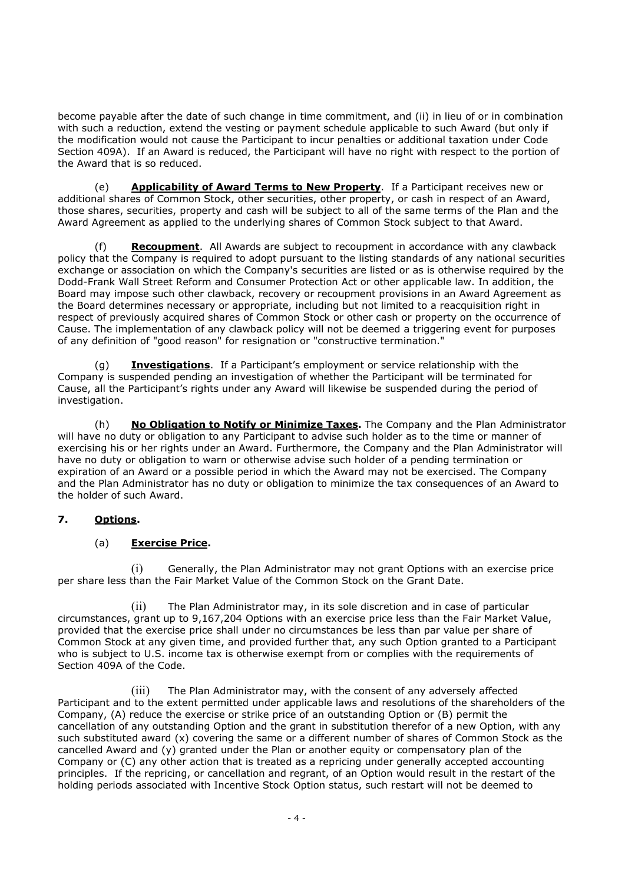become payable after the date of such change in time commitment, and (ii) in lieu of or in combination with such a reduction, extend the vesting or payment schedule applicable to such Award (but only if the modification would not cause the Participant to incur penalties or additional taxation under Code Section 409A). If an Award is reduced, the Participant will have no right with respect to the portion of the Award that is so reduced.

(e) **Applicability of Award Terms to New Property**. If a Participant receives new or additional shares of Common Stock, other securities, other property, or cash in respect of an Award, those shares, securities, property and cash will be subject to all of the same terms of the Plan and the Award Agreement as applied to the underlying shares of Common Stock subject to that Award.

(f) **Recoupment**. All Awards are subject to recoupment in accordance with any clawback policy that the Company is required to adopt pursuant to the listing standards of any national securities exchange or association on which the Company's securities are listed or as is otherwise required by the Dodd-Frank Wall Street Reform and Consumer Protection Act or other applicable law. In addition, the Board may impose such other clawback, recovery or recoupment provisions in an Award Agreement as the Board determines necessary or appropriate, including but not limited to a reacquisition right in respect of previously acquired shares of Common Stock or other cash or property on the occurrence of Cause. The implementation of any clawback policy will not be deemed a triggering event for purposes of any definition of "good reason" for resignation or "constructive termination."

(g) **Investigations**. If a Participant's employment or service relationship with the Company is suspended pending an investigation of whether the Participant will be terminated for Cause, all the Participant's rights under any Award will likewise be suspended during the period of investigation.

(h) **No Obligation to Notify or Minimize Taxes.** The Company and the Plan Administrator will have no duty or obligation to any Participant to advise such holder as to the time or manner of exercising his or her rights under an Award. Furthermore, the Company and the Plan Administrator will have no duty or obligation to warn or otherwise advise such holder of a pending termination or expiration of an Award or a possible period in which the Award may not be exercised. The Company and the Plan Administrator has no duty or obligation to minimize the tax consequences of an Award to the holder of such Award.

# **7. Options.**

# (a) **Exercise Price.**

(i) Generally, the Plan Administrator may not grant Options with an exercise price per share less than the Fair Market Value of the Common Stock on the Grant Date.

(ii) The Plan Administrator may, in its sole discretion and in case of particular circumstances, grant up to 9,167,204 Options with an exercise price less than the Fair Market Value, provided that the exercise price shall under no circumstances be less than par value per share of Common Stock at any given time, and provided further that, any such Option granted to a Participant who is subject to U.S. income tax is otherwise exempt from or complies with the requirements of Section 409A of the Code.

(iii) The Plan Administrator may, with the consent of any adversely affected Participant and to the extent permitted under applicable laws and resolutions of the shareholders of the Company, (A) reduce the exercise or strike price of an outstanding Option or (B) permit the cancellation of any outstanding Option and the grant in substitution therefor of a new Option, with any such substituted award (x) covering the same or a different number of shares of Common Stock as the cancelled Award and (y) granted under the Plan or another equity or compensatory plan of the Company or (C) any other action that is treated as a repricing under generally accepted accounting principles. If the repricing, or cancellation and regrant, of an Option would result in the restart of the holding periods associated with Incentive Stock Option status, such restart will not be deemed to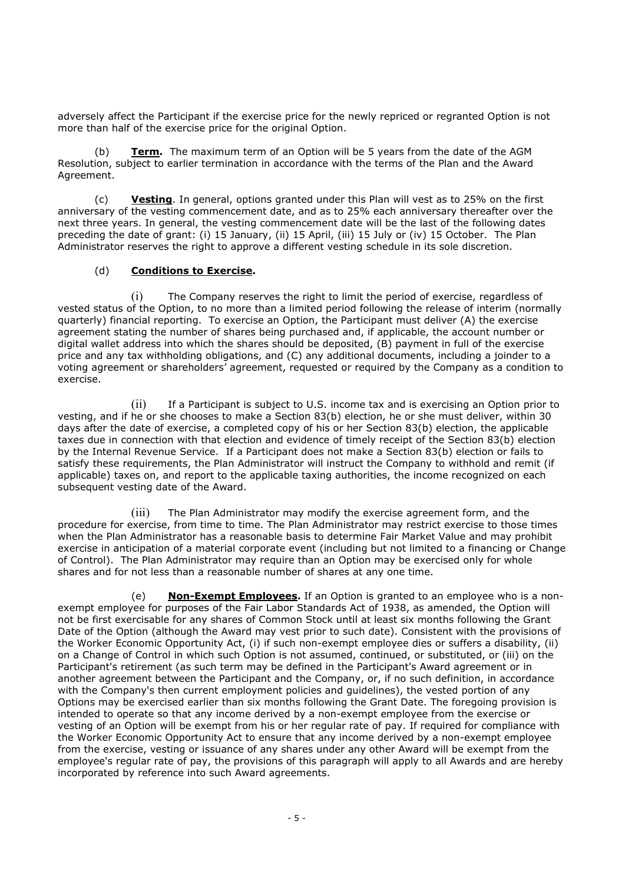adversely affect the Participant if the exercise price for the newly repriced or regranted Option is not more than half of the exercise price for the original Option.

(b) **Term.** The maximum term of an Option will be 5 years from the date of the AGM Resolution, subject to earlier termination in accordance with the terms of the Plan and the Award Agreement.

(c) **Vesting**. In general, options granted under this Plan will vest as to 25% on the first anniversary of the vesting commencement date, and as to 25% each anniversary thereafter over the next three years. In general, the vesting commencement date will be the last of the following dates preceding the date of grant: (i) 15 January, (ii) 15 April, (iii) 15 July or (iv) 15 October. The Plan Administrator reserves the right to approve a different vesting schedule in its sole discretion.

#### (d) **Conditions to Exercise.**

(i) The Company reserves the right to limit the period of exercise, regardless of vested status of the Option, to no more than a limited period following the release of interim (normally quarterly) financial reporting. To exercise an Option, the Participant must deliver (A) the exercise agreement stating the number of shares being purchased and, if applicable, the account number or digital wallet address into which the shares should be deposited, (B) payment in full of the exercise price and any tax withholding obligations, and (C) any additional documents, including a joinder to a voting agreement or shareholders' agreement, requested or required by the Company as a condition to exercise.

(ii) If a Participant is subject to U.S. income tax and is exercising an Option prior to vesting, and if he or she chooses to make a Section 83(b) election, he or she must deliver, within 30 days after the date of exercise, a completed copy of his or her Section 83(b) election, the applicable taxes due in connection with that election and evidence of timely receipt of the Section 83(b) election by the Internal Revenue Service. If a Participant does not make a Section 83(b) election or fails to satisfy these requirements, the Plan Administrator will instruct the Company to withhold and remit (if applicable) taxes on, and report to the applicable taxing authorities, the income recognized on each subsequent vesting date of the Award.

(iii) The Plan Administrator may modify the exercise agreement form, and the procedure for exercise, from time to time. The Plan Administrator may restrict exercise to those times when the Plan Administrator has a reasonable basis to determine Fair Market Value and may prohibit exercise in anticipation of a material corporate event (including but not limited to a financing or Change of Control). The Plan Administrator may require than an Option may be exercised only for whole shares and for not less than a reasonable number of shares at any one time.

(e) **Non-Exempt Employees.** If an Option is granted to an employee who is a nonexempt employee for purposes of the Fair Labor Standards Act of 1938, as amended, the Option will not be first exercisable for any shares of Common Stock until at least six months following the Grant Date of the Option (although the Award may vest prior to such date). Consistent with the provisions of the Worker Economic Opportunity Act, (i) if such non-exempt employee dies or suffers a disability, (ii) on a Change of Control in which such Option is not assumed, continued, or substituted, or (iii) on the Participant's retirement (as such term may be defined in the Participant's Award agreement or in another agreement between the Participant and the Company, or, if no such definition, in accordance with the Company's then current employment policies and guidelines), the vested portion of any Options may be exercised earlier than six months following the Grant Date. The foregoing provision is intended to operate so that any income derived by a non-exempt employee from the exercise or vesting of an Option will be exempt from his or her regular rate of pay. If required for compliance with the Worker Economic Opportunity Act to ensure that any income derived by a non-exempt employee from the exercise, vesting or issuance of any shares under any other Award will be exempt from the employee's regular rate of pay, the provisions of this paragraph will apply to all Awards and are hereby incorporated by reference into such Award agreements.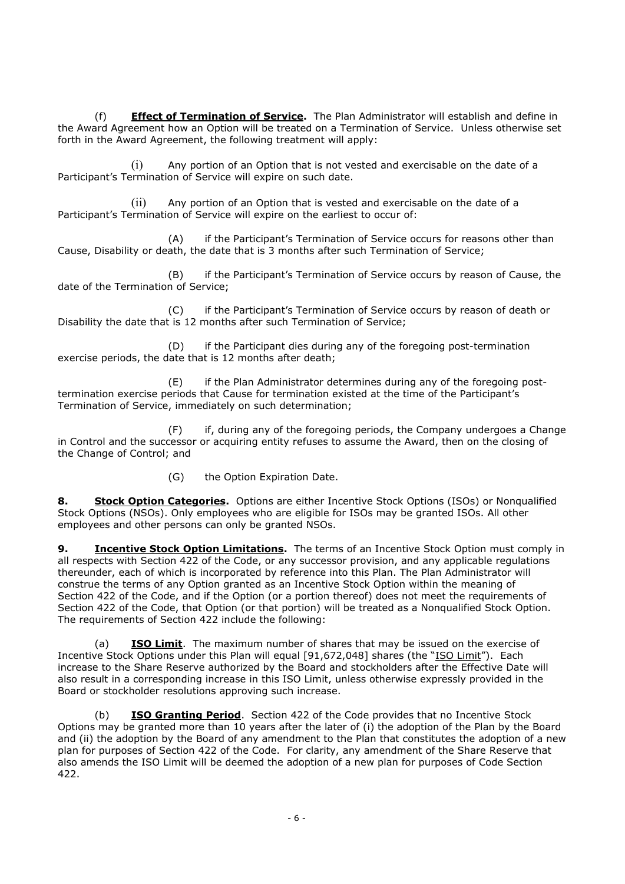(f) **Effect of Termination of Service.** The Plan Administrator will establish and define in the Award Agreement how an Option will be treated on a Termination of Service. Unless otherwise set forth in the Award Agreement, the following treatment will apply:

(i) Any portion of an Option that is not vested and exercisable on the date of a Participant's Termination of Service will expire on such date.

(ii) Any portion of an Option that is vested and exercisable on the date of a Participant's Termination of Service will expire on the earliest to occur of:

(A) if the Participant's Termination of Service occurs for reasons other than Cause, Disability or death, the date that is 3 months after such Termination of Service;

(B) if the Participant's Termination of Service occurs by reason of Cause, the date of the Termination of Service;

(C) if the Participant's Termination of Service occurs by reason of death or Disability the date that is 12 months after such Termination of Service;

(D) if the Participant dies during any of the foregoing post-termination exercise periods, the date that is 12 months after death;

(E) if the Plan Administrator determines during any of the foregoing posttermination exercise periods that Cause for termination existed at the time of the Participant's Termination of Service, immediately on such determination;

(F) if, during any of the foregoing periods, the Company undergoes a Change in Control and the successor or acquiring entity refuses to assume the Award, then on the closing of the Change of Control; and

(G) the Option Expiration Date.

**8. Stock Option Categories.** Options are either Incentive Stock Options (ISOs) or Nonqualified Stock Options (NSOs). Only employees who are eligible for ISOs may be granted ISOs. All other employees and other persons can only be granted NSOs.

**9. Incentive Stock Option Limitations.** The terms of an Incentive Stock Option must comply in all respects with Section 422 of the Code, or any successor provision, and any applicable regulations thereunder, each of which is incorporated by reference into this Plan. The Plan Administrator will construe the terms of any Option granted as an Incentive Stock Option within the meaning of Section 422 of the Code, and if the Option (or a portion thereof) does not meet the requirements of Section 422 of the Code, that Option (or that portion) will be treated as a Nonqualified Stock Option. The requirements of Section 422 include the following:

(a) **ISO Limit**. The maximum number of shares that may be issued on the exercise of Incentive Stock Options under this Plan will equal [91,672,048] shares (the "ISO Limit"). Each increase to the Share Reserve authorized by the Board and stockholders after the Effective Date will also result in a corresponding increase in this ISO Limit, unless otherwise expressly provided in the Board or stockholder resolutions approving such increase.

(b) **ISO Granting Period**. Section 422 of the Code provides that no Incentive Stock Options may be granted more than 10 years after the later of (i) the adoption of the Plan by the Board and (ii) the adoption by the Board of any amendment to the Plan that constitutes the adoption of a new plan for purposes of Section 422 of the Code. For clarity, any amendment of the Share Reserve that also amends the ISO Limit will be deemed the adoption of a new plan for purposes of Code Section 422.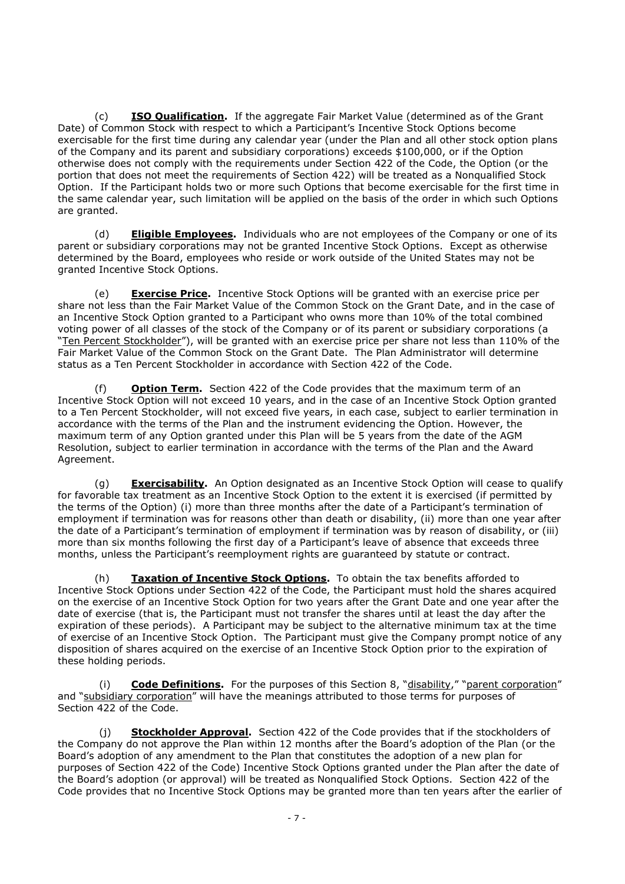(c) **ISO Qualification.** If the aggregate Fair Market Value (determined as of the Grant Date) of Common Stock with respect to which a Participant's Incentive Stock Options become exercisable for the first time during any calendar year (under the Plan and all other stock option plans of the Company and its parent and subsidiary corporations) exceeds \$100,000, or if the Option otherwise does not comply with the requirements under Section 422 of the Code, the Option (or the portion that does not meet the requirements of Section 422) will be treated as a Nonqualified Stock Option. If the Participant holds two or more such Options that become exercisable for the first time in the same calendar year, such limitation will be applied on the basis of the order in which such Options are granted.

(d) **Eligible Employees.** Individuals who are not employees of the Company or one of its parent or subsidiary corporations may not be granted Incentive Stock Options. Except as otherwise determined by the Board, employees who reside or work outside of the United States may not be granted Incentive Stock Options.

(e) **Exercise Price.** Incentive Stock Options will be granted with an exercise price per share not less than the Fair Market Value of the Common Stock on the Grant Date, and in the case of an Incentive Stock Option granted to a Participant who owns more than 10% of the total combined voting power of all classes of the stock of the Company or of its parent or subsidiary corporations (a "Ten Percent Stockholder"), will be granted with an exercise price per share not less than 110% of the Fair Market Value of the Common Stock on the Grant Date. The Plan Administrator will determine status as a Ten Percent Stockholder in accordance with Section 422 of the Code.

(f) **Option Term.** Section 422 of the Code provides that the maximum term of an Incentive Stock Option will not exceed 10 years, and in the case of an Incentive Stock Option granted to a Ten Percent Stockholder, will not exceed five years, in each case, subject to earlier termination in accordance with the terms of the Plan and the instrument evidencing the Option. However, the maximum term of any Option granted under this Plan will be 5 years from the date of the AGM Resolution, subject to earlier termination in accordance with the terms of the Plan and the Award Agreement.

(g) **Exercisability.** An Option designated as an Incentive Stock Option will cease to qualify for favorable tax treatment as an Incentive Stock Option to the extent it is exercised (if permitted by the terms of the Option) (i) more than three months after the date of a Participant's termination of employment if termination was for reasons other than death or disability, (ii) more than one year after the date of a Participant's termination of employment if termination was by reason of disability, or (iii) more than six months following the first day of a Participant's leave of absence that exceeds three months, unless the Participant's reemployment rights are guaranteed by statute or contract.

(h) **Taxation of Incentive Stock Options.** To obtain the tax benefits afforded to Incentive Stock Options under Section 422 of the Code, the Participant must hold the shares acquired on the exercise of an Incentive Stock Option for two years after the Grant Date and one year after the date of exercise (that is, the Participant must not transfer the shares until at least the day after the expiration of these periods). A Participant may be subject to the alternative minimum tax at the time of exercise of an Incentive Stock Option. The Participant must give the Company prompt notice of any disposition of shares acquired on the exercise of an Incentive Stock Option prior to the expiration of these holding periods.

(i) **Code Definitions.** For the purposes of this Section 8, "disability," "parent corporation" and "subsidiary corporation" will have the meanings attributed to those terms for purposes of Section 422 of the Code.

(j) **Stockholder Approval.** Section 422 of the Code provides that if the stockholders of the Company do not approve the Plan within 12 months after the Board's adoption of the Plan (or the Board's adoption of any amendment to the Plan that constitutes the adoption of a new plan for purposes of Section 422 of the Code) Incentive Stock Options granted under the Plan after the date of the Board's adoption (or approval) will be treated as Nonqualified Stock Options. Section 422 of the Code provides that no Incentive Stock Options may be granted more than ten years after the earlier of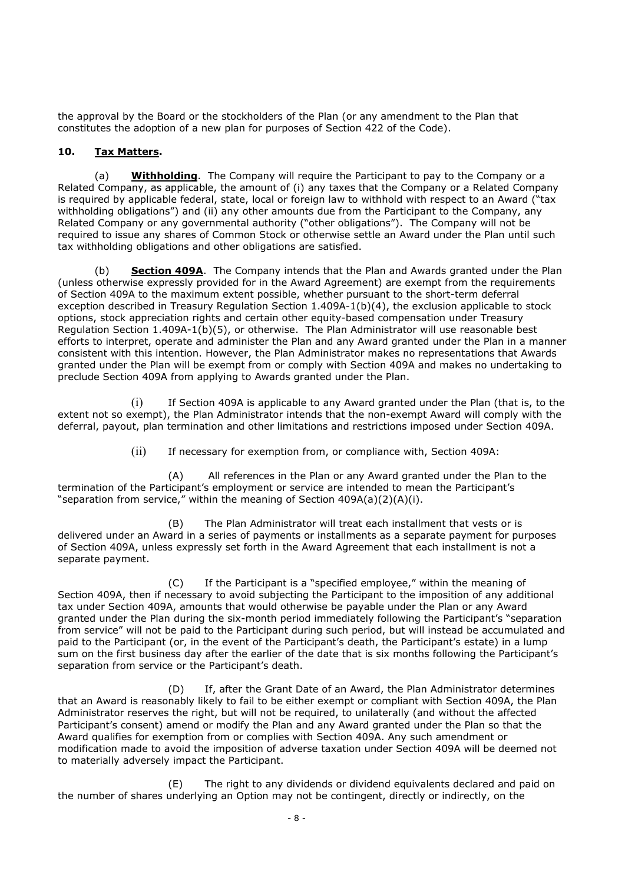the approval by the Board or the stockholders of the Plan (or any amendment to the Plan that constitutes the adoption of a new plan for purposes of Section 422 of the Code).

#### **10. Tax Matters.**

(a) **Withholding**. The Company will require the Participant to pay to the Company or a Related Company, as applicable, the amount of (i) any taxes that the Company or a Related Company is required by applicable federal, state, local or foreign law to withhold with respect to an Award ("tax withholding obligations") and (ii) any other amounts due from the Participant to the Company, any Related Company or any governmental authority ("other obligations"). The Company will not be required to issue any shares of Common Stock or otherwise settle an Award under the Plan until such tax withholding obligations and other obligations are satisfied.

(b) **Section 409A**. The Company intends that the Plan and Awards granted under the Plan (unless otherwise expressly provided for in the Award Agreement) are exempt from the requirements of Section 409A to the maximum extent possible, whether pursuant to the short-term deferral exception described in Treasury Regulation Section 1.409A-1(b)(4), the exclusion applicable to stock options, stock appreciation rights and certain other equity-based compensation under Treasury Regulation Section 1.409A-1(b)(5), or otherwise. The Plan Administrator will use reasonable best efforts to interpret, operate and administer the Plan and any Award granted under the Plan in a manner consistent with this intention. However, the Plan Administrator makes no representations that Awards granted under the Plan will be exempt from or comply with Section 409A and makes no undertaking to preclude Section 409A from applying to Awards granted under the Plan.

(i) If Section 409A is applicable to any Award granted under the Plan (that is, to the extent not so exempt), the Plan Administrator intends that the non-exempt Award will comply with the deferral, payout, plan termination and other limitations and restrictions imposed under Section 409A.

(ii) If necessary for exemption from, or compliance with, Section 409A:

(A) All references in the Plan or any Award granted under the Plan to the termination of the Participant's employment or service are intended to mean the Participant's "separation from service," within the meaning of Section 409A(a)(2)(A)(i).

(B) The Plan Administrator will treat each installment that vests or is delivered under an Award in a series of payments or installments as a separate payment for purposes of Section 409A, unless expressly set forth in the Award Agreement that each installment is not a separate payment.

(C) If the Participant is a "specified employee," within the meaning of Section 409A, then if necessary to avoid subjecting the Participant to the imposition of any additional tax under Section 409A, amounts that would otherwise be payable under the Plan or any Award granted under the Plan during the six-month period immediately following the Participant's "separation from service" will not be paid to the Participant during such period, but will instead be accumulated and paid to the Participant (or, in the event of the Participant's death, the Participant's estate) in a lump sum on the first business day after the earlier of the date that is six months following the Participant's separation from service or the Participant's death.

(D) If, after the Grant Date of an Award, the Plan Administrator determines that an Award is reasonably likely to fail to be either exempt or compliant with Section 409A, the Plan Administrator reserves the right, but will not be required, to unilaterally (and without the affected Participant's consent) amend or modify the Plan and any Award granted under the Plan so that the Award qualifies for exemption from or complies with Section 409A. Any such amendment or modification made to avoid the imposition of adverse taxation under Section 409A will be deemed not to materially adversely impact the Participant.

(E) The right to any dividends or dividend equivalents declared and paid on the number of shares underlying an Option may not be contingent, directly or indirectly, on the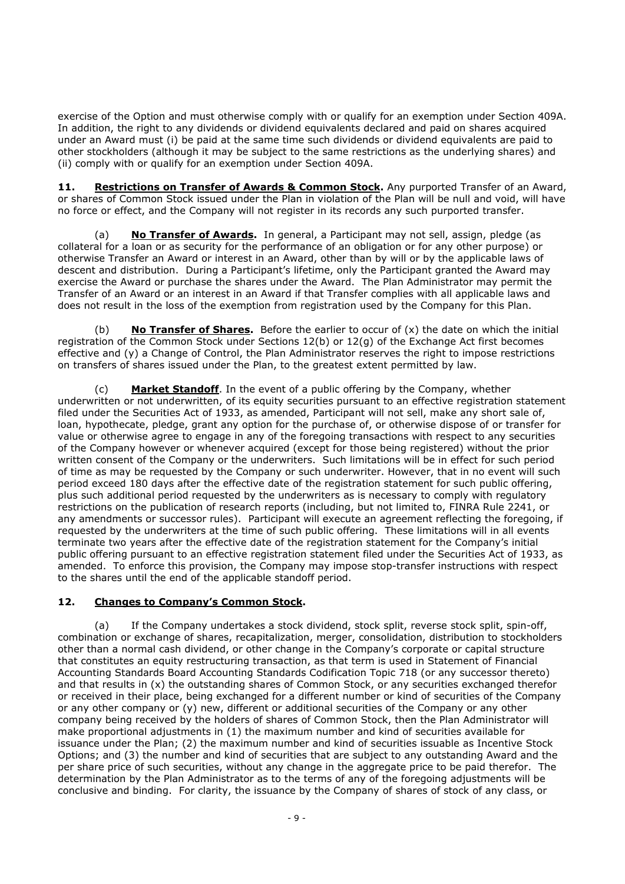exercise of the Option and must otherwise comply with or qualify for an exemption under Section 409A. In addition, the right to any dividends or dividend equivalents declared and paid on shares acquired under an Award must (i) be paid at the same time such dividends or dividend equivalents are paid to other stockholders (although it may be subject to the same restrictions as the underlying shares) and (ii) comply with or qualify for an exemption under Section 409A.

11. **Restrictions on Transfer of Awards & Common Stock.** Any purported Transfer of an Award, or shares of Common Stock issued under the Plan in violation of the Plan will be null and void, will have no force or effect, and the Company will not register in its records any such purported transfer.

(a) **No Transfer of Awards.** In general, a Participant may not sell, assign, pledge (as collateral for a loan or as security for the performance of an obligation or for any other purpose) or otherwise Transfer an Award or interest in an Award, other than by will or by the applicable laws of descent and distribution. During a Participant's lifetime, only the Participant granted the Award may exercise the Award or purchase the shares under the Award. The Plan Administrator may permit the Transfer of an Award or an interest in an Award if that Transfer complies with all applicable laws and does not result in the loss of the exemption from registration used by the Company for this Plan.

**No Transfer of Shares.** Before the earlier to occur of (x) the date on which the initial registration of the Common Stock under Sections 12(b) or 12(g) of the Exchange Act first becomes effective and (y) a Change of Control, the Plan Administrator reserves the right to impose restrictions on transfers of shares issued under the Plan, to the greatest extent permitted by law.

(c) **Market Standoff**. In the event of a public offering by the Company, whether underwritten or not underwritten, of its equity securities pursuant to an effective registration statement filed under the Securities Act of 1933, as amended, Participant will not sell, make any short sale of, loan, hypothecate, pledge, grant any option for the purchase of, or otherwise dispose of or transfer for value or otherwise agree to engage in any of the foregoing transactions with respect to any securities of the Company however or whenever acquired (except for those being registered) without the prior written consent of the Company or the underwriters. Such limitations will be in effect for such period of time as may be requested by the Company or such underwriter. However, that in no event will such period exceed 180 days after the effective date of the registration statement for such public offering, plus such additional period requested by the underwriters as is necessary to comply with regulatory restrictions on the publication of research reports (including, but not limited to, FINRA Rule 2241, or any amendments or successor rules). Participant will execute an agreement reflecting the foregoing, if requested by the underwriters at the time of such public offering. These limitations will in all events terminate two years after the effective date of the registration statement for the Company's initial public offering pursuant to an effective registration statement filed under the Securities Act of 1933, as amended. To enforce this provision, the Company may impose stop-transfer instructions with respect to the shares until the end of the applicable standoff period.

#### **12. Changes to Company's Common Stock.**

(a) If the Company undertakes a stock dividend, stock split, reverse stock split, spin-off, combination or exchange of shares, recapitalization, merger, consolidation, distribution to stockholders other than a normal cash dividend, or other change in the Company's corporate or capital structure that constitutes an equity restructuring transaction, as that term is used in Statement of Financial Accounting Standards Board Accounting Standards Codification Topic 718 (or any successor thereto) and that results in (x) the outstanding shares of Common Stock, or any securities exchanged therefor or received in their place, being exchanged for a different number or kind of securities of the Company or any other company or (y) new, different or additional securities of the Company or any other company being received by the holders of shares of Common Stock, then the Plan Administrator will make proportional adjustments in (1) the maximum number and kind of securities available for issuance under the Plan; (2) the maximum number and kind of securities issuable as Incentive Stock Options; and (3) the number and kind of securities that are subject to any outstanding Award and the per share price of such securities, without any change in the aggregate price to be paid therefor. The determination by the Plan Administrator as to the terms of any of the foregoing adjustments will be conclusive and binding. For clarity, the issuance by the Company of shares of stock of any class, or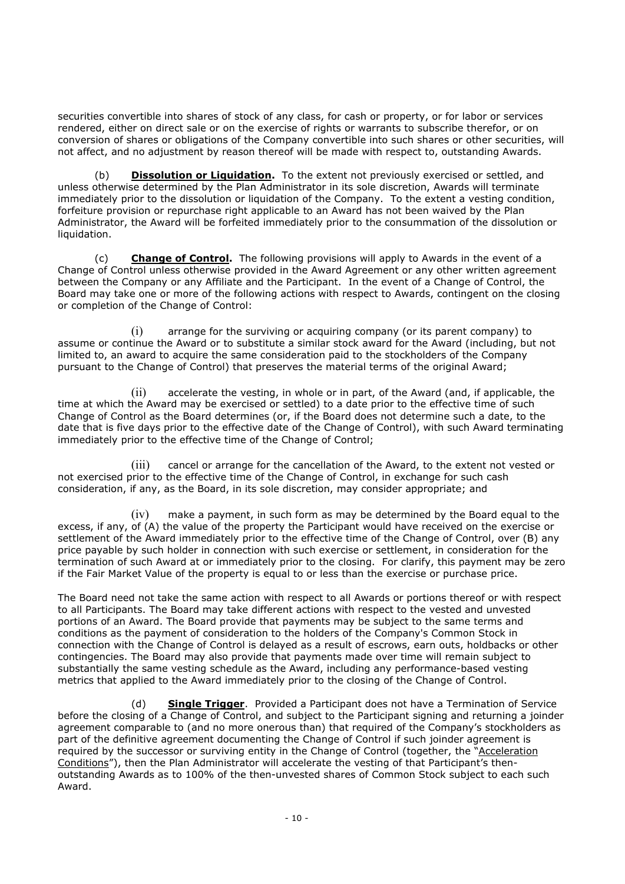securities convertible into shares of stock of any class, for cash or property, or for labor or services rendered, either on direct sale or on the exercise of rights or warrants to subscribe therefor, or on conversion of shares or obligations of the Company convertible into such shares or other securities, will not affect, and no adjustment by reason thereof will be made with respect to, outstanding Awards.

(b) **Dissolution or Liquidation.** To the extent not previously exercised or settled, and unless otherwise determined by the Plan Administrator in its sole discretion, Awards will terminate immediately prior to the dissolution or liquidation of the Company. To the extent a vesting condition, forfeiture provision or repurchase right applicable to an Award has not been waived by the Plan Administrator, the Award will be forfeited immediately prior to the consummation of the dissolution or liquidation.

(c) **Change of Control.** The following provisions will apply to Awards in the event of a Change of Control unless otherwise provided in the Award Agreement or any other written agreement between the Company or any Affiliate and the Participant. In the event of a Change of Control, the Board may take one or more of the following actions with respect to Awards, contingent on the closing or completion of the Change of Control:

(i) arrange for the surviving or acquiring company (or its parent company) to assume or continue the Award or to substitute a similar stock award for the Award (including, but not limited to, an award to acquire the same consideration paid to the stockholders of the Company pursuant to the Change of Control) that preserves the material terms of the original Award;

(ii) accelerate the vesting, in whole or in part, of the Award (and, if applicable, the time at which the Award may be exercised or settled) to a date prior to the effective time of such Change of Control as the Board determines (or, if the Board does not determine such a date, to the date that is five days prior to the effective date of the Change of Control), with such Award terminating immediately prior to the effective time of the Change of Control;

(iii) cancel or arrange for the cancellation of the Award, to the extent not vested or not exercised prior to the effective time of the Change of Control, in exchange for such cash consideration, if any, as the Board, in its sole discretion, may consider appropriate; and

 $(iv)$  make a payment, in such form as may be determined by the Board equal to the excess, if any, of (A) the value of the property the Participant would have received on the exercise or settlement of the Award immediately prior to the effective time of the Change of Control, over (B) any price payable by such holder in connection with such exercise or settlement, in consideration for the termination of such Award at or immediately prior to the closing. For clarify, this payment may be zero if the Fair Market Value of the property is equal to or less than the exercise or purchase price.

The Board need not take the same action with respect to all Awards or portions thereof or with respect to all Participants. The Board may take different actions with respect to the vested and unvested portions of an Award. The Board provide that payments may be subject to the same terms and conditions as the payment of consideration to the holders of the Company's Common Stock in connection with the Change of Control is delayed as a result of escrows, earn outs, holdbacks or other contingencies. The Board may also provide that payments made over time will remain subject to substantially the same vesting schedule as the Award, including any performance-based vesting metrics that applied to the Award immediately prior to the closing of the Change of Control.

(d) **Single Trigger**. Provided a Participant does not have a Termination of Service before the closing of a Change of Control, and subject to the Participant signing and returning a joinder agreement comparable to (and no more onerous than) that required of the Company's stockholders as part of the definitive agreement documenting the Change of Control if such joinder agreement is required by the successor or surviving entity in the Change of Control (together, the "Acceleration Conditions"), then the Plan Administrator will accelerate the vesting of that Participant's thenoutstanding Awards as to 100% of the then-unvested shares of Common Stock subject to each such Award.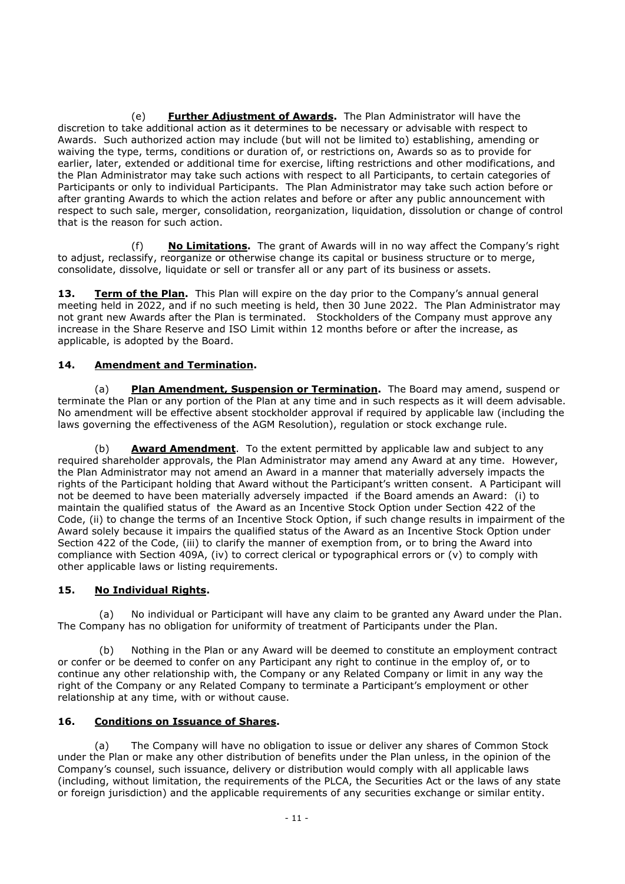(e) **Further Adjustment of Awards.** The Plan Administrator will have the discretion to take additional action as it determines to be necessary or advisable with respect to Awards. Such authorized action may include (but will not be limited to) establishing, amending or waiving the type, terms, conditions or duration of, or restrictions on, Awards so as to provide for earlier, later, extended or additional time for exercise, lifting restrictions and other modifications, and the Plan Administrator may take such actions with respect to all Participants, to certain categories of Participants or only to individual Participants. The Plan Administrator may take such action before or after granting Awards to which the action relates and before or after any public announcement with respect to such sale, merger, consolidation, reorganization, liquidation, dissolution or change of control that is the reason for such action.

(f) **No Limitations.** The grant of Awards will in no way affect the Company's right to adjust, reclassify, reorganize or otherwise change its capital or business structure or to merge, consolidate, dissolve, liquidate or sell or transfer all or any part of its business or assets.

**13. Term of the Plan.** This Plan will expire on the day prior to the Company's annual general meeting held in 2022, and if no such meeting is held, then 30 June 2022. The Plan Administrator may not grant new Awards after the Plan is terminated. Stockholders of the Company must approve any increase in the Share Reserve and ISO Limit within 12 months before or after the increase, as applicable, is adopted by the Board.

# **14. Amendment and Termination.**

(a) **Plan Amendment, Suspension or Termination.** The Board may amend, suspend or terminate the Plan or any portion of the Plan at any time and in such respects as it will deem advisable. No amendment will be effective absent stockholder approval if required by applicable law (including the laws governing the effectiveness of the AGM Resolution), regulation or stock exchange rule.

(b) **Award Amendment**. To the extent permitted by applicable law and subject to any required shareholder approvals, the Plan Administrator may amend any Award at any time. However, the Plan Administrator may not amend an Award in a manner that materially adversely impacts the rights of the Participant holding that Award without the Participant's written consent. A Participant will not be deemed to have been materially adversely impacted if the Board amends an Award: (i) to maintain the qualified status of the Award as an Incentive Stock Option under Section 422 of the Code, (ii) to change the terms of an Incentive Stock Option, if such change results in impairment of the Award solely because it impairs the qualified status of the Award as an Incentive Stock Option under Section 422 of the Code, (iii) to clarify the manner of exemption from, or to bring the Award into compliance with Section 409A, (iv) to correct clerical or typographical errors or (v) to comply with other applicable laws or listing requirements.

#### **15. No Individual Rights.**

(a) No individual or Participant will have any claim to be granted any Award under the Plan. The Company has no obligation for uniformity of treatment of Participants under the Plan.

(b) Nothing in the Plan or any Award will be deemed to constitute an employment contract or confer or be deemed to confer on any Participant any right to continue in the employ of, or to continue any other relationship with, the Company or any Related Company or limit in any way the right of the Company or any Related Company to terminate a Participant's employment or other relationship at any time, with or without cause.

#### **16. Conditions on Issuance of Shares.**

(a) The Company will have no obligation to issue or deliver any shares of Common Stock under the Plan or make any other distribution of benefits under the Plan unless, in the opinion of the Company's counsel, such issuance, delivery or distribution would comply with all applicable laws (including, without limitation, the requirements of the PLCA, the Securities Act or the laws of any state or foreign jurisdiction) and the applicable requirements of any securities exchange or similar entity.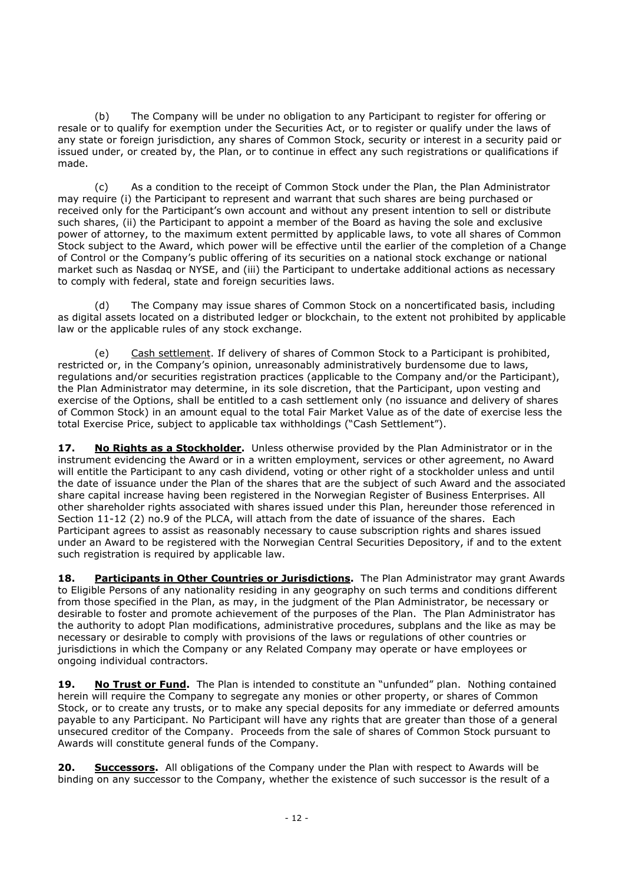(b) The Company will be under no obligation to any Participant to register for offering or resale or to qualify for exemption under the Securities Act, or to register or qualify under the laws of any state or foreign jurisdiction, any shares of Common Stock, security or interest in a security paid or issued under, or created by, the Plan, or to continue in effect any such registrations or qualifications if made.

(c) As a condition to the receipt of Common Stock under the Plan, the Plan Administrator may require (i) the Participant to represent and warrant that such shares are being purchased or received only for the Participant's own account and without any present intention to sell or distribute such shares, (ii) the Participant to appoint a member of the Board as having the sole and exclusive power of attorney, to the maximum extent permitted by applicable laws, to vote all shares of Common Stock subject to the Award, which power will be effective until the earlier of the completion of a Change of Control or the Company's public offering of its securities on a national stock exchange or national market such as Nasdaq or NYSE, and (iii) the Participant to undertake additional actions as necessary to comply with federal, state and foreign securities laws.

(d) The Company may issue shares of Common Stock on a noncertificated basis, including as digital assets located on a distributed ledger or blockchain, to the extent not prohibited by applicable law or the applicable rules of any stock exchange.

Cash settlement. If delivery of shares of Common Stock to a Participant is prohibited, restricted or, in the Company's opinion, unreasonably administratively burdensome due to laws, regulations and/or securities registration practices (applicable to the Company and/or the Participant), the Plan Administrator may determine, in its sole discretion, that the Participant, upon vesting and exercise of the Options, shall be entitled to a cash settlement only (no issuance and delivery of shares of Common Stock) in an amount equal to the total Fair Market Value as of the date of exercise less the total Exercise Price, subject to applicable tax withholdings ("Cash Settlement").

**17. No Rights as a Stockholder.** Unless otherwise provided by the Plan Administrator or in the instrument evidencing the Award or in a written employment, services or other agreement, no Award will entitle the Participant to any cash dividend, voting or other right of a stockholder unless and until the date of issuance under the Plan of the shares that are the subject of such Award and the associated share capital increase having been registered in the Norwegian Register of Business Enterprises. All other shareholder rights associated with shares issued under this Plan, hereunder those referenced in Section 11-12 (2) no.9 of the PLCA, will attach from the date of issuance of the shares. Each Participant agrees to assist as reasonably necessary to cause subscription rights and shares issued under an Award to be registered with the Norwegian Central Securities Depository, if and to the extent such registration is required by applicable law.

18. Participants in Other Countries or Jurisdictions. The Plan Administrator may grant Awards to Eligible Persons of any nationality residing in any geography on such terms and conditions different from those specified in the Plan, as may, in the judgment of the Plan Administrator, be necessary or desirable to foster and promote achievement of the purposes of the Plan. The Plan Administrator has the authority to adopt Plan modifications, administrative procedures, subplans and the like as may be necessary or desirable to comply with provisions of the laws or regulations of other countries or jurisdictions in which the Company or any Related Company may operate or have employees or ongoing individual contractors.

**19. No Trust or Fund.** The Plan is intended to constitute an "unfunded" plan. Nothing contained herein will require the Company to segregate any monies or other property, or shares of Common Stock, or to create any trusts, or to make any special deposits for any immediate or deferred amounts payable to any Participant. No Participant will have any rights that are greater than those of a general unsecured creditor of the Company. Proceeds from the sale of shares of Common Stock pursuant to Awards will constitute general funds of the Company.

**20. Successors.** All obligations of the Company under the Plan with respect to Awards will be binding on any successor to the Company, whether the existence of such successor is the result of a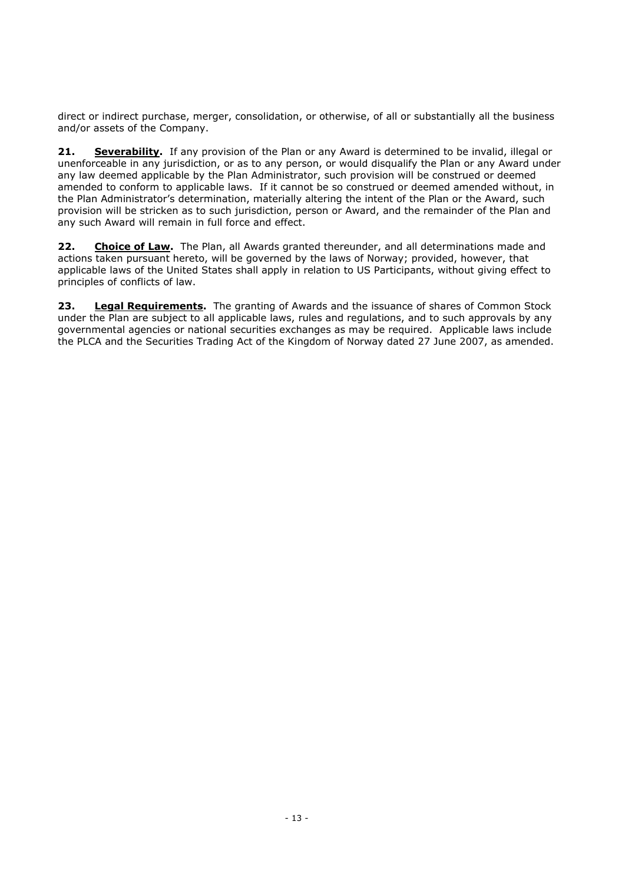direct or indirect purchase, merger, consolidation, or otherwise, of all or substantially all the business and/or assets of the Company.

**21. Severability.** If any provision of the Plan or any Award is determined to be invalid, illegal or unenforceable in any jurisdiction, or as to any person, or would disqualify the Plan or any Award under any law deemed applicable by the Plan Administrator, such provision will be construed or deemed amended to conform to applicable laws. If it cannot be so construed or deemed amended without, in the Plan Administrator's determination, materially altering the intent of the Plan or the Award, such provision will be stricken as to such jurisdiction, person or Award, and the remainder of the Plan and any such Award will remain in full force and effect.

**22. Choice of Law.** The Plan, all Awards granted thereunder, and all determinations made and actions taken pursuant hereto, will be governed by the laws of Norway; provided, however, that applicable laws of the United States shall apply in relation to US Participants, without giving effect to principles of conflicts of law.

**23. Legal Requirements.** The granting of Awards and the issuance of shares of Common Stock under the Plan are subject to all applicable laws, rules and regulations, and to such approvals by any governmental agencies or national securities exchanges as may be required. Applicable laws include the PLCA and the Securities Trading Act of the Kingdom of Norway dated 27 June 2007, as amended.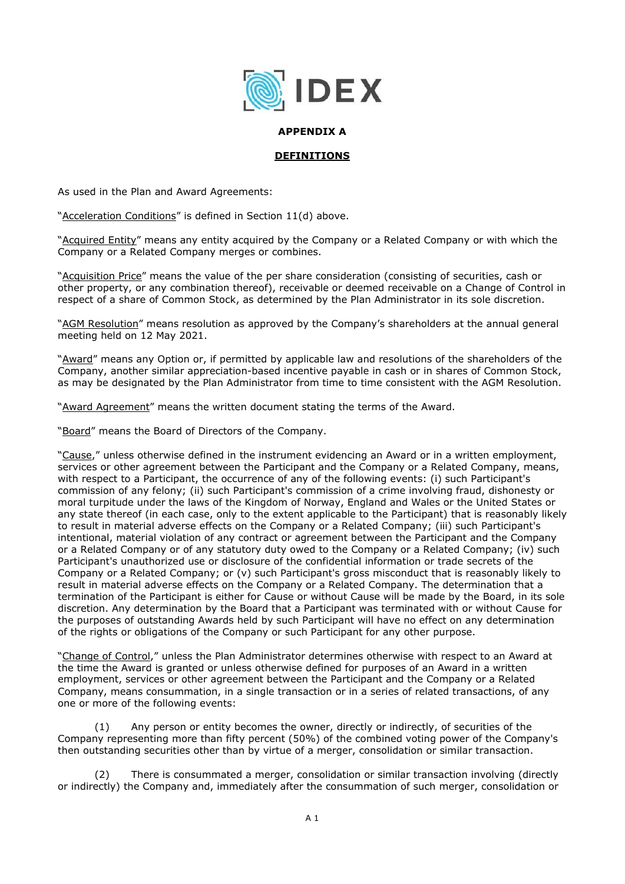

#### **APPENDIX A**

#### **DEFINITIONS**

As used in the Plan and Award Agreements:

"Acceleration Conditions" is defined in Section 11(d) above.

"Acquired Entity" means any entity acquired by the Company or a Related Company or with which the Company or a Related Company merges or combines.

"Acquisition Price" means the value of the per share consideration (consisting of securities, cash or other property, or any combination thereof), receivable or deemed receivable on a Change of Control in respect of a share of Common Stock, as determined by the Plan Administrator in its sole discretion.

"AGM Resolution" means resolution as approved by the Company's shareholders at the annual general meeting held on 12 May 2021.

"Award" means any Option or, if permitted by applicable law and resolutions of the shareholders of the Company, another similar appreciation-based incentive payable in cash or in shares of Common Stock, as may be designated by the Plan Administrator from time to time consistent with the AGM Resolution.

"Award Agreement" means the written document stating the terms of the Award.

"Board" means the Board of Directors of the Company.

"Cause," unless otherwise defined in the instrument evidencing an Award or in a written employment, services or other agreement between the Participant and the Company or a Related Company, means, with respect to a Participant, the occurrence of any of the following events: (i) such Participant's commission of any felony; (ii) such Participant's commission of a crime involving fraud, dishonesty or moral turpitude under the laws of the Kingdom of Norway, England and Wales or the United States or any state thereof (in each case, only to the extent applicable to the Participant) that is reasonably likely to result in material adverse effects on the Company or a Related Company; (iii) such Participant's intentional, material violation of any contract or agreement between the Participant and the Company or a Related Company or of any statutory duty owed to the Company or a Related Company; (iv) such Participant's unauthorized use or disclosure of the confidential information or trade secrets of the Company or a Related Company; or (v) such Participant's gross misconduct that is reasonably likely to result in material adverse effects on the Company or a Related Company. The determination that a termination of the Participant is either for Cause or without Cause will be made by the Board, in its sole discretion. Any determination by the Board that a Participant was terminated with or without Cause for the purposes of outstanding Awards held by such Participant will have no effect on any determination of the rights or obligations of the Company or such Participant for any other purpose.

"Change of Control," unless the Plan Administrator determines otherwise with respect to an Award at the time the Award is granted or unless otherwise defined for purposes of an Award in a written employment, services or other agreement between the Participant and the Company or a Related Company, means consummation, in a single transaction or in a series of related transactions, of any one or more of the following events:

Any person or entity becomes the owner, directly or indirectly, of securities of the Company representing more than fifty percent (50%) of the combined voting power of the Company's then outstanding securities other than by virtue of a merger, consolidation or similar transaction.

(2) There is consummated a merger, consolidation or similar transaction involving (directly or indirectly) the Company and, immediately after the consummation of such merger, consolidation or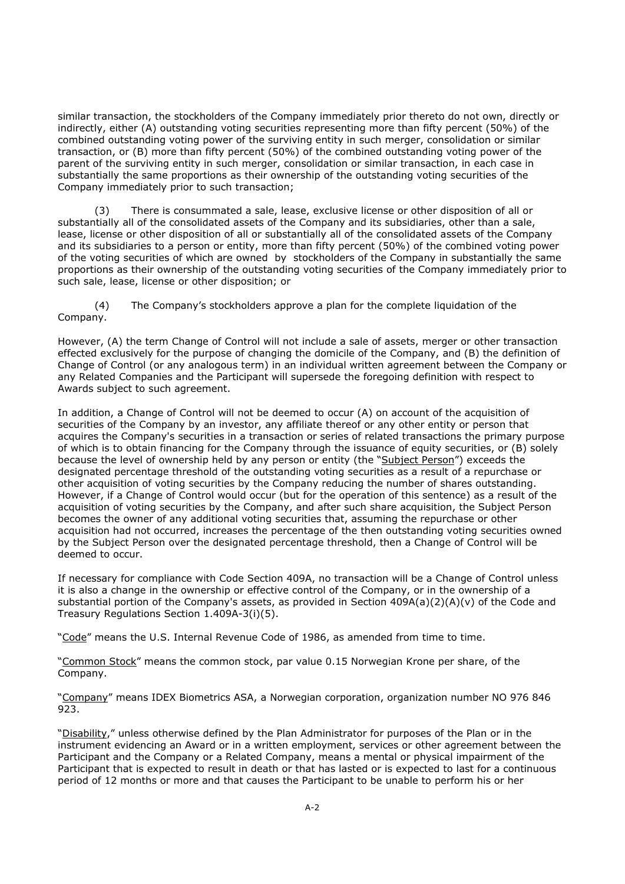similar transaction, the stockholders of the Company immediately prior thereto do not own, directly or indirectly, either (A) outstanding voting securities representing more than fifty percent (50%) of the combined outstanding voting power of the surviving entity in such merger, consolidation or similar transaction, or (B) more than fifty percent (50%) of the combined outstanding voting power of the parent of the surviving entity in such merger, consolidation or similar transaction, in each case in substantially the same proportions as their ownership of the outstanding voting securities of the Company immediately prior to such transaction;

(3) There is consummated a sale, lease, exclusive license or other disposition of all or substantially all of the consolidated assets of the Company and its subsidiaries, other than a sale, lease, license or other disposition of all or substantially all of the consolidated assets of the Company and its subsidiaries to a person or entity, more than fifty percent (50%) of the combined voting power of the voting securities of which are owned by stockholders of the Company in substantially the same proportions as their ownership of the outstanding voting securities of the Company immediately prior to such sale, lease, license or other disposition; or

(4) The Company's stockholders approve a plan for the complete liquidation of the Company.

However, (A) the term Change of Control will not include a sale of assets, merger or other transaction effected exclusively for the purpose of changing the domicile of the Company, and (B) the definition of Change of Control (or any analogous term) in an individual written agreement between the Company or any Related Companies and the Participant will supersede the foregoing definition with respect to Awards subject to such agreement.

In addition, a Change of Control will not be deemed to occur (A) on account of the acquisition of securities of the Company by an investor, any affiliate thereof or any other entity or person that acquires the Company's securities in a transaction or series of related transactions the primary purpose of which is to obtain financing for the Company through the issuance of equity securities, or (B) solely because the level of ownership held by any person or entity (the "Subject Person") exceeds the designated percentage threshold of the outstanding voting securities as a result of a repurchase or other acquisition of voting securities by the Company reducing the number of shares outstanding. However, if a Change of Control would occur (but for the operation of this sentence) as a result of the acquisition of voting securities by the Company, and after such share acquisition, the Subject Person becomes the owner of any additional voting securities that, assuming the repurchase or other acquisition had not occurred, increases the percentage of the then outstanding voting securities owned by the Subject Person over the designated percentage threshold, then a Change of Control will be deemed to occur.

If necessary for compliance with Code Section 409A, no transaction will be a Change of Control unless it is also a change in the ownership or effective control of the Company, or in the ownership of a substantial portion of the Company's assets, as provided in Section 409A(a)(2)(A)(v) of the Code and Treasury Regulations Section 1.409A-3(i)(5).

"Code" means the U.S. Internal Revenue Code of 1986, as amended from time to time.

"Common Stock" means the common stock, par value 0.15 Norwegian Krone per share, of the Company.

"Company" means IDEX Biometrics ASA, a Norwegian corporation, organization number NO 976 846 923.

"Disability," unless otherwise defined by the Plan Administrator for purposes of the Plan or in the instrument evidencing an Award or in a written employment, services or other agreement between the Participant and the Company or a Related Company, means a mental or physical impairment of the Participant that is expected to result in death or that has lasted or is expected to last for a continuous period of 12 months or more and that causes the Participant to be unable to perform his or her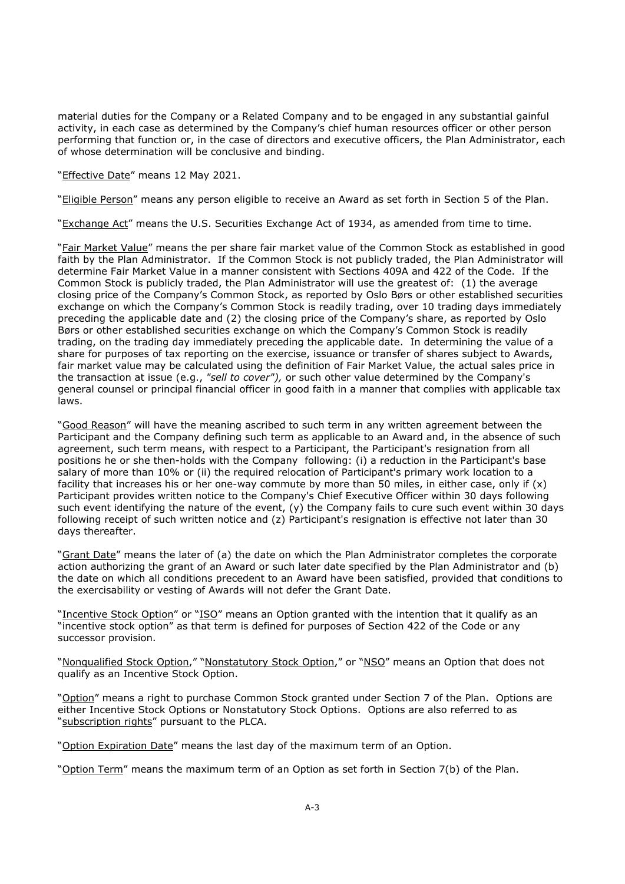material duties for the Company or a Related Company and to be engaged in any substantial gainful activity, in each case as determined by the Company's chief human resources officer or other person performing that function or, in the case of directors and executive officers, the Plan Administrator, each of whose determination will be conclusive and binding.

"Effective Date" means 12 May 2021.

"Eligible Person" means any person eligible to receive an Award as set forth in Section 5 of the Plan.

"Exchange Act" means the U.S. Securities Exchange Act of 1934, as amended from time to time.

"Fair Market Value" means the per share fair market value of the Common Stock as established in good faith by the Plan Administrator. If the Common Stock is not publicly traded, the Plan Administrator will determine Fair Market Value in a manner consistent with Sections 409A and 422 of the Code. If the Common Stock is publicly traded, the Plan Administrator will use the greatest of: (1) the average closing price of the Company's Common Stock, as reported by Oslo Børs or other established securities exchange on which the Company's Common Stock is readily trading, over 10 trading days immediately preceding the applicable date and (2) the closing price of the Company's share, as reported by Oslo Børs or other established securities exchange on which the Company's Common Stock is readily trading, on the trading day immediately preceding the applicable date. In determining the value of a share for purposes of tax reporting on the exercise, issuance or transfer of shares subject to Awards, fair market value may be calculated using the definition of Fair Market Value, the actual sales price in the transaction at issue (e.g., *"sell to cover"),* or such other value determined by the Company's general counsel or principal financial officer in good faith in a manner that complies with applicable tax laws.

"Good Reason" will have the meaning ascribed to such term in any written agreement between the Participant and the Company defining such term as applicable to an Award and, in the absence of such agreement, such term means, with respect to a Participant, the Participant's resignation from all positions he or she then-holds with the Company following: (i) a reduction in the Participant's base salary of more than 10% or (ii) the required relocation of Participant's primary work location to a facility that increases his or her one-way commute by more than 50 miles, in either case, only if  $(x)$ Participant provides written notice to the Company's Chief Executive Officer within 30 days following such event identifying the nature of the event, (y) the Company fails to cure such event within 30 days following receipt of such written notice and (z) Participant's resignation is effective not later than 30 days thereafter.

"Grant Date" means the later of (a) the date on which the Plan Administrator completes the corporate action authorizing the grant of an Award or such later date specified by the Plan Administrator and (b) the date on which all conditions precedent to an Award have been satisfied, provided that conditions to the exercisability or vesting of Awards will not defer the Grant Date.

"Incentive Stock Option" or "ISO" means an Option granted with the intention that it qualify as an "incentive stock option" as that term is defined for purposes of Section 422 of the Code or any successor provision.

"Nonqualified Stock Option," "Nonstatutory Stock Option," or "NSO" means an Option that does not qualify as an Incentive Stock Option.

"Option" means a right to purchase Common Stock granted under Section 7 of the Plan. Options are either Incentive Stock Options or Nonstatutory Stock Options. Options are also referred to as "subscription rights" pursuant to the PLCA.

"Option Expiration Date" means the last day of the maximum term of an Option.

"Option Term" means the maximum term of an Option as set forth in Section 7(b) of the Plan.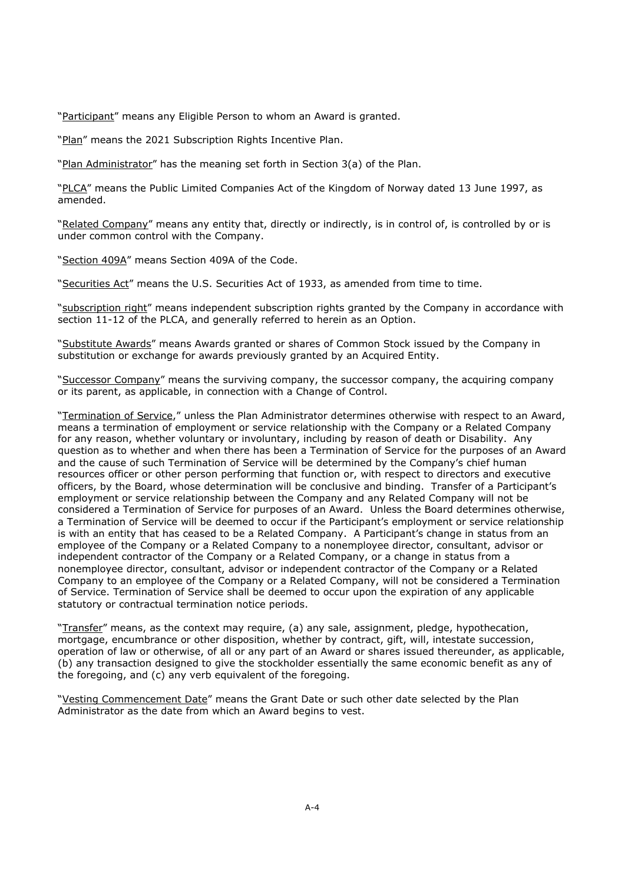"Participant" means any Eligible Person to whom an Award is granted.

"Plan" means the 2021 Subscription Rights Incentive Plan.

"Plan Administrator" has the meaning set forth in Section 3(a) of the Plan.

"PLCA" means the Public Limited Companies Act of the Kingdom of Norway dated 13 June 1997, as amended.

"Related Company" means any entity that, directly or indirectly, is in control of, is controlled by or is under common control with the Company.

"Section 409A" means Section 409A of the Code.

"Securities Act" means the U.S. Securities Act of 1933, as amended from time to time.

"subscription right" means independent subscription rights granted by the Company in accordance with section 11-12 of the PLCA, and generally referred to herein as an Option.

"Substitute Awards" means Awards granted or shares of Common Stock issued by the Company in substitution or exchange for awards previously granted by an Acquired Entity.

"Successor Company" means the surviving company, the successor company, the acquiring company or its parent, as applicable, in connection with a Change of Control.

"Termination of Service," unless the Plan Administrator determines otherwise with respect to an Award, means a termination of employment or service relationship with the Company or a Related Company for any reason, whether voluntary or involuntary, including by reason of death or Disability. Any question as to whether and when there has been a Termination of Service for the purposes of an Award and the cause of such Termination of Service will be determined by the Company's chief human resources officer or other person performing that function or, with respect to directors and executive officers, by the Board, whose determination will be conclusive and binding. Transfer of a Participant's employment or service relationship between the Company and any Related Company will not be considered a Termination of Service for purposes of an Award. Unless the Board determines otherwise, a Termination of Service will be deemed to occur if the Participant's employment or service relationship is with an entity that has ceased to be a Related Company. A Participant's change in status from an employee of the Company or a Related Company to a nonemployee director, consultant, advisor or independent contractor of the Company or a Related Company, or a change in status from a nonemployee director, consultant, advisor or independent contractor of the Company or a Related Company to an employee of the Company or a Related Company, will not be considered a Termination of Service. Termination of Service shall be deemed to occur upon the expiration of any applicable statutory or contractual termination notice periods.

"Transfer" means, as the context may require, (a) any sale, assignment, pledge, hypothecation, mortgage, encumbrance or other disposition, whether by contract, gift, will, intestate succession, operation of law or otherwise, of all or any part of an Award or shares issued thereunder, as applicable, (b) any transaction designed to give the stockholder essentially the same economic benefit as any of the foregoing, and (c) any verb equivalent of the foregoing.

"Vesting Commencement Date" means the Grant Date or such other date selected by the Plan Administrator as the date from which an Award begins to vest.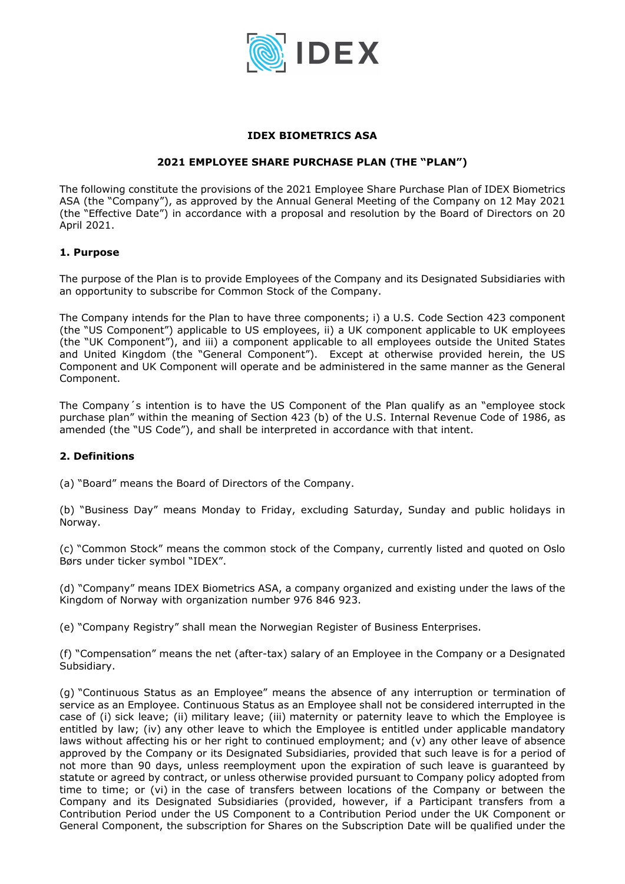

#### **IDEX BIOMETRICS ASA**

#### **2021 EMPLOYEE SHARE PURCHASE PLAN (THE "PLAN")**

The following constitute the provisions of the 2021 Employee Share Purchase Plan of IDEX Biometrics ASA (the "Company"), as approved by the Annual General Meeting of the Company on 12 May 2021 (the "Effective Date") in accordance with a proposal and resolution by the Board of Directors on 20 April 2021.

#### **1. Purpose**

The purpose of the Plan is to provide Employees of the Company and its Designated Subsidiaries with an opportunity to subscribe for Common Stock of the Company.

The Company intends for the Plan to have three components; i) a U.S. Code Section 423 component (the "US Component") applicable to US employees, ii) a UK component applicable to UK employees (the "UK Component"), and iii) a component applicable to all employees outside the United States and United Kingdom (the "General Component"). Except at otherwise provided herein, the US Component and UK Component will operate and be administered in the same manner as the General Component.

The Company´s intention is to have the US Component of the Plan qualify as an "employee stock purchase plan" within the meaning of Section 423 (b) of the U.S. Internal Revenue Code of 1986, as amended (the "US Code"), and shall be interpreted in accordance with that intent.

#### **2. Definitions**

(a) "Board" means the Board of Directors of the Company.

(b) "Business Day" means Monday to Friday, excluding Saturday, Sunday and public holidays in Norway.

(c) "Common Stock" means the common stock of the Company, currently listed and quoted on Oslo Børs under ticker symbol "IDEX".

(d) "Company" means IDEX Biometrics ASA, a company organized and existing under the laws of the Kingdom of Norway with organization number 976 846 923.

(e) "Company Registry" shall mean the Norwegian Register of Business Enterprises.

(f) "Compensation" means the net (after-tax) salary of an Employee in the Company or a Designated Subsidiary.

(g) "Continuous Status as an Employee" means the absence of any interruption or termination of service as an Employee. Continuous Status as an Employee shall not be considered interrupted in the case of (i) sick leave; (ii) military leave; (iii) maternity or paternity leave to which the Employee is entitled by law; (iv) any other leave to which the Employee is entitled under applicable mandatory laws without affecting his or her right to continued employment; and (v) any other leave of absence approved by the Company or its Designated Subsidiaries, provided that such leave is for a period of not more than 90 days, unless reemployment upon the expiration of such leave is guaranteed by statute or agreed by contract, or unless otherwise provided pursuant to Company policy adopted from time to time; or (vi) in the case of transfers between locations of the Company or between the Company and its Designated Subsidiaries (provided, however, if a Participant transfers from a Contribution Period under the US Component to a Contribution Period under the UK Component or General Component, the subscription for Shares on the Subscription Date will be qualified under the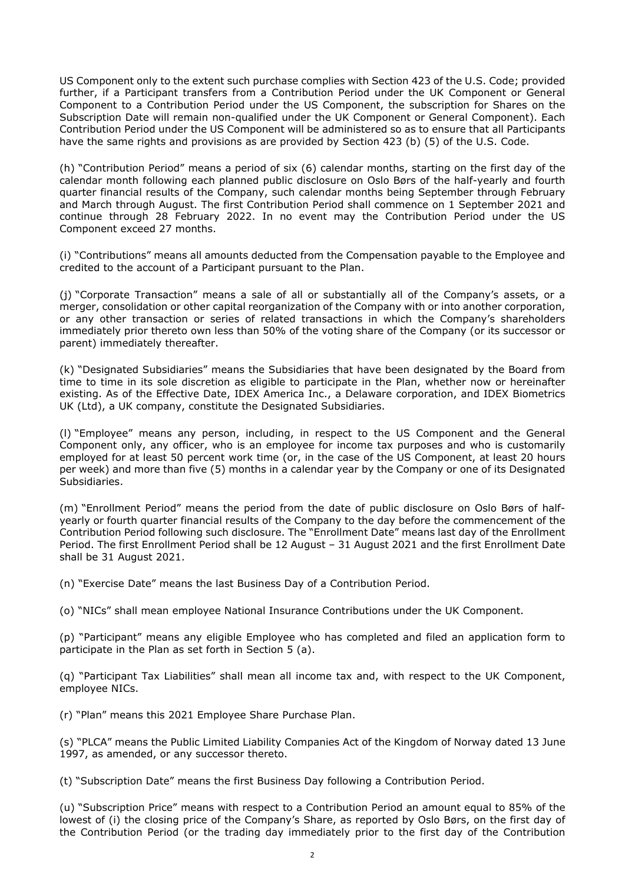US Component only to the extent such purchase complies with Section 423 of the U.S. Code; provided further, if a Participant transfers from a Contribution Period under the UK Component or General Component to a Contribution Period under the US Component, the subscription for Shares on the Subscription Date will remain non-qualified under the UK Component or General Component). Each Contribution Period under the US Component will be administered so as to ensure that all Participants have the same rights and provisions as are provided by Section 423 (b) (5) of the U.S. Code.

(h) "Contribution Period" means a period of six (6) calendar months, starting on the first day of the calendar month following each planned public disclosure on Oslo Børs of the half-yearly and fourth quarter financial results of the Company, such calendar months being September through February and March through August. The first Contribution Period shall commence on 1 September 2021 and continue through 28 February 2022. In no event may the Contribution Period under the US Component exceed 27 months.

(i) "Contributions" means all amounts deducted from the Compensation payable to the Employee and credited to the account of a Participant pursuant to the Plan.

(j) "Corporate Transaction" means a sale of all or substantially all of the Company's assets, or a merger, consolidation or other capital reorganization of the Company with or into another corporation, or any other transaction or series of related transactions in which the Company's shareholders immediately prior thereto own less than 50% of the voting share of the Company (or its successor or parent) immediately thereafter.

(k) "Designated Subsidiaries" means the Subsidiaries that have been designated by the Board from time to time in its sole discretion as eligible to participate in the Plan, whether now or hereinafter existing. As of the Effective Date, IDEX America Inc., a Delaware corporation, and IDEX Biometrics UK (Ltd), a UK company, constitute the Designated Subsidiaries.

(l) "Employee" means any person, including, in respect to the US Component and the General Component only, any officer, who is an employee for income tax purposes and who is customarily employed for at least 50 percent work time (or, in the case of the US Component, at least 20 hours per week) and more than five (5) months in a calendar year by the Company or one of its Designated Subsidiaries.

(m) "Enrollment Period" means the period from the date of public disclosure on Oslo Børs of halfyearly or fourth quarter financial results of the Company to the day before the commencement of the Contribution Period following such disclosure. The "Enrollment Date" means last day of the Enrollment Period. The first Enrollment Period shall be 12 August – 31 August 2021 and the first Enrollment Date shall be 31 August 2021.

(n) "Exercise Date" means the last Business Day of a Contribution Period.

(o) "NICs" shall mean employee National Insurance Contributions under the UK Component.

(p) "Participant" means any eligible Employee who has completed and filed an application form to participate in the Plan as set forth in Section 5 (a).

(q) "Participant Tax Liabilities" shall mean all income tax and, with respect to the UK Component, employee NICs.

(r) "Plan" means this 2021 Employee Share Purchase Plan.

(s) "PLCA" means the Public Limited Liability Companies Act of the Kingdom of Norway dated 13 June 1997, as amended, or any successor thereto.

(t) "Subscription Date" means the first Business Day following a Contribution Period.

(u) "Subscription Price" means with respect to a Contribution Period an amount equal to 85% of the lowest of (i) the closing price of the Company's Share, as reported by Oslo Børs, on the first day of the Contribution Period (or the trading day immediately prior to the first day of the Contribution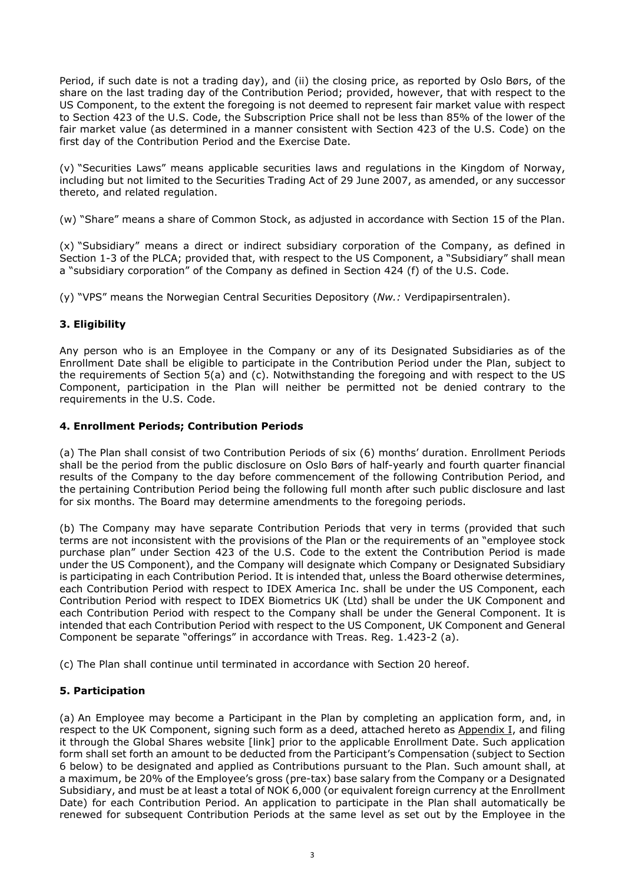Period, if such date is not a trading day), and (ii) the closing price, as reported by Oslo Børs, of the share on the last trading day of the Contribution Period; provided, however, that with respect to the US Component, to the extent the foregoing is not deemed to represent fair market value with respect to Section 423 of the U.S. Code, the Subscription Price shall not be less than 85% of the lower of the fair market value (as determined in a manner consistent with Section 423 of the U.S. Code) on the first day of the Contribution Period and the Exercise Date.

(v) "Securities Laws" means applicable securities laws and regulations in the Kingdom of Norway, including but not limited to the Securities Trading Act of 29 June 2007, as amended, or any successor thereto, and related regulation.

(w) "Share" means a share of Common Stock, as adjusted in accordance with Section 15 of the Plan.

(x) "Subsidiary" means a direct or indirect subsidiary corporation of the Company, as defined in Section 1-3 of the PLCA; provided that, with respect to the US Component, a "Subsidiary" shall mean a "subsidiary corporation" of the Company as defined in Section 424 (f) of the U.S. Code.

(y) "VPS" means the Norwegian Central Securities Depository (*Nw.:* Verdipapirsentralen).

# **3. Eligibility**

Any person who is an Employee in the Company or any of its Designated Subsidiaries as of the Enrollment Date shall be eligible to participate in the Contribution Period under the Plan, subject to the requirements of Section 5(a) and (c). Notwithstanding the foregoing and with respect to the US Component, participation in the Plan will neither be permitted not be denied contrary to the requirements in the U.S. Code.

# **4. Enrollment Periods; Contribution Periods**

(a) The Plan shall consist of two Contribution Periods of six (6) months' duration. Enrollment Periods shall be the period from the public disclosure on Oslo Børs of half-yearly and fourth quarter financial results of the Company to the day before commencement of the following Contribution Period, and the pertaining Contribution Period being the following full month after such public disclosure and last for six months. The Board may determine amendments to the foregoing periods.

(b) The Company may have separate Contribution Periods that very in terms (provided that such terms are not inconsistent with the provisions of the Plan or the requirements of an "employee stock purchase plan" under Section 423 of the U.S. Code to the extent the Contribution Period is made under the US Component), and the Company will designate which Company or Designated Subsidiary is participating in each Contribution Period. It is intended that, unless the Board otherwise determines, each Contribution Period with respect to IDEX America Inc. shall be under the US Component, each Contribution Period with respect to IDEX Biometrics UK (Ltd) shall be under the UK Component and each Contribution Period with respect to the Company shall be under the General Component. It is intended that each Contribution Period with respect to the US Component, UK Component and General Component be separate "offerings" in accordance with Treas. Reg. 1.423-2 (a).

(c) The Plan shall continue until terminated in accordance with Section 20 hereof.

# **5. Participation**

(a) An Employee may become a Participant in the Plan by completing an application form, and, in respect to the UK Component, signing such form as a deed, attached hereto as Appendix I, and filing it through the Global Shares website [link] prior to the applicable Enrollment Date. Such application form shall set forth an amount to be deducted from the Participant's Compensation (subject to Section 6 below) to be designated and applied as Contributions pursuant to the Plan. Such amount shall, at a maximum, be 20% of the Employee's gross (pre-tax) base salary from the Company or a Designated Subsidiary, and must be at least a total of NOK 6,000 (or equivalent foreign currency at the Enrollment Date) for each Contribution Period. An application to participate in the Plan shall automatically be renewed for subsequent Contribution Periods at the same level as set out by the Employee in the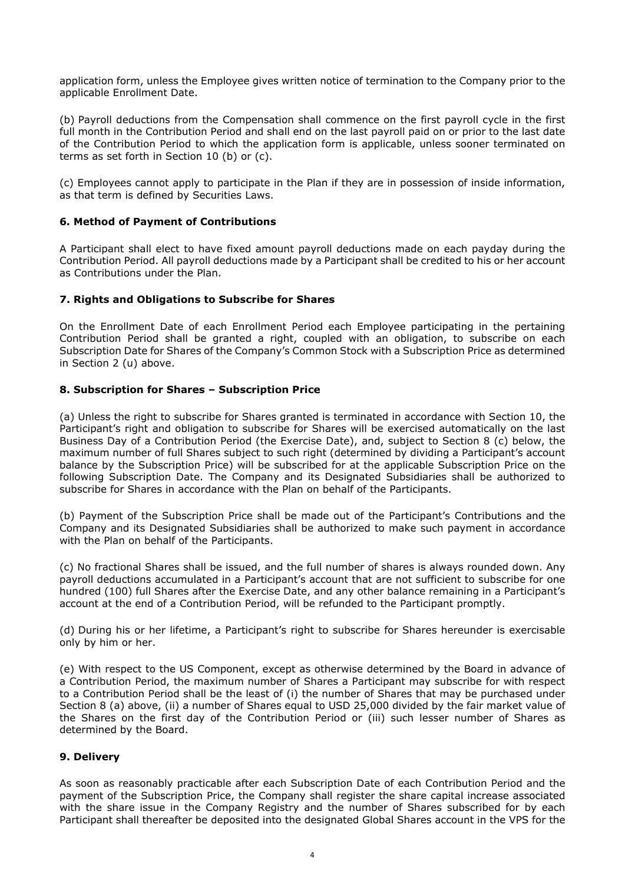application form, unless the Employee gives written notice of termination to the Company prior to the applicable Enrollment Date.

(b) Payroll deductions from the Compensation shall commence on the first payroll cycle in the first full month in the Contribution Period and shall end on the last payroll paid on or prior to the last date of the Contribution Period to which the application form is applicable, unless sooner terminated on terms as set forth in Section 10 (b) or (c).

(c) Employees cannot apply to participate in the Plan if they are in possession of inside information, as that term is defined by Securities Laws.

#### **6. Method of Payment of Contributions**

A Participant shall elect to have fixed amount payroll deductions made on each payday during the Contribution Period. All payroll deductions made by a Participant shall be credited to his or her account as Contributions under the Plan.

#### **7. Rights and Obligations to Subscribe for Shares**

On the Enrollment Date of each Enrollment Period each Employee participating in the pertaining Contribution Period shall be granted a right, coupled with an obligation, to subscribe on each Subscription Date for Shares of the Company's Common Stock with a Subscription Price as determined in Section 2 (u) above.

#### **8. Subscription for Shares – Subscription Price**

(a) Unless the right to subscribe for Shares granted is terminated in accordance with Section 10, the Participant's right and obligation to subscribe for Shares will be exercised automatically on the last Business Day of a Contribution Period (the Exercise Date), and, subject to Section 8 (c) below, the maximum number of full Shares subject to such right (determined by dividing a Participant's account balance by the Subscription Price) will be subscribed for at the applicable Subscription Price on the following Subscription Date. The Company and its Designated Subsidiaries shall be authorized to subscribe for Shares in accordance with the Plan on behalf of the Participants.

(b) Payment of the Subscription Price shall be made out of the Participant's Contributions and the Company and its Designated Subsidiaries shall be authorized to make such payment in accordance with the Plan on behalf of the Participants.

(c) No fractional Shares shall be issued, and the full number of shares is always rounded down. Any payroll deductions accumulated in a Participant's account that are not sufficient to subscribe for one hundred (100) full Shares after the Exercise Date, and any other balance remaining in a Participant's account at the end of a Contribution Period, will be refunded to the Participant promptly.

(d) During his or her lifetime, a Participant's right to subscribe for Shares hereunder is exercisable only by him or her.

(e) With respect to the US Component, except as otherwise determined by the Board in advance of a Contribution Period, the maximum number of Shares a Participant may subscribe for with respect to a Contribution Period shall be the least of (i) the number of Shares that may be purchased under Section 8 (a) above, (ii) a number of Shares equal to USD 25,000 divided by the fair market value of the Shares on the first day of the Contribution Period or (iii) such lesser number of Shares as determined by the Board.

#### **9. Delivery**

As soon as reasonably practicable after each Subscription Date of each Contribution Period and the payment of the Subscription Price, the Company shall register the share capital increase associated with the share issue in the Company Registry and the number of Shares subscribed for by each Participant shall thereafter be deposited into the designated Global Shares account in the VPS for the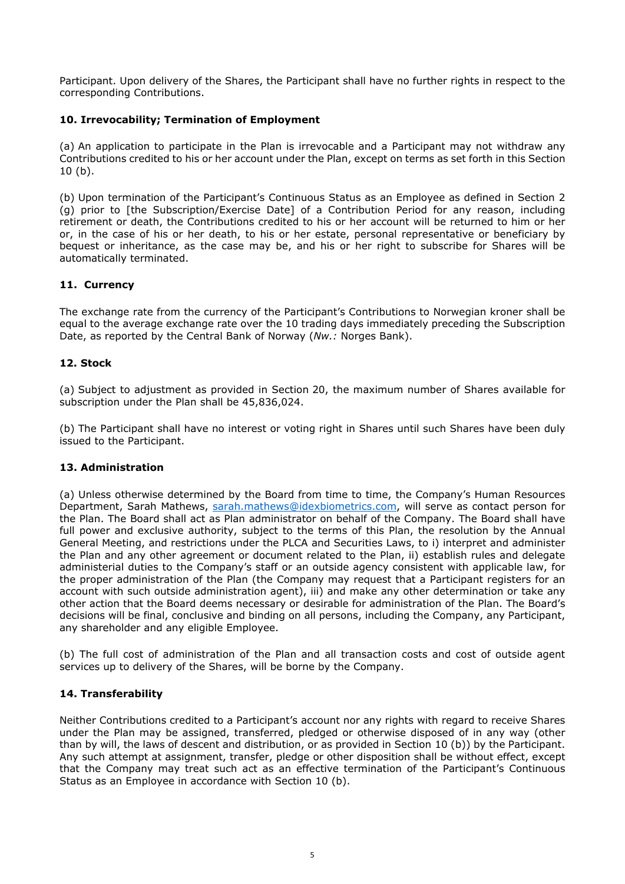Participant. Upon delivery of the Shares, the Participant shall have no further rights in respect to the corresponding Contributions.

# **10. Irrevocability; Termination of Employment**

(a) An application to participate in the Plan is irrevocable and a Participant may not withdraw any Contributions credited to his or her account under the Plan, except on terms as set forth in this Section 10 (b).

(b) Upon termination of the Participant's Continuous Status as an Employee as defined in Section 2 (g) prior to [the Subscription/Exercise Date] of a Contribution Period for any reason, including retirement or death, the Contributions credited to his or her account will be returned to him or her or, in the case of his or her death, to his or her estate, personal representative or beneficiary by bequest or inheritance, as the case may be, and his or her right to subscribe for Shares will be automatically terminated.

# **11. Currency**

The exchange rate from the currency of the Participant's Contributions to Norwegian kroner shall be equal to the average exchange rate over the 10 trading days immediately preceding the Subscription Date, as reported by the Central Bank of Norway (*Nw.:* Norges Bank).

#### **12. Stock**

(a) Subject to adjustment as provided in Section 20, the maximum number of Shares available for subscription under the Plan shall be 45,836,024.

(b) The Participant shall have no interest or voting right in Shares until such Shares have been duly issued to the Participant.

#### **13. Administration**

(a) Unless otherwise determined by the Board from time to time, the Company's Human Resources Department, Sarah Mathews, sarah.mathews@idexbiometrics.com, will serve as contact person for the Plan. The Board shall act as Plan administrator on behalf of the Company. The Board shall have full power and exclusive authority, subject to the terms of this Plan, the resolution by the Annual General Meeting, and restrictions under the PLCA and Securities Laws, to i) interpret and administer the Plan and any other agreement or document related to the Plan, ii) establish rules and delegate administerial duties to the Company's staff or an outside agency consistent with applicable law, for the proper administration of the Plan (the Company may request that a Participant registers for an account with such outside administration agent), iii) and make any other determination or take any other action that the Board deems necessary or desirable for administration of the Plan. The Board's decisions will be final, conclusive and binding on all persons, including the Company, any Participant, any shareholder and any eligible Employee.

(b) The full cost of administration of the Plan and all transaction costs and cost of outside agent services up to delivery of the Shares, will be borne by the Company.

#### **14. Transferability**

Neither Contributions credited to a Participant's account nor any rights with regard to receive Shares under the Plan may be assigned, transferred, pledged or otherwise disposed of in any way (other than by will, the laws of descent and distribution, or as provided in Section 10 (b)) by the Participant. Any such attempt at assignment, transfer, pledge or other disposition shall be without effect, except that the Company may treat such act as an effective termination of the Participant's Continuous Status as an Employee in accordance with Section 10 (b).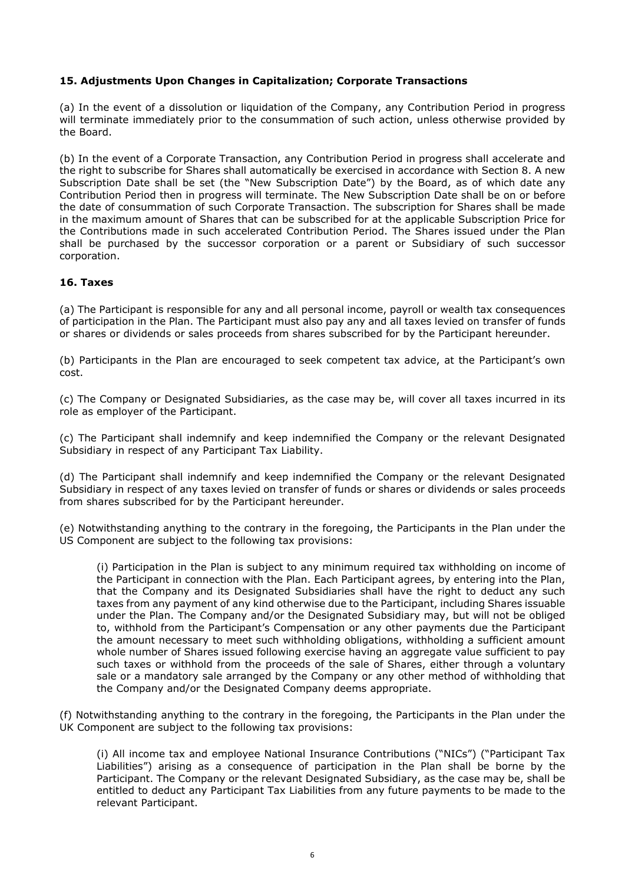#### **15. Adjustments Upon Changes in Capitalization; Corporate Transactions**

(a) In the event of a dissolution or liquidation of the Company, any Contribution Period in progress will terminate immediately prior to the consummation of such action, unless otherwise provided by the Board.

(b) In the event of a Corporate Transaction, any Contribution Period in progress shall accelerate and the right to subscribe for Shares shall automatically be exercised in accordance with Section 8. A new Subscription Date shall be set (the "New Subscription Date") by the Board, as of which date any Contribution Period then in progress will terminate. The New Subscription Date shall be on or before the date of consummation of such Corporate Transaction. The subscription for Shares shall be made in the maximum amount of Shares that can be subscribed for at the applicable Subscription Price for the Contributions made in such accelerated Contribution Period. The Shares issued under the Plan shall be purchased by the successor corporation or a parent or Subsidiary of such successor corporation.

# **16. Taxes**

(a) The Participant is responsible for any and all personal income, payroll or wealth tax consequences of participation in the Plan. The Participant must also pay any and all taxes levied on transfer of funds or shares or dividends or sales proceeds from shares subscribed for by the Participant hereunder.

(b) Participants in the Plan are encouraged to seek competent tax advice, at the Participant's own cost.

(c) The Company or Designated Subsidiaries, as the case may be, will cover all taxes incurred in its role as employer of the Participant.

(c) The Participant shall indemnify and keep indemnified the Company or the relevant Designated Subsidiary in respect of any Participant Tax Liability.

(d) The Participant shall indemnify and keep indemnified the Company or the relevant Designated Subsidiary in respect of any taxes levied on transfer of funds or shares or dividends or sales proceeds from shares subscribed for by the Participant hereunder.

(e) Notwithstanding anything to the contrary in the foregoing, the Participants in the Plan under the US Component are subject to the following tax provisions:

(i) Participation in the Plan is subject to any minimum required tax withholding on income of the Participant in connection with the Plan. Each Participant agrees, by entering into the Plan, that the Company and its Designated Subsidiaries shall have the right to deduct any such taxes from any payment of any kind otherwise due to the Participant, including Shares issuable under the Plan. The Company and/or the Designated Subsidiary may, but will not be obliged to, withhold from the Participant's Compensation or any other payments due the Participant the amount necessary to meet such withholding obligations, withholding a sufficient amount whole number of Shares issued following exercise having an aggregate value sufficient to pay such taxes or withhold from the proceeds of the sale of Shares, either through a voluntary sale or a mandatory sale arranged by the Company or any other method of withholding that the Company and/or the Designated Company deems appropriate.

(f) Notwithstanding anything to the contrary in the foregoing, the Participants in the Plan under the UK Component are subject to the following tax provisions:

(i) All income tax and employee National Insurance Contributions ("NICs") ("Participant Tax Liabilities") arising as a consequence of participation in the Plan shall be borne by the Participant. The Company or the relevant Designated Subsidiary, as the case may be, shall be entitled to deduct any Participant Tax Liabilities from any future payments to be made to the relevant Participant.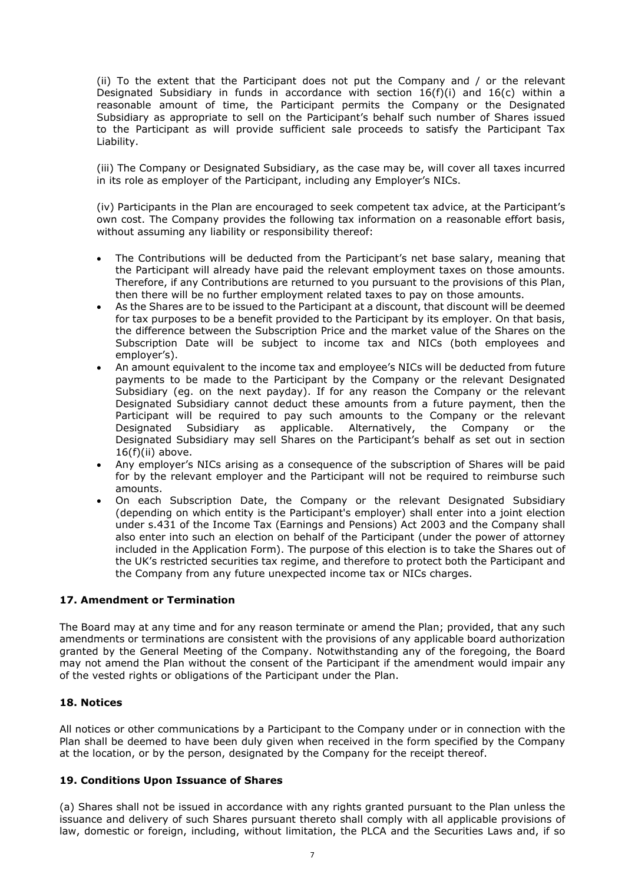(ii) To the extent that the Participant does not put the Company and / or the relevant Designated Subsidiary in funds in accordance with section  $16(f)(i)$  and  $16(c)$  within a reasonable amount of time, the Participant permits the Company or the Designated Subsidiary as appropriate to sell on the Participant's behalf such number of Shares issued to the Participant as will provide sufficient sale proceeds to satisfy the Participant Tax Liability.

(iii) The Company or Designated Subsidiary, as the case may be, will cover all taxes incurred in its role as employer of the Participant, including any Employer's NICs.

(iv) Participants in the Plan are encouraged to seek competent tax advice, at the Participant's own cost. The Company provides the following tax information on a reasonable effort basis, without assuming any liability or responsibility thereof:

- The Contributions will be deducted from the Participant's net base salary, meaning that the Participant will already have paid the relevant employment taxes on those amounts. Therefore, if any Contributions are returned to you pursuant to the provisions of this Plan, then there will be no further employment related taxes to pay on those amounts.
- As the Shares are to be issued to the Participant at a discount, that discount will be deemed for tax purposes to be a benefit provided to the Participant by its employer. On that basis, the difference between the Subscription Price and the market value of the Shares on the Subscription Date will be subject to income tax and NICs (both employees and employer's).
- An amount equivalent to the income tax and employee's NICs will be deducted from future payments to be made to the Participant by the Company or the relevant Designated Subsidiary (eg. on the next payday). If for any reason the Company or the relevant Designated Subsidiary cannot deduct these amounts from a future payment, then the Participant will be required to pay such amounts to the Company or the relevant Designated Subsidiary as applicable. Alternatively, the Company or the Designated Subsidiary may sell Shares on the Participant's behalf as set out in section  $16(f)(ii)$  above.
- Any employer's NICs arising as a consequence of the subscription of Shares will be paid for by the relevant employer and the Participant will not be required to reimburse such amounts.
- On each Subscription Date, the Company or the relevant Designated Subsidiary (depending on which entity is the Participant's employer) shall enter into a joint election under s.431 of the Income Tax (Earnings and Pensions) Act 2003 and the Company shall also enter into such an election on behalf of the Participant (under the power of attorney included in the Application Form). The purpose of this election is to take the Shares out of the UK's restricted securities tax regime, and therefore to protect both the Participant and the Company from any future unexpected income tax or NICs charges.

#### **17. Amendment or Termination**

The Board may at any time and for any reason terminate or amend the Plan; provided, that any such amendments or terminations are consistent with the provisions of any applicable board authorization granted by the General Meeting of the Company. Notwithstanding any of the foregoing, the Board may not amend the Plan without the consent of the Participant if the amendment would impair any of the vested rights or obligations of the Participant under the Plan.

#### **18. Notices**

All notices or other communications by a Participant to the Company under or in connection with the Plan shall be deemed to have been duly given when received in the form specified by the Company at the location, or by the person, designated by the Company for the receipt thereof.

#### **19. Conditions Upon Issuance of Shares**

(a) Shares shall not be issued in accordance with any rights granted pursuant to the Plan unless the issuance and delivery of such Shares pursuant thereto shall comply with all applicable provisions of law, domestic or foreign, including, without limitation, the PLCA and the Securities Laws and, if so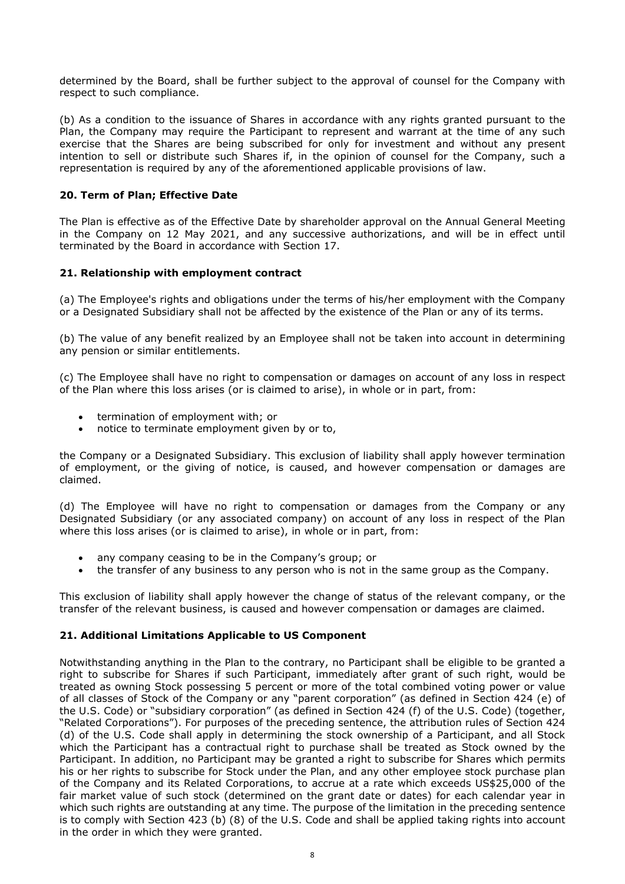determined by the Board, shall be further subject to the approval of counsel for the Company with respect to such compliance.

(b) As a condition to the issuance of Shares in accordance with any rights granted pursuant to the Plan, the Company may require the Participant to represent and warrant at the time of any such exercise that the Shares are being subscribed for only for investment and without any present intention to sell or distribute such Shares if, in the opinion of counsel for the Company, such a representation is required by any of the aforementioned applicable provisions of law.

#### **20. Term of Plan; Effective Date**

The Plan is effective as of the Effective Date by shareholder approval on the Annual General Meeting in the Company on 12 May 2021, and any successive authorizations, and will be in effect until terminated by the Board in accordance with Section 17.

#### **21. Relationship with employment contract**

(a) The Employee's rights and obligations under the terms of his/her employment with the Company or a Designated Subsidiary shall not be affected by the existence of the Plan or any of its terms.

(b) The value of any benefit realized by an Employee shall not be taken into account in determining any pension or similar entitlements.

(c) The Employee shall have no right to compensation or damages on account of any loss in respect of the Plan where this loss arises (or is claimed to arise), in whole or in part, from:

- termination of employment with; or
- notice to terminate employment given by or to,

the Company or a Designated Subsidiary. This exclusion of liability shall apply however termination of employment, or the giving of notice, is caused, and however compensation or damages are claimed.

(d) The Employee will have no right to compensation or damages from the Company or any Designated Subsidiary (or any associated company) on account of any loss in respect of the Plan where this loss arises (or is claimed to arise), in whole or in part, from:

- any company ceasing to be in the Company's group; or
- the transfer of any business to any person who is not in the same group as the Company.

This exclusion of liability shall apply however the change of status of the relevant company, or the transfer of the relevant business, is caused and however compensation or damages are claimed.

#### **21. Additional Limitations Applicable to US Component**

Notwithstanding anything in the Plan to the contrary, no Participant shall be eligible to be granted a right to subscribe for Shares if such Participant, immediately after grant of such right, would be treated as owning Stock possessing 5 percent or more of the total combined voting power or value of all classes of Stock of the Company or any "parent corporation" (as defined in Section 424 (e) of the U.S. Code) or "subsidiary corporation" (as defined in Section 424 (f) of the U.S. Code) (together, "Related Corporations"). For purposes of the preceding sentence, the attribution rules of Section 424 (d) of the U.S. Code shall apply in determining the stock ownership of a Participant, and all Stock which the Participant has a contractual right to purchase shall be treated as Stock owned by the Participant. In addition, no Participant may be granted a right to subscribe for Shares which permits his or her rights to subscribe for Stock under the Plan, and any other employee stock purchase plan of the Company and its Related Corporations, to accrue at a rate which exceeds US\$25,000 of the fair market value of such stock (determined on the grant date or dates) for each calendar year in which such rights are outstanding at any time. The purpose of the limitation in the preceding sentence is to comply with Section 423 (b) (8) of the U.S. Code and shall be applied taking rights into account in the order in which they were granted.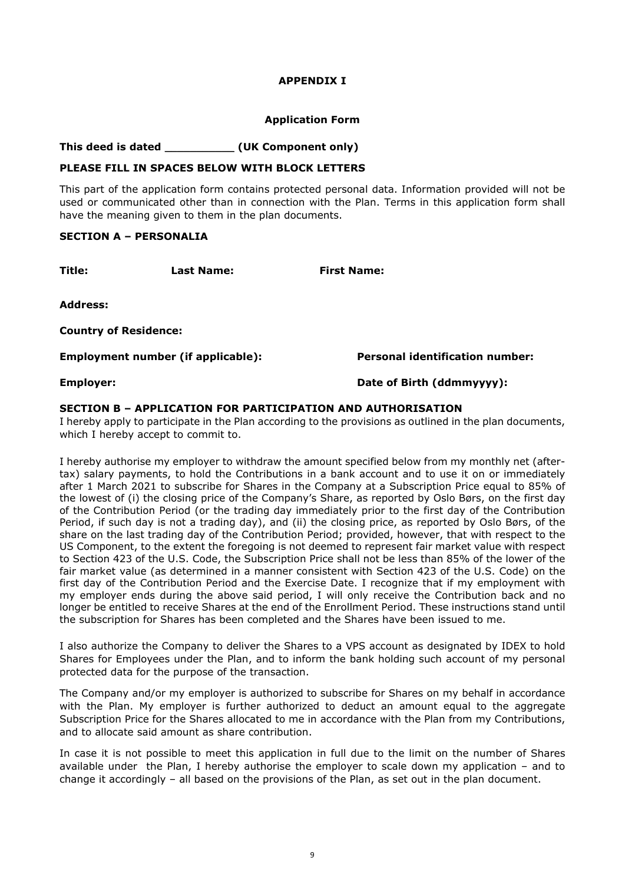#### **APPENDIX I**

#### **Application Form**

**This deed is dated** \_\_\_\_\_\_\_\_\_\_\_ **(UK Component only)** 

#### **PLEASE FILL IN SPACES BELOW WITH BLOCK LETTERS**

This part of the application form contains protected personal data. Information provided will not be used or communicated other than in connection with the Plan. Terms in this application form shall have the meaning given to them in the plan documents.

#### **SECTION A – PERSONALIA**

**Title: Last Name: First Name: First Name:** 

**Address:** 

**Country of Residence:** 

**Employment number (if applicable): Personal identification number:** 

**Employer: Date of Birth (ddmmyyyy):** 

#### **SECTION B – APPLICATION FOR PARTICIPATION AND AUTHORISATION**

I hereby apply to participate in the Plan according to the provisions as outlined in the plan documents, which I hereby accept to commit to.

I hereby authorise my employer to withdraw the amount specified below from my monthly net (aftertax) salary payments, to hold the Contributions in a bank account and to use it on or immediately after 1 March 2021 to subscribe for Shares in the Company at a Subscription Price equal to 85% of the lowest of (i) the closing price of the Company's Share, as reported by Oslo Børs, on the first day of the Contribution Period (or the trading day immediately prior to the first day of the Contribution Period, if such day is not a trading day), and (ii) the closing price, as reported by Oslo Børs, of the share on the last trading day of the Contribution Period; provided, however, that with respect to the US Component, to the extent the foregoing is not deemed to represent fair market value with respect to Section 423 of the U.S. Code, the Subscription Price shall not be less than 85% of the lower of the fair market value (as determined in a manner consistent with Section 423 of the U.S. Code) on the first day of the Contribution Period and the Exercise Date. I recognize that if my employment with my employer ends during the above said period, I will only receive the Contribution back and no longer be entitled to receive Shares at the end of the Enrollment Period. These instructions stand until the subscription for Shares has been completed and the Shares have been issued to me.

I also authorize the Company to deliver the Shares to a VPS account as designated by IDEX to hold Shares for Employees under the Plan, and to inform the bank holding such account of my personal protected data for the purpose of the transaction.

The Company and/or my employer is authorized to subscribe for Shares on my behalf in accordance with the Plan. My employer is further authorized to deduct an amount equal to the aggregate Subscription Price for the Shares allocated to me in accordance with the Plan from my Contributions, and to allocate said amount as share contribution.

In case it is not possible to meet this application in full due to the limit on the number of Shares available under the Plan, I hereby authorise the employer to scale down my application – and to change it accordingly – all based on the provisions of the Plan, as set out in the plan document.